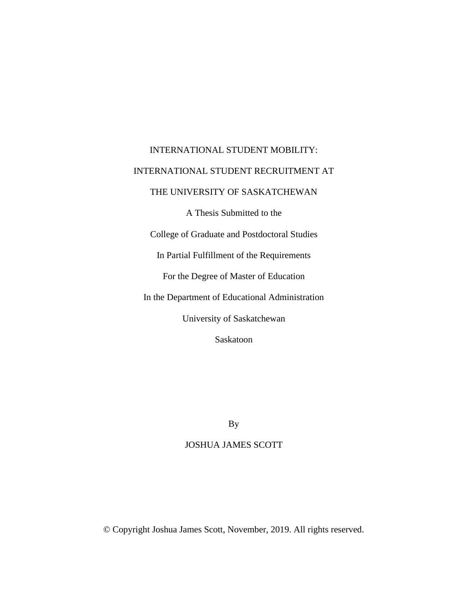# INTERNATIONAL STUDENT MOBILITY: INTERNATIONAL STUDENT RECRUITMENT AT THE UNIVERSITY OF SASKATCHEWAN A Thesis Submitted to the College of Graduate and Postdoctoral Studies In Partial Fulfillment of the Requirements For the Degree of Master of Education In the Department of Educational Administration University of Saskatchewan Saskatoon

By

### JOSHUA JAMES SCOTT

© Copyright Joshua James Scott, November, 2019. All rights reserved.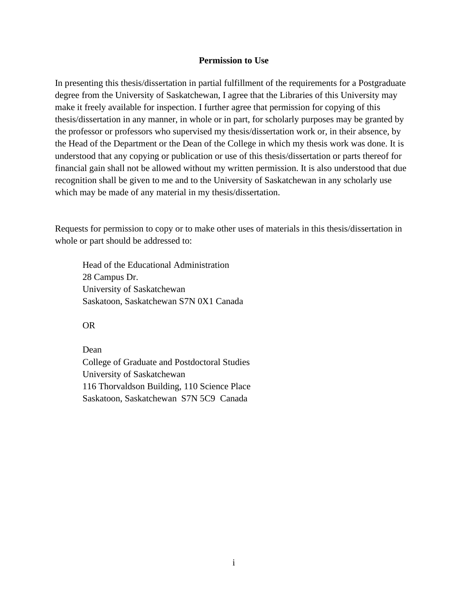#### **Permission to Use**

<span id="page-1-0"></span>In presenting this thesis/dissertation in partial fulfillment of the requirements for a Postgraduate degree from the University of Saskatchewan, I agree that the Libraries of this University may make it freely available for inspection. I further agree that permission for copying of this thesis/dissertation in any manner, in whole or in part, for scholarly purposes may be granted by the professor or professors who supervised my thesis/dissertation work or, in their absence, by the Head of the Department or the Dean of the College in which my thesis work was done. It is understood that any copying or publication or use of this thesis/dissertation or parts thereof for financial gain shall not be allowed without my written permission. It is also understood that due recognition shall be given to me and to the University of Saskatchewan in any scholarly use which may be made of any material in my thesis/dissertation.

Requests for permission to copy or to make other uses of materials in this thesis/dissertation in whole or part should be addressed to:

Head of the Educational Administration 28 Campus Dr. University of Saskatchewan Saskatoon, Saskatchewan S7N 0X1 Canada

OR

Dean College of Graduate and Postdoctoral Studies University of Saskatchewan 116 Thorvaldson Building, 110 Science Place Saskatoon, Saskatchewan S7N 5C9 Canada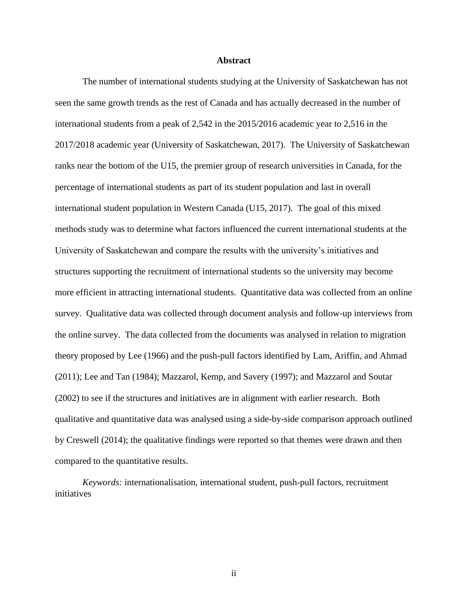#### **Abstract**

<span id="page-2-0"></span>The number of international students studying at the University of Saskatchewan has not seen the same growth trends as the rest of Canada and has actually decreased in the number of international students from a peak of 2,542 in the 2015/2016 academic year to 2,516 in the 2017/2018 academic year (University of Saskatchewan, 2017). The University of Saskatchewan ranks near the bottom of the U15, the premier group of research universities in Canada, for the percentage of international students as part of its student population and last in overall international student population in Western Canada (U15, 2017). The goal of this mixed methods study was to determine what factors influenced the current international students at the University of Saskatchewan and compare the results with the university's initiatives and structures supporting the recruitment of international students so the university may become more efficient in attracting international students. Quantitative data was collected from an online survey. Qualitative data was collected through document analysis and follow-up interviews from the online survey. The data collected from the documents was analysed in relation to migration theory proposed by Lee (1966) and the push-pull factors identified by Lam, Ariffin, and Ahmad (2011); Lee and Tan (1984); Mazzarol, Kemp, and Savery (1997); and Mazzarol and Soutar (2002) to see if the structures and initiatives are in alignment with earlier research. Both qualitative and quantitative data was analysed using a side-by-side comparison approach outlined by Creswell (2014); the qualitative findings were reported so that themes were drawn and then compared to the quantitative results.

*Keywords:* internationalisation, international student, push-pull factors, recruitment initiatives

ii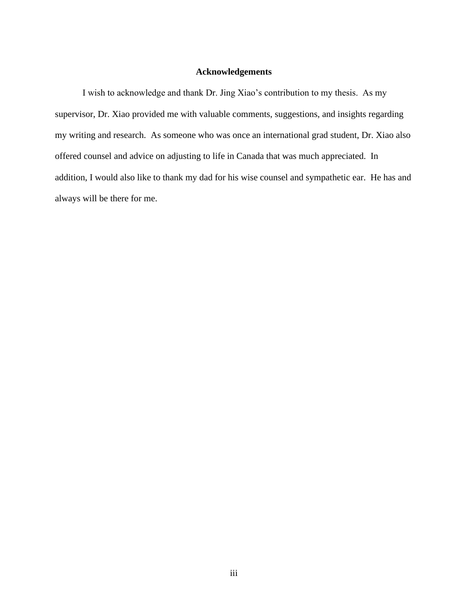#### **Acknowledgements**

<span id="page-3-0"></span>I wish to acknowledge and thank Dr. Jing Xiao's contribution to my thesis. As my supervisor, Dr. Xiao provided me with valuable comments, suggestions, and insights regarding my writing and research. As someone who was once an international grad student, Dr. Xiao also offered counsel and advice on adjusting to life in Canada that was much appreciated. In addition, I would also like to thank my dad for his wise counsel and sympathetic ear. He has and always will be there for me.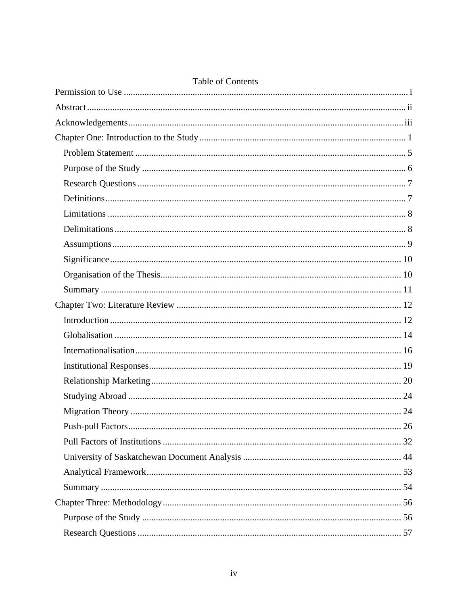| <b>Table Of Contents</b> |  |
|--------------------------|--|
|                          |  |
|                          |  |
|                          |  |
|                          |  |
|                          |  |
|                          |  |
|                          |  |
|                          |  |
|                          |  |
|                          |  |
|                          |  |
|                          |  |
|                          |  |
|                          |  |
|                          |  |
|                          |  |
|                          |  |
|                          |  |
|                          |  |
|                          |  |
|                          |  |
|                          |  |
|                          |  |
|                          |  |
|                          |  |
|                          |  |
|                          |  |
|                          |  |
|                          |  |

#### ntente  $T_2$ <sub>b</sub>l  $fC$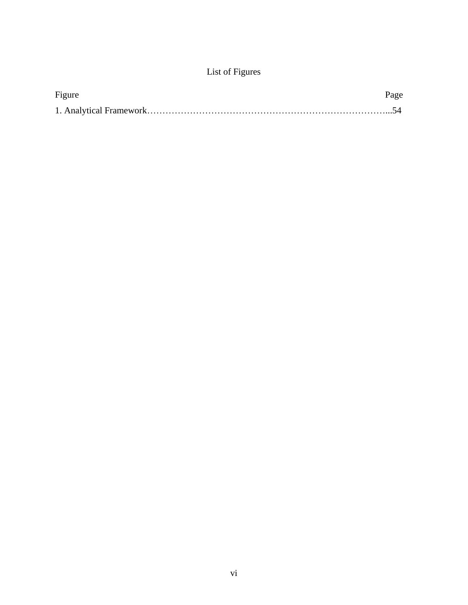## List of Figures

| Figure | Page |
|--------|------|
|        |      |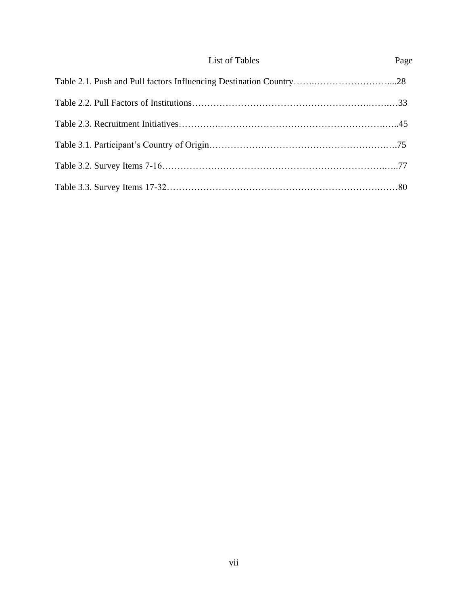| List of Tables | Page |
|----------------|------|
|                |      |
|                |      |
|                |      |
|                |      |
|                |      |
|                |      |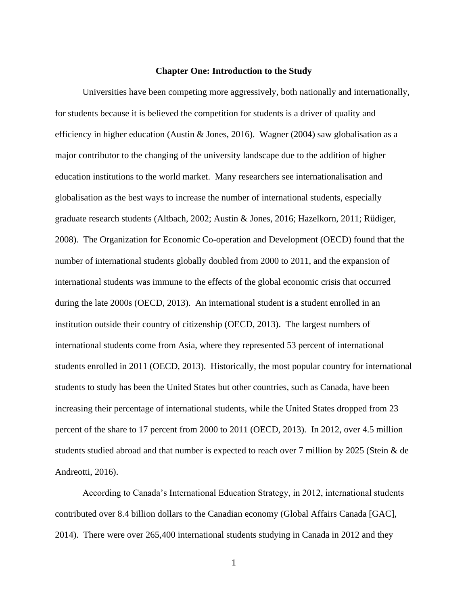#### **Chapter One: Introduction to the Study**

<span id="page-8-0"></span>Universities have been competing more aggressively, both nationally and internationally, for students because it is believed the competition for students is a driver of quality and efficiency in higher education (Austin & Jones, 2016). Wagner (2004) saw globalisation as a major contributor to the changing of the university landscape due to the addition of higher education institutions to the world market. Many researchers see internationalisation and globalisation as the best ways to increase the number of international students, especially graduate research students (Altbach, 2002; Austin & Jones, 2016; Hazelkorn, 2011; Rüdiger, 2008). The Organization for Economic Co-operation and Development (OECD) found that the number of international students globally doubled from 2000 to 2011, and the expansion of international students was immune to the effects of the global economic crisis that occurred during the late 2000s (OECD, 2013). An international student is a student enrolled in an institution outside their country of citizenship (OECD, 2013). The largest numbers of international students come from Asia, where they represented 53 percent of international students enrolled in 2011 (OECD, 2013). Historically, the most popular country for international students to study has been the United States but other countries, such as Canada, have been increasing their percentage of international students, while the United States dropped from 23 percent of the share to 17 percent from 2000 to 2011 (OECD, 2013). In 2012, over 4.5 million students studied abroad and that number is expected to reach over 7 million by 2025 (Stein & de Andreotti, 2016).

According to Canada's International Education Strategy, in 2012, international students contributed over 8.4 billion dollars to the Canadian economy (Global Affairs Canada [GAC], 2014). There were over 265,400 international students studying in Canada in 2012 and they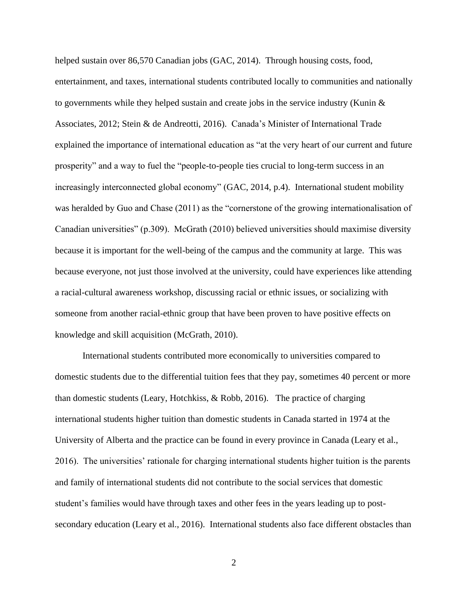helped sustain over 86,570 Canadian jobs (GAC, 2014). Through housing costs, food, entertainment, and taxes, international students contributed locally to communities and nationally to governments while they helped sustain and create jobs in the service industry (Kunin  $\&$ Associates, 2012; Stein & de Andreotti, 2016). Canada's Minister of International Trade explained the importance of international education as "at the very heart of our current and future prosperity" and a way to fuel the "people-to-people ties crucial to long-term success in an increasingly interconnected global economy" (GAC, 2014, p.4). International student mobility was heralded by Guo and Chase (2011) as the "cornerstone of the growing internationalisation of Canadian universities" (p.309). McGrath (2010) believed universities should maximise diversity because it is important for the well-being of the campus and the community at large. This was because everyone, not just those involved at the university, could have experiences like attending a racial-cultural awareness workshop, discussing racial or ethnic issues, or socializing with someone from another racial-ethnic group that have been proven to have positive effects on knowledge and skill acquisition (McGrath, 2010).

International students contributed more economically to universities compared to domestic students due to the differential tuition fees that they pay, sometimes 40 percent or more than domestic students (Leary, Hotchkiss, & Robb, 2016). The practice of charging international students higher tuition than domestic students in Canada started in 1974 at the University of Alberta and the practice can be found in every province in Canada (Leary et al., 2016). The universities' rationale for charging international students higher tuition is the parents and family of international students did not contribute to the social services that domestic student's families would have through taxes and other fees in the years leading up to postsecondary education (Leary et al., 2016). International students also face different obstacles than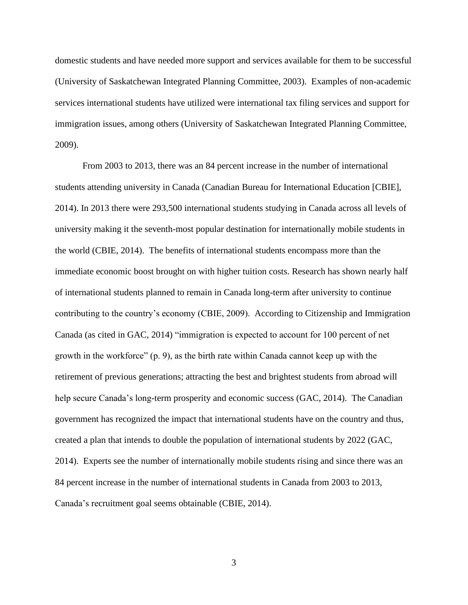domestic students and have needed more support and services available for them to be successful (University of Saskatchewan Integrated Planning Committee, 2003). Examples of non-academic services international students have utilized were international tax filing services and support for immigration issues, among others (University of Saskatchewan Integrated Planning Committee, 2009).

From 2003 to 2013, there was an 84 percent increase in the number of international students attending university in Canada (Canadian Bureau for International Education [CBIE], 2014). In 2013 there were 293,500 international students studying in Canada across all levels of university making it the seventh-most popular destination for internationally mobile students in the world (CBIE, 2014). The benefits of international students encompass more than the immediate economic boost brought on with higher tuition costs. Research has shown nearly half of international students planned to remain in Canada long-term after university to continue contributing to the country's economy (CBIE, 2009). According to Citizenship and Immigration Canada (as cited in GAC, 2014) "immigration is expected to account for 100 percent of net growth in the workforce" (p. 9), as the birth rate within Canada cannot keep up with the retirement of previous generations; attracting the best and brightest students from abroad will help secure Canada's long-term prosperity and economic success (GAC, 2014). The Canadian government has recognized the impact that international students have on the country and thus, created a plan that intends to double the population of international students by 2022 (GAC, 2014). Experts see the number of internationally mobile students rising and since there was an 84 percent increase in the number of international students in Canada from 2003 to 2013, Canada's recruitment goal seems obtainable (CBIE, 2014).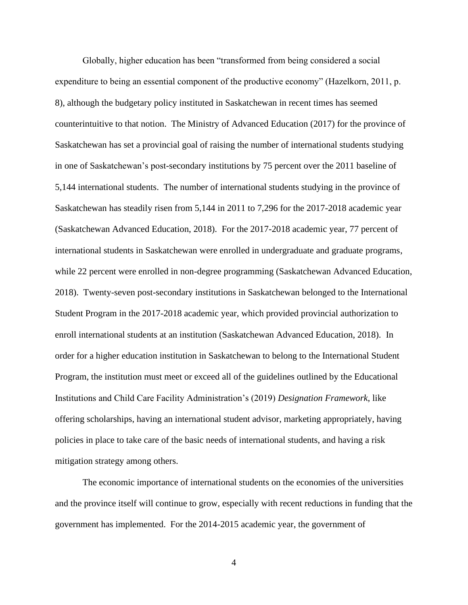Globally, higher education has been "transformed from being considered a social expenditure to being an essential component of the productive economy" (Hazelkorn, 2011, p. 8), although the budgetary policy instituted in Saskatchewan in recent times has seemed counterintuitive to that notion. The Ministry of Advanced Education (2017) for the province of Saskatchewan has set a provincial goal of raising the number of international students studying in one of Saskatchewan's post-secondary institutions by 75 percent over the 2011 baseline of 5,144 international students. The number of international students studying in the province of Saskatchewan has steadily risen from 5,144 in 2011 to 7,296 for the 2017-2018 academic year (Saskatchewan Advanced Education, 2018). For the 2017-2018 academic year, 77 percent of international students in Saskatchewan were enrolled in undergraduate and graduate programs, while 22 percent were enrolled in non-degree programming (Saskatchewan Advanced Education, 2018). Twenty-seven post-secondary institutions in Saskatchewan belonged to the International Student Program in the 2017-2018 academic year, which provided provincial authorization to enroll international students at an institution (Saskatchewan Advanced Education, 2018). In order for a higher education institution in Saskatchewan to belong to the International Student Program, the institution must meet or exceed all of the guidelines outlined by the Educational Institutions and Child Care Facility Administration's (2019) *Designation Framework*, like offering scholarships, having an international student advisor, marketing appropriately, having policies in place to take care of the basic needs of international students, and having a risk mitigation strategy among others.

The economic importance of international students on the economies of the universities and the province itself will continue to grow, especially with recent reductions in funding that the government has implemented. For the 2014-2015 academic year, the government of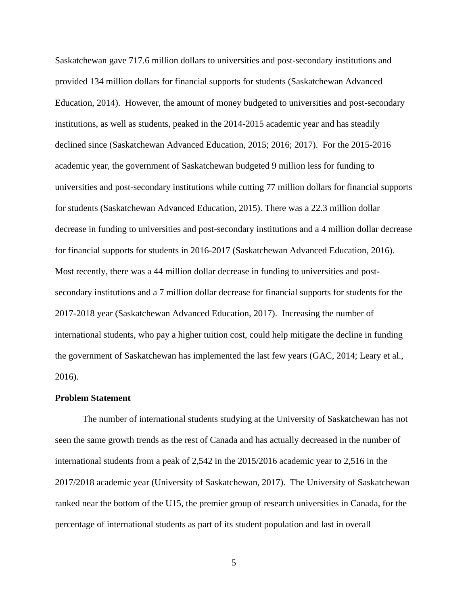Saskatchewan gave 717.6 million dollars to universities and post-secondary institutions and provided 134 million dollars for financial supports for students (Saskatchewan Advanced Education, 2014). However, the amount of money budgeted to universities and post-secondary institutions, as well as students, peaked in the 2014-2015 academic year and has steadily declined since (Saskatchewan Advanced Education, 2015; 2016; 2017). For the 2015-2016 academic year, the government of Saskatchewan budgeted 9 million less for funding to universities and post-secondary institutions while cutting 77 million dollars for financial supports for students (Saskatchewan Advanced Education, 2015). There was a 22.3 million dollar decrease in funding to universities and post-secondary institutions and a 4 million dollar decrease for financial supports for students in 2016-2017 (Saskatchewan Advanced Education, 2016). Most recently, there was a 44 million dollar decrease in funding to universities and postsecondary institutions and a 7 million dollar decrease for financial supports for students for the 2017-2018 year (Saskatchewan Advanced Education, 2017). Increasing the number of international students, who pay a higher tuition cost, could help mitigate the decline in funding the government of Saskatchewan has implemented the last few years (GAC, 2014; Leary et al., 2016).

#### <span id="page-12-0"></span>**Problem Statement**

The number of international students studying at the University of Saskatchewan has not seen the same growth trends as the rest of Canada and has actually decreased in the number of international students from a peak of 2,542 in the 2015/2016 academic year to 2,516 in the 2017/2018 academic year (University of Saskatchewan, 2017). The University of Saskatchewan ranked near the bottom of the U15, the premier group of research universities in Canada, for the percentage of international students as part of its student population and last in overall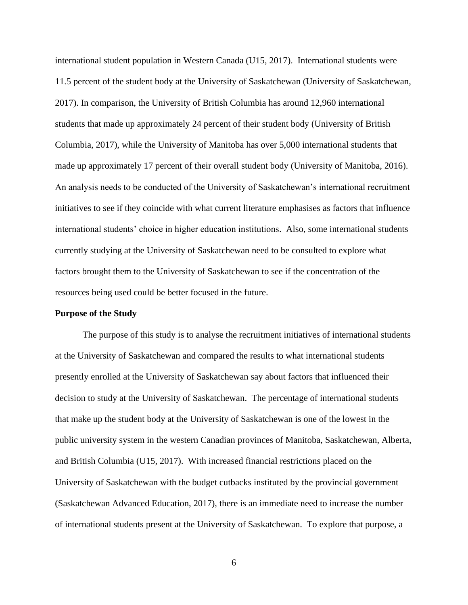international student population in Western Canada (U15, 2017). International students were 11.5 percent of the student body at the University of Saskatchewan (University of Saskatchewan, 2017). In comparison, the University of British Columbia has around 12,960 international students that made up approximately 24 percent of their student body (University of British Columbia, 2017), while the University of Manitoba has over 5,000 international students that made up approximately 17 percent of their overall student body (University of Manitoba, 2016). An analysis needs to be conducted of the University of Saskatchewan's international recruitment initiatives to see if they coincide with what current literature emphasises as factors that influence international students' choice in higher education institutions. Also, some international students currently studying at the University of Saskatchewan need to be consulted to explore what factors brought them to the University of Saskatchewan to see if the concentration of the resources being used could be better focused in the future.

#### <span id="page-13-0"></span>**Purpose of the Study**

The purpose of this study is to analyse the recruitment initiatives of international students at the University of Saskatchewan and compared the results to what international students presently enrolled at the University of Saskatchewan say about factors that influenced their decision to study at the University of Saskatchewan. The percentage of international students that make up the student body at the University of Saskatchewan is one of the lowest in the public university system in the western Canadian provinces of Manitoba, Saskatchewan, Alberta, and British Columbia (U15, 2017). With increased financial restrictions placed on the University of Saskatchewan with the budget cutbacks instituted by the provincial government (Saskatchewan Advanced Education, 2017), there is an immediate need to increase the number of international students present at the University of Saskatchewan. To explore that purpose, a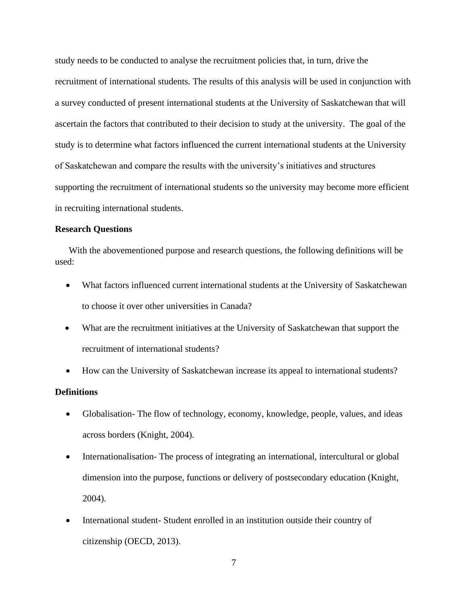study needs to be conducted to analyse the recruitment policies that, in turn, drive the recruitment of international students. The results of this analysis will be used in conjunction with a survey conducted of present international students at the University of Saskatchewan that will ascertain the factors that contributed to their decision to study at the university. The goal of the study is to determine what factors influenced the current international students at the University of Saskatchewan and compare the results with the university's initiatives and structures supporting the recruitment of international students so the university may become more efficient in recruiting international students.

#### <span id="page-14-0"></span>**Research Questions**

 With the abovementioned purpose and research questions, the following definitions will be used:

- What factors influenced current international students at the University of Saskatchewan to choose it over other universities in Canada?
- What are the recruitment initiatives at the University of Saskatchewan that support the recruitment of international students?
- How can the University of Saskatchewan increase its appeal to international students?

#### <span id="page-14-1"></span>**Definitions**

- Globalisation-The flow of technology, economy, knowledge, people, values, and ideas across borders (Knight, 2004).
- Internationalisation-The process of integrating an international, intercultural or global dimension into the purpose, functions or delivery of postsecondary education (Knight, 2004).
- International student- Student enrolled in an institution outside their country of citizenship (OECD, 2013).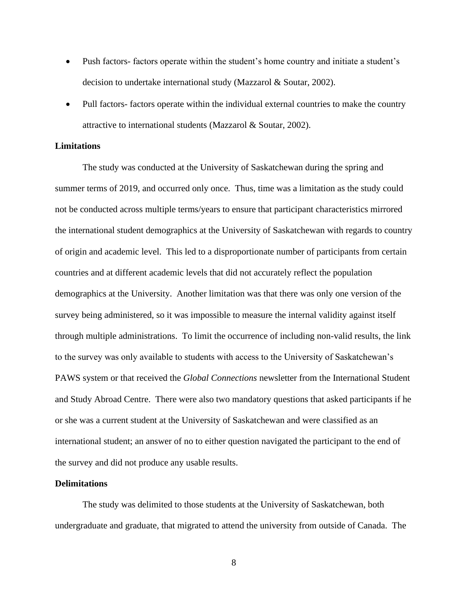- Push factors- factors operate within the student's home country and initiate a student's decision to undertake international study (Mazzarol & Soutar, 2002).
- Pull factors- factors operate within the individual external countries to make the country attractive to international students (Mazzarol & Soutar, 2002).

#### <span id="page-15-0"></span>**Limitations**

The study was conducted at the University of Saskatchewan during the spring and summer terms of 2019, and occurred only once. Thus, time was a limitation as the study could not be conducted across multiple terms/years to ensure that participant characteristics mirrored the international student demographics at the University of Saskatchewan with regards to country of origin and academic level. This led to a disproportionate number of participants from certain countries and at different academic levels that did not accurately reflect the population demographics at the University. Another limitation was that there was only one version of the survey being administered, so it was impossible to measure the internal validity against itself through multiple administrations. To limit the occurrence of including non-valid results, the link to the survey was only available to students with access to the University of Saskatchewan's PAWS system or that received the *Global Connections* newsletter from the International Student and Study Abroad Centre. There were also two mandatory questions that asked participants if he or she was a current student at the University of Saskatchewan and were classified as an international student; an answer of no to either question navigated the participant to the end of the survey and did not produce any usable results.

#### <span id="page-15-1"></span>**Delimitations**

The study was delimited to those students at the University of Saskatchewan, both undergraduate and graduate, that migrated to attend the university from outside of Canada. The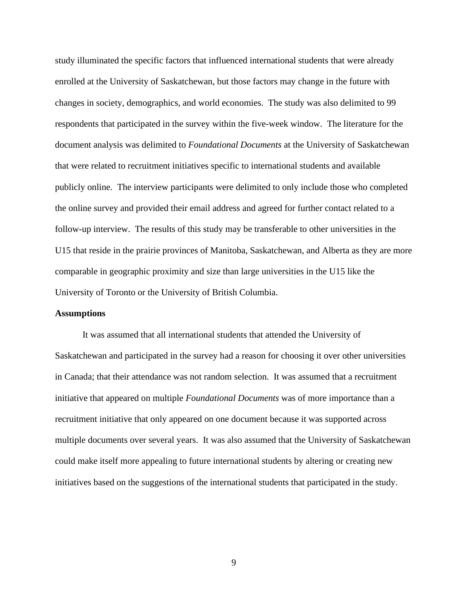study illuminated the specific factors that influenced international students that were already enrolled at the University of Saskatchewan, but those factors may change in the future with changes in society, demographics, and world economies. The study was also delimited to 99 respondents that participated in the survey within the five-week window. The literature for the document analysis was delimited to *Foundational Documents* at the University of Saskatchewan that were related to recruitment initiatives specific to international students and available publicly online. The interview participants were delimited to only include those who completed the online survey and provided their email address and agreed for further contact related to a follow-up interview. The results of this study may be transferable to other universities in the U15 that reside in the prairie provinces of Manitoba, Saskatchewan, and Alberta as they are more comparable in geographic proximity and size than large universities in the U15 like the University of Toronto or the University of British Columbia.

#### <span id="page-16-0"></span>**Assumptions**

It was assumed that all international students that attended the University of Saskatchewan and participated in the survey had a reason for choosing it over other universities in Canada; that their attendance was not random selection. It was assumed that a recruitment initiative that appeared on multiple *Foundational Documents* was of more importance than a recruitment initiative that only appeared on one document because it was supported across multiple documents over several years. It was also assumed that the University of Saskatchewan could make itself more appealing to future international students by altering or creating new initiatives based on the suggestions of the international students that participated in the study.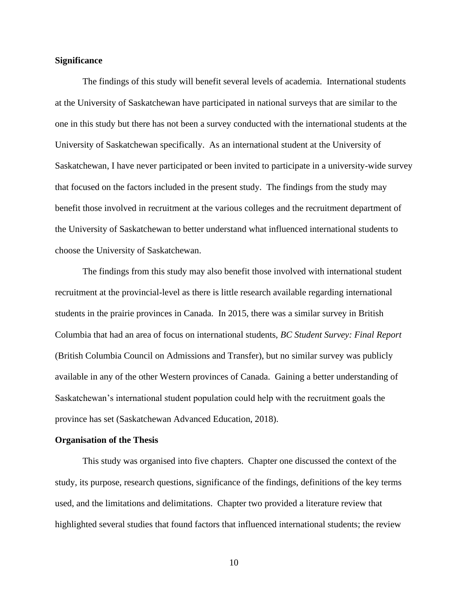#### <span id="page-17-0"></span>**Significance**

The findings of this study will benefit several levels of academia. International students at the University of Saskatchewan have participated in national surveys that are similar to the one in this study but there has not been a survey conducted with the international students at the University of Saskatchewan specifically. As an international student at the University of Saskatchewan, I have never participated or been invited to participate in a university-wide survey that focused on the factors included in the present study. The findings from the study may benefit those involved in recruitment at the various colleges and the recruitment department of the University of Saskatchewan to better understand what influenced international students to choose the University of Saskatchewan.

The findings from this study may also benefit those involved with international student recruitment at the provincial-level as there is little research available regarding international students in the prairie provinces in Canada. In 2015, there was a similar survey in British Columbia that had an area of focus on international students, *BC Student Survey: Final Report* (British Columbia Council on Admissions and Transfer), but no similar survey was publicly available in any of the other Western provinces of Canada. Gaining a better understanding of Saskatchewan's international student population could help with the recruitment goals the province has set (Saskatchewan Advanced Education, 2018).

#### <span id="page-17-1"></span>**Organisation of the Thesis**

This study was organised into five chapters. Chapter one discussed the context of the study, its purpose, research questions, significance of the findings, definitions of the key terms used, and the limitations and delimitations. Chapter two provided a literature review that highlighted several studies that found factors that influenced international students; the review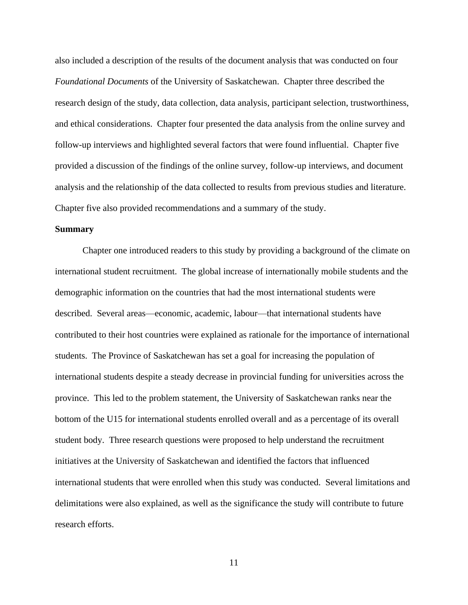also included a description of the results of the document analysis that was conducted on four *Foundational Documents* of the University of Saskatchewan. Chapter three described the research design of the study, data collection, data analysis, participant selection, trustworthiness, and ethical considerations. Chapter four presented the data analysis from the online survey and follow-up interviews and highlighted several factors that were found influential. Chapter five provided a discussion of the findings of the online survey, follow-up interviews, and document analysis and the relationship of the data collected to results from previous studies and literature. Chapter five also provided recommendations and a summary of the study.

#### <span id="page-18-0"></span>**Summary**

Chapter one introduced readers to this study by providing a background of the climate on international student recruitment. The global increase of internationally mobile students and the demographic information on the countries that had the most international students were described. Several areas—economic, academic, labour—that international students have contributed to their host countries were explained as rationale for the importance of international students. The Province of Saskatchewan has set a goal for increasing the population of international students despite a steady decrease in provincial funding for universities across the province. This led to the problem statement, the University of Saskatchewan ranks near the bottom of the U15 for international students enrolled overall and as a percentage of its overall student body. Three research questions were proposed to help understand the recruitment initiatives at the University of Saskatchewan and identified the factors that influenced international students that were enrolled when this study was conducted. Several limitations and delimitations were also explained, as well as the significance the study will contribute to future research efforts.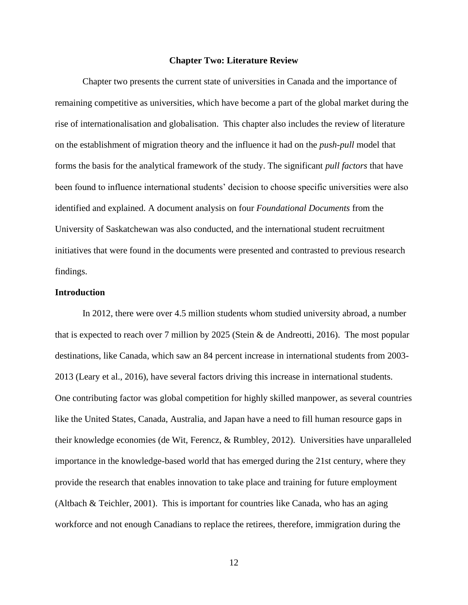#### **Chapter Two: Literature Review**

<span id="page-19-0"></span>Chapter two presents the current state of universities in Canada and the importance of remaining competitive as universities, which have become a part of the global market during the rise of internationalisation and globalisation. This chapter also includes the review of literature on the establishment of migration theory and the influence it had on the *push-pull* model that forms the basis for the analytical framework of the study. The significant *pull factors* that have been found to influence international students' decision to choose specific universities were also identified and explained. A document analysis on four *Foundational Documents* from the University of Saskatchewan was also conducted, and the international student recruitment initiatives that were found in the documents were presented and contrasted to previous research findings.

#### <span id="page-19-1"></span>**Introduction**

In 2012, there were over 4.5 million students whom studied university abroad, a number that is expected to reach over 7 million by 2025 (Stein & de Andreotti, 2016). The most popular destinations, like Canada, which saw an 84 percent increase in international students from 2003- 2013 (Leary et al., 2016), have several factors driving this increase in international students. One contributing factor was global competition for highly skilled manpower, as several countries like the United States, Canada, Australia, and Japan have a need to fill human resource gaps in their knowledge economies (de Wit, Ferencz, & Rumbley, 2012). Universities have unparalleled importance in the knowledge-based world that has emerged during the 21st century, where they provide the research that enables innovation to take place and training for future employment (Altbach & Teichler, 2001). This is important for countries like Canada, who has an aging workforce and not enough Canadians to replace the retirees, therefore, immigration during the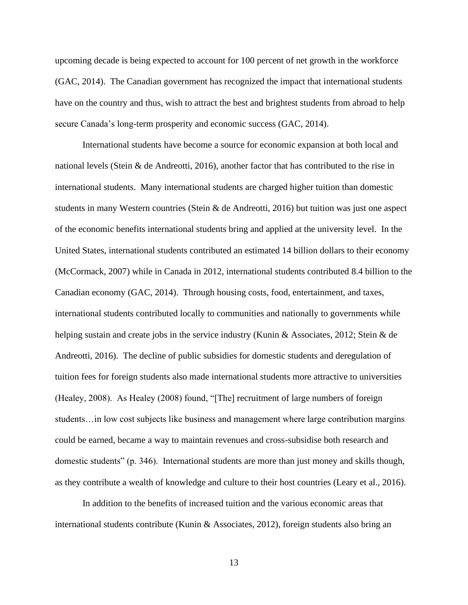upcoming decade is being expected to account for 100 percent of net growth in the workforce (GAC, 2014). The Canadian government has recognized the impact that international students have on the country and thus, wish to attract the best and brightest students from abroad to help secure Canada's long-term prosperity and economic success (GAC, 2014).

International students have become a source for economic expansion at both local and national levels (Stein & de Andreotti, 2016), another factor that has contributed to the rise in international students. Many international students are charged higher tuition than domestic students in many Western countries (Stein & de Andreotti, 2016) but tuition was just one aspect of the economic benefits international students bring and applied at the university level. In the United States, international students contributed an estimated 14 billion dollars to their economy (McCormack, 2007) while in Canada in 2012, international students contributed 8.4 billion to the Canadian economy (GAC, 2014). Through housing costs, food, entertainment, and taxes, international students contributed locally to communities and nationally to governments while helping sustain and create jobs in the service industry (Kunin & Associates, 2012; Stein & de Andreotti, 2016). The decline of public subsidies for domestic students and deregulation of tuition fees for foreign students also made international students more attractive to universities (Healey, 2008). As Healey (2008) found, "[The] recruitment of large numbers of foreign students…in low cost subjects like business and management where large contribution margins could be earned, became a way to maintain revenues and cross-subsidise both research and domestic students" (p. 346). International students are more than just money and skills though, as they contribute a wealth of knowledge and culture to their host countries (Leary et al., 2016).

In addition to the benefits of increased tuition and the various economic areas that international students contribute (Kunin & Associates, 2012), foreign students also bring an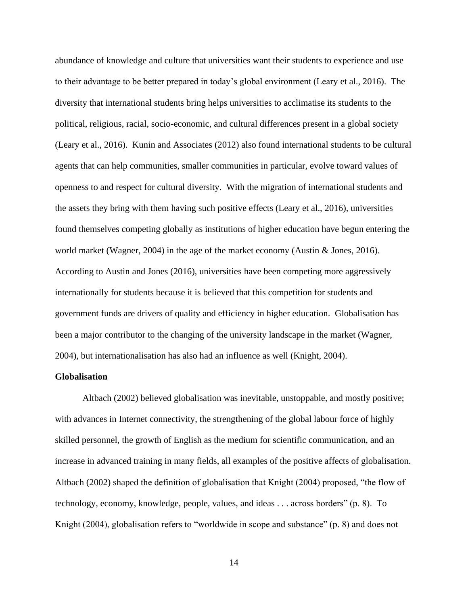abundance of knowledge and culture that universities want their students to experience and use to their advantage to be better prepared in today's global environment (Leary et al., 2016). The diversity that international students bring helps universities to acclimatise its students to the political, religious, racial, socio-economic, and cultural differences present in a global society (Leary et al., 2016). Kunin and Associates (2012) also found international students to be cultural agents that can help communities, smaller communities in particular, evolve toward values of openness to and respect for cultural diversity. With the migration of international students and the assets they bring with them having such positive effects (Leary et al., 2016), universities found themselves competing globally as institutions of higher education have begun entering the world market (Wagner, 2004) in the age of the market economy (Austin & Jones, 2016). According to Austin and Jones (2016), universities have been competing more aggressively internationally for students because it is believed that this competition for students and government funds are drivers of quality and efficiency in higher education. Globalisation has been a major contributor to the changing of the university landscape in the market (Wagner, 2004), but internationalisation has also had an influence as well (Knight, 2004).

#### <span id="page-21-0"></span>**Globalisation**

Altbach (2002) believed globalisation was inevitable, unstoppable, and mostly positive; with advances in Internet connectivity, the strengthening of the global labour force of highly skilled personnel, the growth of English as the medium for scientific communication, and an increase in advanced training in many fields, all examples of the positive affects of globalisation. Altbach (2002) shaped the definition of globalisation that Knight (2004) proposed, "the flow of technology, economy, knowledge, people, values, and ideas . . . across borders" (p. 8). To Knight (2004), globalisation refers to "worldwide in scope and substance" (p. 8) and does not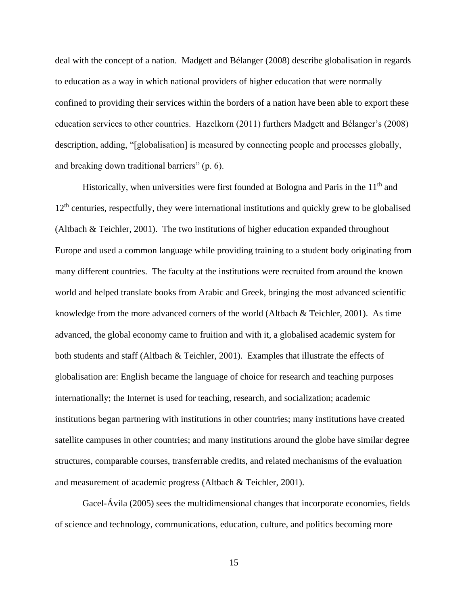deal with the concept of a nation. Madgett and Bélanger (2008) describe globalisation in regards to education as a way in which national providers of higher education that were normally confined to providing their services within the borders of a nation have been able to export these education services to other countries. Hazelkorn (2011) furthers Madgett and Bélanger's (2008) description, adding, "[globalisation] is measured by connecting people and processes globally, and breaking down traditional barriers" (p. 6).

Historically, when universities were first founded at Bologna and Paris in the  $11<sup>th</sup>$  and 12<sup>th</sup> centuries, respectfully, they were international institutions and quickly grew to be globalised (Altbach & Teichler, 2001). The two institutions of higher education expanded throughout Europe and used a common language while providing training to a student body originating from many different countries. The faculty at the institutions were recruited from around the known world and helped translate books from Arabic and Greek, bringing the most advanced scientific knowledge from the more advanced corners of the world (Altbach & Teichler, 2001). As time advanced, the global economy came to fruition and with it, a globalised academic system for both students and staff (Altbach & Teichler, 2001). Examples that illustrate the effects of globalisation are: English became the language of choice for research and teaching purposes internationally; the Internet is used for teaching, research, and socialization; academic institutions began partnering with institutions in other countries; many institutions have created satellite campuses in other countries; and many institutions around the globe have similar degree structures, comparable courses, transferrable credits, and related mechanisms of the evaluation and measurement of academic progress (Altbach & Teichler, 2001).

Gacel-Ávila (2005) sees the multidimensional changes that incorporate economies, fields of science and technology, communications, education, culture, and politics becoming more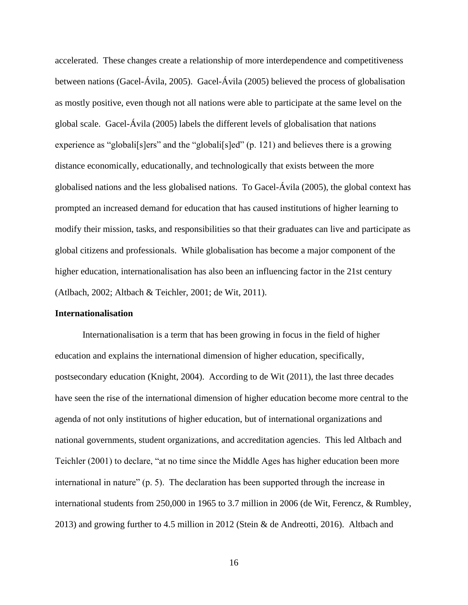accelerated. These changes create a relationship of more interdependence and competitiveness between nations (Gacel-Ávila, 2005). Gacel-Ávila (2005) believed the process of globalisation as mostly positive, even though not all nations were able to participate at the same level on the global scale. Gacel-Ávila (2005) labels the different levels of globalisation that nations experience as "globali[s]ers" and the "globali[s]ed" (p. 121) and believes there is a growing distance economically, educationally, and technologically that exists between the more globalised nations and the less globalised nations. To Gacel-Ávila (2005), the global context has prompted an increased demand for education that has caused institutions of higher learning to modify their mission, tasks, and responsibilities so that their graduates can live and participate as global citizens and professionals. While globalisation has become a major component of the higher education, internationalisation has also been an influencing factor in the 21st century (Atlbach, 2002; Altbach & Teichler, 2001; de Wit, 2011).

#### <span id="page-23-0"></span>**Internationalisation**

Internationalisation is a term that has been growing in focus in the field of higher education and explains the international dimension of higher education, specifically, postsecondary education (Knight, 2004). According to de Wit (2011), the last three decades have seen the rise of the international dimension of higher education become more central to the agenda of not only institutions of higher education, but of international organizations and national governments, student organizations, and accreditation agencies. This led Altbach and Teichler (2001) to declare, "at no time since the Middle Ages has higher education been more international in nature" (p. 5). The declaration has been supported through the increase in international students from 250,000 in 1965 to 3.7 million in 2006 (de Wit, Ferencz, & Rumbley, 2013) and growing further to 4.5 million in 2012 (Stein & de Andreotti, 2016). Altbach and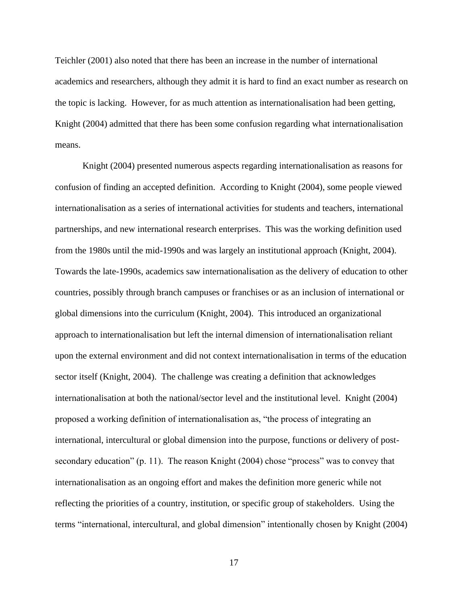Teichler (2001) also noted that there has been an increase in the number of international academics and researchers, although they admit it is hard to find an exact number as research on the topic is lacking. However, for as much attention as internationalisation had been getting, Knight (2004) admitted that there has been some confusion regarding what internationalisation means.

Knight (2004) presented numerous aspects regarding internationalisation as reasons for confusion of finding an accepted definition. According to Knight (2004), some people viewed internationalisation as a series of international activities for students and teachers, international partnerships, and new international research enterprises. This was the working definition used from the 1980s until the mid-1990s and was largely an institutional approach (Knight, 2004). Towards the late-1990s, academics saw internationalisation as the delivery of education to other countries, possibly through branch campuses or franchises or as an inclusion of international or global dimensions into the curriculum (Knight, 2004). This introduced an organizational approach to internationalisation but left the internal dimension of internationalisation reliant upon the external environment and did not context internationalisation in terms of the education sector itself (Knight, 2004). The challenge was creating a definition that acknowledges internationalisation at both the national/sector level and the institutional level. Knight (2004) proposed a working definition of internationalisation as, "the process of integrating an international, intercultural or global dimension into the purpose, functions or delivery of postsecondary education" (p. 11). The reason Knight (2004) chose "process" was to convey that internationalisation as an ongoing effort and makes the definition more generic while not reflecting the priorities of a country, institution, or specific group of stakeholders. Using the terms "international, intercultural, and global dimension" intentionally chosen by Knight (2004)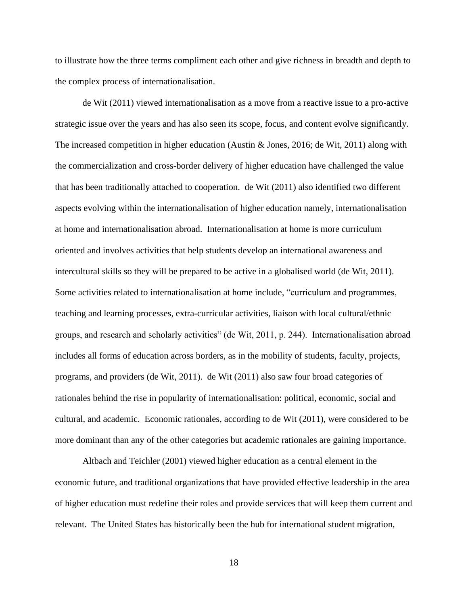to illustrate how the three terms compliment each other and give richness in breadth and depth to the complex process of internationalisation.

de Wit (2011) viewed internationalisation as a move from a reactive issue to a pro-active strategic issue over the years and has also seen its scope, focus, and content evolve significantly. The increased competition in higher education (Austin & Jones, 2016; de Wit, 2011) along with the commercialization and cross-border delivery of higher education have challenged the value that has been traditionally attached to cooperation. de Wit (2011) also identified two different aspects evolving within the internationalisation of higher education namely, internationalisation at home and internationalisation abroad. Internationalisation at home is more curriculum oriented and involves activities that help students develop an international awareness and intercultural skills so they will be prepared to be active in a globalised world (de Wit, 2011). Some activities related to internationalisation at home include, "curriculum and programmes, teaching and learning processes, extra-curricular activities, liaison with local cultural/ethnic groups, and research and scholarly activities" (de Wit, 2011, p. 244). Internationalisation abroad includes all forms of education across borders, as in the mobility of students, faculty, projects, programs, and providers (de Wit, 2011). de Wit (2011) also saw four broad categories of rationales behind the rise in popularity of internationalisation: political, economic, social and cultural, and academic. Economic rationales, according to de Wit (2011), were considered to be more dominant than any of the other categories but academic rationales are gaining importance.

Altbach and Teichler (2001) viewed higher education as a central element in the economic future, and traditional organizations that have provided effective leadership in the area of higher education must redefine their roles and provide services that will keep them current and relevant. The United States has historically been the hub for international student migration,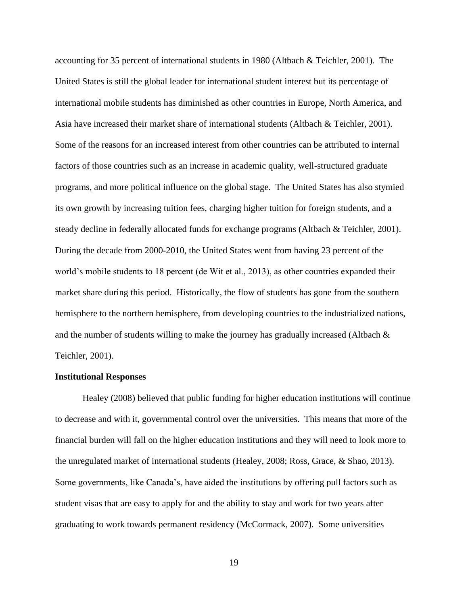accounting for 35 percent of international students in 1980 (Altbach & Teichler, 2001). The United States is still the global leader for international student interest but its percentage of international mobile students has diminished as other countries in Europe, North America, and Asia have increased their market share of international students (Altbach & Teichler, 2001). Some of the reasons for an increased interest from other countries can be attributed to internal factors of those countries such as an increase in academic quality, well-structured graduate programs, and more political influence on the global stage. The United States has also stymied its own growth by increasing tuition fees, charging higher tuition for foreign students, and a steady decline in federally allocated funds for exchange programs (Altbach & Teichler, 2001). During the decade from 2000-2010, the United States went from having 23 percent of the world's mobile students to 18 percent (de Wit et al., 2013), as other countries expanded their market share during this period. Historically, the flow of students has gone from the southern hemisphere to the northern hemisphere, from developing countries to the industrialized nations, and the number of students willing to make the journey has gradually increased (Altbach  $\&$ Teichler, 2001).

#### <span id="page-26-0"></span>**Institutional Responses**

Healey (2008) believed that public funding for higher education institutions will continue to decrease and with it, governmental control over the universities. This means that more of the financial burden will fall on the higher education institutions and they will need to look more to the unregulated market of international students (Healey, 2008; Ross, Grace, & Shao, 2013). Some governments, like Canada's, have aided the institutions by offering pull factors such as student visas that are easy to apply for and the ability to stay and work for two years after graduating to work towards permanent residency (McCormack, 2007). Some universities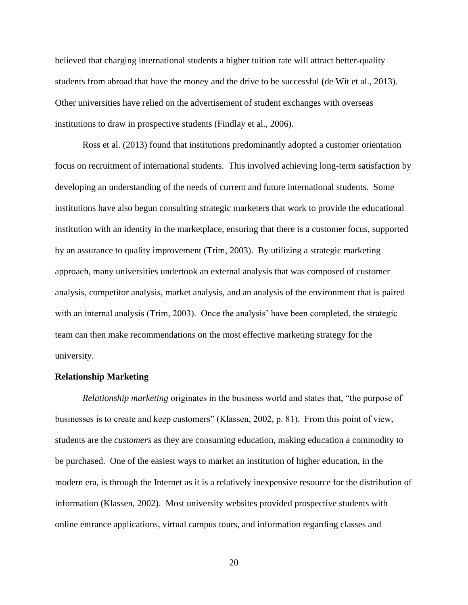believed that charging international students a higher tuition rate will attract better-quality students from abroad that have the money and the drive to be successful (de Wit et al., 2013). Other universities have relied on the advertisement of student exchanges with overseas institutions to draw in prospective students (Findlay et al., 2006).

Ross et al. (2013) found that institutions predominantly adopted a customer orientation focus on recruitment of international students. This involved achieving long-term satisfaction by developing an understanding of the needs of current and future international students. Some institutions have also begun consulting strategic marketers that work to provide the educational institution with an identity in the marketplace, ensuring that there is a customer focus, supported by an assurance to quality improvement (Trim, 2003). By utilizing a strategic marketing approach, many universities undertook an external analysis that was composed of customer analysis, competitor analysis, market analysis, and an analysis of the environment that is paired with an internal analysis (Trim, 2003). Once the analysis' have been completed, the strategic team can then make recommendations on the most effective marketing strategy for the university.

#### <span id="page-27-0"></span>**Relationship Marketing**

*Relationship marketing* originates in the business world and states that, "the purpose of businesses is to create and keep customers" (Klassen, 2002, p. 81). From this point of view, students are the *customers* as they are consuming education, making education a commodity to be purchased. One of the easiest ways to market an institution of higher education, in the modern era, is through the Internet as it is a relatively inexpensive resource for the distribution of information (Klassen, 2002). Most university websites provided prospective students with online entrance applications, virtual campus tours, and information regarding classes and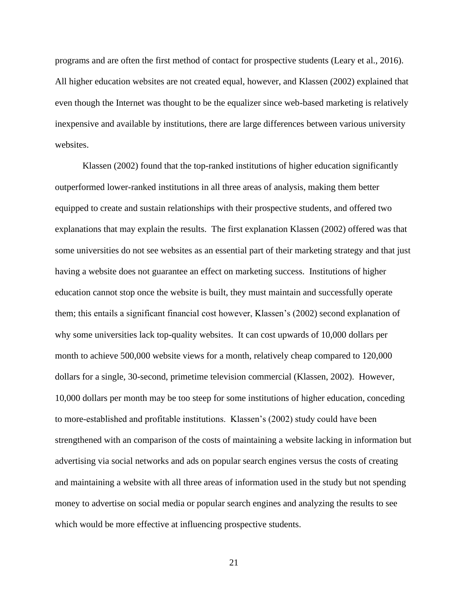programs and are often the first method of contact for prospective students (Leary et al., 2016). All higher education websites are not created equal, however, and Klassen (2002) explained that even though the Internet was thought to be the equalizer since web-based marketing is relatively inexpensive and available by institutions, there are large differences between various university websites.

Klassen (2002) found that the top-ranked institutions of higher education significantly outperformed lower-ranked institutions in all three areas of analysis, making them better equipped to create and sustain relationships with their prospective students, and offered two explanations that may explain the results. The first explanation Klassen (2002) offered was that some universities do not see websites as an essential part of their marketing strategy and that just having a website does not guarantee an effect on marketing success. Institutions of higher education cannot stop once the website is built, they must maintain and successfully operate them; this entails a significant financial cost however, Klassen's (2002) second explanation of why some universities lack top-quality websites. It can cost upwards of 10,000 dollars per month to achieve 500,000 website views for a month, relatively cheap compared to 120,000 dollars for a single, 30-second, primetime television commercial (Klassen, 2002). However, 10,000 dollars per month may be too steep for some institutions of higher education, conceding to more-established and profitable institutions. Klassen's (2002) study could have been strengthened with an comparison of the costs of maintaining a website lacking in information but advertising via social networks and ads on popular search engines versus the costs of creating and maintaining a website with all three areas of information used in the study but not spending money to advertise on social media or popular search engines and analyzing the results to see which would be more effective at influencing prospective students.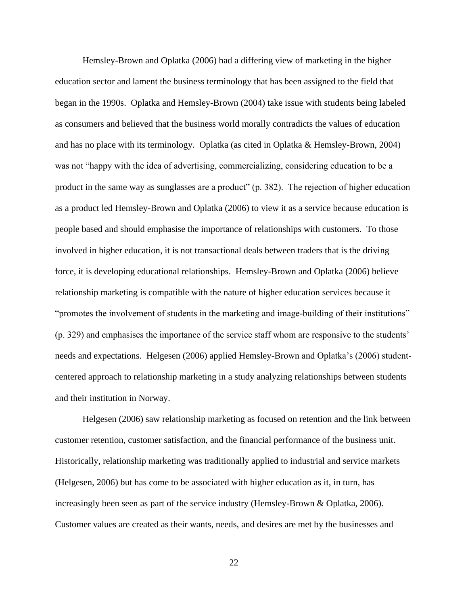Hemsley-Brown and Oplatka (2006) had a differing view of marketing in the higher education sector and lament the business terminology that has been assigned to the field that began in the 1990s. Oplatka and Hemsley-Brown (2004) take issue with students being labeled as consumers and believed that the business world morally contradicts the values of education and has no place with its terminology. Oplatka (as cited in Oplatka & Hemsley-Brown, 2004) was not "happy with the idea of advertising, commercializing, considering education to be a product in the same way as sunglasses are a product" (p. 382). The rejection of higher education as a product led Hemsley-Brown and Oplatka (2006) to view it as a service because education is people based and should emphasise the importance of relationships with customers. To those involved in higher education, it is not transactional deals between traders that is the driving force, it is developing educational relationships. Hemsley-Brown and Oplatka (2006) believe relationship marketing is compatible with the nature of higher education services because it "promotes the involvement of students in the marketing and image-building of their institutions" (p. 329) and emphasises the importance of the service staff whom are responsive to the students' needs and expectations. Helgesen (2006) applied Hemsley-Brown and Oplatka's (2006) studentcentered approach to relationship marketing in a study analyzing relationships between students and their institution in Norway.

Helgesen (2006) saw relationship marketing as focused on retention and the link between customer retention, customer satisfaction, and the financial performance of the business unit. Historically, relationship marketing was traditionally applied to industrial and service markets (Helgesen, 2006) but has come to be associated with higher education as it, in turn, has increasingly been seen as part of the service industry (Hemsley-Brown & Oplatka, 2006). Customer values are created as their wants, needs, and desires are met by the businesses and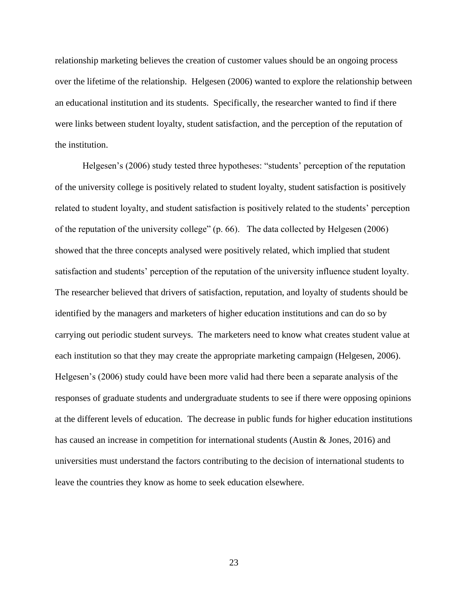relationship marketing believes the creation of customer values should be an ongoing process over the lifetime of the relationship. Helgesen (2006) wanted to explore the relationship between an educational institution and its students. Specifically, the researcher wanted to find if there were links between student loyalty, student satisfaction, and the perception of the reputation of the institution.

Helgesen's (2006) study tested three hypotheses: "students' perception of the reputation of the university college is positively related to student loyalty, student satisfaction is positively related to student loyalty, and student satisfaction is positively related to the students' perception of the reputation of the university college" (p. 66). The data collected by Helgesen (2006) showed that the three concepts analysed were positively related, which implied that student satisfaction and students' perception of the reputation of the university influence student loyalty. The researcher believed that drivers of satisfaction, reputation, and loyalty of students should be identified by the managers and marketers of higher education institutions and can do so by carrying out periodic student surveys. The marketers need to know what creates student value at each institution so that they may create the appropriate marketing campaign (Helgesen, 2006). Helgesen's (2006) study could have been more valid had there been a separate analysis of the responses of graduate students and undergraduate students to see if there were opposing opinions at the different levels of education. The decrease in public funds for higher education institutions has caused an increase in competition for international students (Austin & Jones, 2016) and universities must understand the factors contributing to the decision of international students to leave the countries they know as home to seek education elsewhere.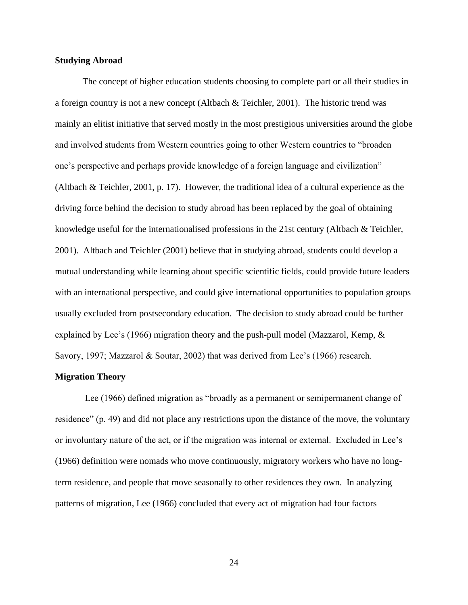#### <span id="page-31-0"></span>**Studying Abroad**

The concept of higher education students choosing to complete part or all their studies in a foreign country is not a new concept (Altbach & Teichler, 2001). The historic trend was mainly an elitist initiative that served mostly in the most prestigious universities around the globe and involved students from Western countries going to other Western countries to "broaden one's perspective and perhaps provide knowledge of a foreign language and civilization" (Altbach & Teichler, 2001, p. 17). However, the traditional idea of a cultural experience as the driving force behind the decision to study abroad has been replaced by the goal of obtaining knowledge useful for the internationalised professions in the 21st century (Altbach & Teichler, 2001). Altbach and Teichler (2001) believe that in studying abroad, students could develop a mutual understanding while learning about specific scientific fields, could provide future leaders with an international perspective, and could give international opportunities to population groups usually excluded from postsecondary education. The decision to study abroad could be further explained by Lee's (1966) migration theory and the push-pull model (Mazzarol, Kemp, & Savory, 1997; Mazzarol & Soutar, 2002) that was derived from Lee's (1966) research.

#### <span id="page-31-1"></span>**Migration Theory**

Lee (1966) defined migration as "broadly as a permanent or semipermanent change of residence" (p. 49) and did not place any restrictions upon the distance of the move, the voluntary or involuntary nature of the act, or if the migration was internal or external. Excluded in Lee's (1966) definition were nomads who move continuously, migratory workers who have no longterm residence, and people that move seasonally to other residences they own. In analyzing patterns of migration, Lee (1966) concluded that every act of migration had four factors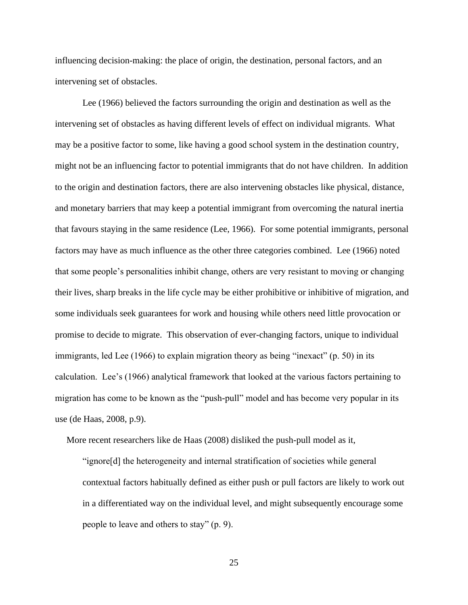influencing decision-making: the place of origin, the destination, personal factors, and an intervening set of obstacles.

Lee (1966) believed the factors surrounding the origin and destination as well as the intervening set of obstacles as having different levels of effect on individual migrants. What may be a positive factor to some, like having a good school system in the destination country, might not be an influencing factor to potential immigrants that do not have children. In addition to the origin and destination factors, there are also intervening obstacles like physical, distance, and monetary barriers that may keep a potential immigrant from overcoming the natural inertia that favours staying in the same residence (Lee, 1966). For some potential immigrants, personal factors may have as much influence as the other three categories combined. Lee (1966) noted that some people's personalities inhibit change, others are very resistant to moving or changing their lives, sharp breaks in the life cycle may be either prohibitive or inhibitive of migration, and some individuals seek guarantees for work and housing while others need little provocation or promise to decide to migrate. This observation of ever-changing factors, unique to individual immigrants, led Lee (1966) to explain migration theory as being "inexact" (p. 50) in its calculation. Lee's (1966) analytical framework that looked at the various factors pertaining to migration has come to be known as the "push-pull" model and has become very popular in its use (de Haas, 2008, p.9).

More recent researchers like de Haas (2008) disliked the push-pull model as it,

"ignore[d] the heterogeneity and internal stratification of societies while general contextual factors habitually defined as either push or pull factors are likely to work out in a differentiated way on the individual level, and might subsequently encourage some people to leave and others to stay" (p. 9).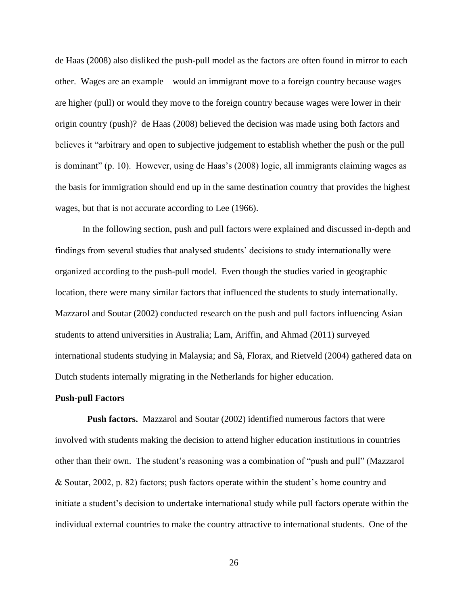de Haas (2008) also disliked the push-pull model as the factors are often found in mirror to each other. Wages are an example—would an immigrant move to a foreign country because wages are higher (pull) or would they move to the foreign country because wages were lower in their origin country (push)? de Haas (2008) believed the decision was made using both factors and believes it "arbitrary and open to subjective judgement to establish whether the push or the pull is dominant" (p. 10). However, using de Haas's (2008) logic, all immigrants claiming wages as the basis for immigration should end up in the same destination country that provides the highest wages, but that is not accurate according to Lee (1966).

In the following section, push and pull factors were explained and discussed in-depth and findings from several studies that analysed students' decisions to study internationally were organized according to the push-pull model. Even though the studies varied in geographic location, there were many similar factors that influenced the students to study internationally. Mazzarol and Soutar (2002) conducted research on the push and pull factors influencing Asian students to attend universities in Australia; Lam, Ariffin, and Ahmad (2011) surveyed international students studying in Malaysia; and Sà, Florax, and Rietveld (2004) gathered data on Dutch students internally migrating in the Netherlands for higher education.

#### <span id="page-33-0"></span>**Push-pull Factors**

**Push factors.** Mazzarol and Soutar (2002) identified numerous factors that were involved with students making the decision to attend higher education institutions in countries other than their own. The student's reasoning was a combination of "push and pull" (Mazzarol & Soutar, 2002, p. 82) factors; push factors operate within the student's home country and initiate a student's decision to undertake international study while pull factors operate within the individual external countries to make the country attractive to international students. One of the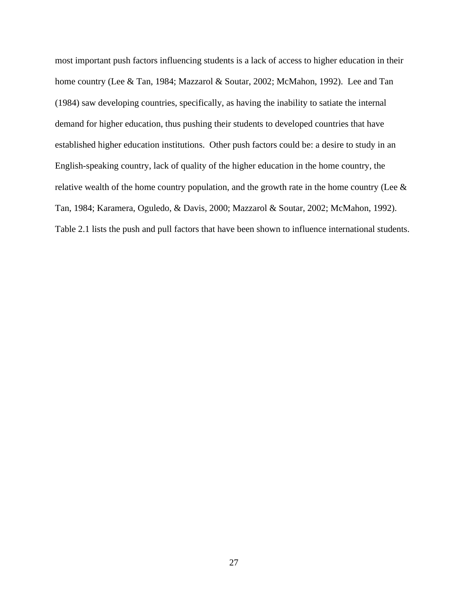most important push factors influencing students is a lack of access to higher education in their home country (Lee & Tan, 1984; Mazzarol & Soutar, 2002; McMahon, 1992). Lee and Tan (1984) saw developing countries, specifically, as having the inability to satiate the internal demand for higher education, thus pushing their students to developed countries that have established higher education institutions. Other push factors could be: a desire to study in an English-speaking country, lack of quality of the higher education in the home country, the relative wealth of the home country population, and the growth rate in the home country (Lee  $\&$ Tan, 1984; Karamera, Oguledo, & Davis, 2000; Mazzarol & Soutar, 2002; McMahon, 1992). Table 2.1 lists the push and pull factors that have been shown to influence international students.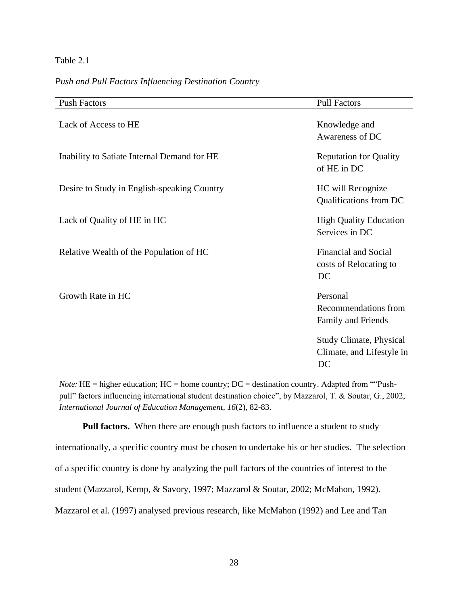#### Table 2.1

#### *Push and Pull Factors Influencing Destination Country*

| <b>Push Factors</b>                         | <b>Pull Factors</b>                                               |
|---------------------------------------------|-------------------------------------------------------------------|
| Lack of Access to HE                        | Knowledge and<br>Awareness of DC                                  |
| Inability to Satiate Internal Demand for HE | <b>Reputation for Quality</b><br>of HE in DC                      |
| Desire to Study in English-speaking Country | HC will Recognize<br>Qualifications from DC                       |
| Lack of Quality of HE in HC                 | <b>High Quality Education</b><br>Services in DC                   |
| Relative Wealth of the Population of HC     | <b>Financial and Social</b><br>costs of Relocating to<br>DC       |
| Growth Rate in HC                           | Personal<br>Recommendations from<br>Family and Friends            |
|                                             | <b>Study Climate, Physical</b><br>Climate, and Lifestyle in<br>DC |

*Note*: HE = higher education; HC = home country; DC = destination country. Adapted from ""Pushpull" factors influencing international student destination choice", by Mazzarol, T. & Soutar, G., 2002, *International Journal of Education Management, 16*(2), 82-83.

**Pull factors.** When there are enough push factors to influence a student to study internationally, a specific country must be chosen to undertake his or her studies. The selection of a specific country is done by analyzing the pull factors of the countries of interest to the student (Mazzarol, Kemp, & Savory, 1997; Mazzarol & Soutar, 2002; McMahon, 1992). Mazzarol et al. (1997) analysed previous research, like McMahon (1992) and Lee and Tan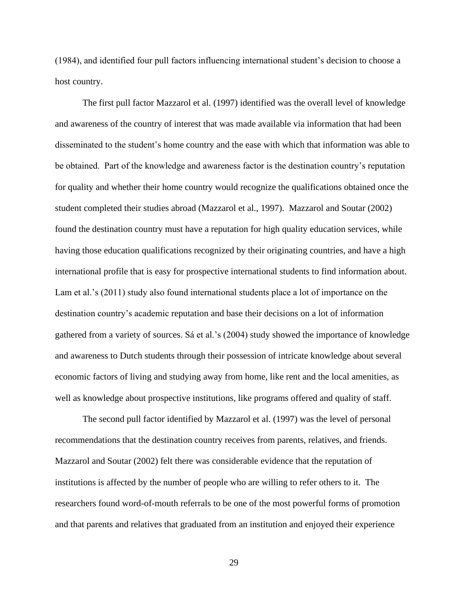(1984), and identified four pull factors influencing international student's decision to choose a host country.

The first pull factor Mazzarol et al. (1997) identified was the overall level of knowledge and awareness of the country of interest that was made available via information that had been disseminated to the student's home country and the ease with which that information was able to be obtained. Part of the knowledge and awareness factor is the destination country's reputation for quality and whether their home country would recognize the qualifications obtained once the student completed their studies abroad (Mazzarol et al., 1997). Mazzarol and Soutar (2002) found the destination country must have a reputation for high quality education services, while having those education qualifications recognized by their originating countries, and have a high international profile that is easy for prospective international students to find information about. Lam et al.'s (2011) study also found international students place a lot of importance on the destination country's academic reputation and base their decisions on a lot of information gathered from a variety of sources. Sá et al.'s (2004) study showed the importance of knowledge and awareness to Dutch students through their possession of intricate knowledge about several economic factors of living and studying away from home, like rent and the local amenities, as well as knowledge about prospective institutions, like programs offered and quality of staff.

The second pull factor identified by Mazzarol et al. (1997) was the level of personal recommendations that the destination country receives from parents, relatives, and friends. Mazzarol and Soutar (2002) felt there was considerable evidence that the reputation of institutions is affected by the number of people who are willing to refer others to it. The researchers found word-of-mouth referrals to be one of the most powerful forms of promotion and that parents and relatives that graduated from an institution and enjoyed their experience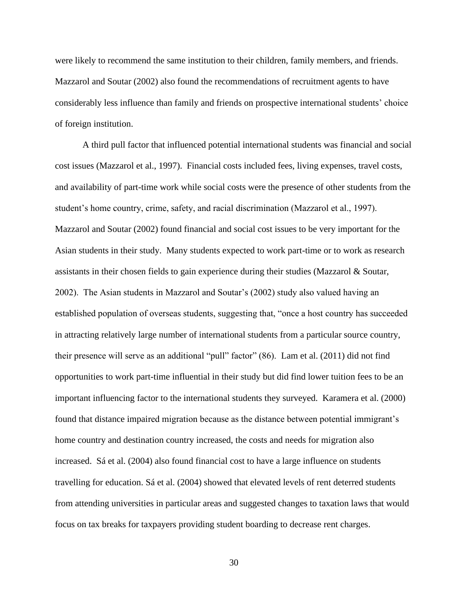were likely to recommend the same institution to their children, family members, and friends. Mazzarol and Soutar (2002) also found the recommendations of recruitment agents to have considerably less influence than family and friends on prospective international students' choice of foreign institution.

A third pull factor that influenced potential international students was financial and social cost issues (Mazzarol et al., 1997). Financial costs included fees, living expenses, travel costs, and availability of part-time work while social costs were the presence of other students from the student's home country, crime, safety, and racial discrimination (Mazzarol et al., 1997). Mazzarol and Soutar (2002) found financial and social cost issues to be very important for the Asian students in their study. Many students expected to work part-time or to work as research assistants in their chosen fields to gain experience during their studies (Mazzarol  $\&$  Soutar, 2002). The Asian students in Mazzarol and Soutar's (2002) study also valued having an established population of overseas students, suggesting that, "once a host country has succeeded in attracting relatively large number of international students from a particular source country, their presence will serve as an additional "pull" factor" (86). Lam et al. (2011) did not find opportunities to work part-time influential in their study but did find lower tuition fees to be an important influencing factor to the international students they surveyed. Karamera et al. (2000) found that distance impaired migration because as the distance between potential immigrant's home country and destination country increased, the costs and needs for migration also increased. Sá et al. (2004) also found financial cost to have a large influence on students travelling for education. Sá et al. (2004) showed that elevated levels of rent deterred students from attending universities in particular areas and suggested changes to taxation laws that would focus on tax breaks for taxpayers providing student boarding to decrease rent charges.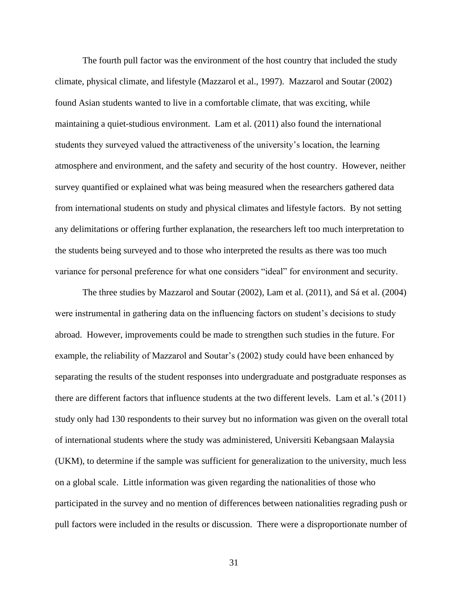The fourth pull factor was the environment of the host country that included the study climate, physical climate, and lifestyle (Mazzarol et al., 1997). Mazzarol and Soutar (2002) found Asian students wanted to live in a comfortable climate, that was exciting, while maintaining a quiet-studious environment. Lam et al. (2011) also found the international students they surveyed valued the attractiveness of the university's location, the learning atmosphere and environment, and the safety and security of the host country. However, neither survey quantified or explained what was being measured when the researchers gathered data from international students on study and physical climates and lifestyle factors. By not setting any delimitations or offering further explanation, the researchers left too much interpretation to the students being surveyed and to those who interpreted the results as there was too much variance for personal preference for what one considers "ideal" for environment and security.

The three studies by Mazzarol and Soutar (2002), Lam et al. (2011), and Sá et al. (2004) were instrumental in gathering data on the influencing factors on student's decisions to study abroad. However, improvements could be made to strengthen such studies in the future. For example, the reliability of Mazzarol and Soutar's (2002) study could have been enhanced by separating the results of the student responses into undergraduate and postgraduate responses as there are different factors that influence students at the two different levels. Lam et al.'s (2011) study only had 130 respondents to their survey but no information was given on the overall total of international students where the study was administered, Universiti Kebangsaan Malaysia (UKM), to determine if the sample was sufficient for generalization to the university, much less on a global scale. Little information was given regarding the nationalities of those who participated in the survey and no mention of differences between nationalities regrading push or pull factors were included in the results or discussion. There were a disproportionate number of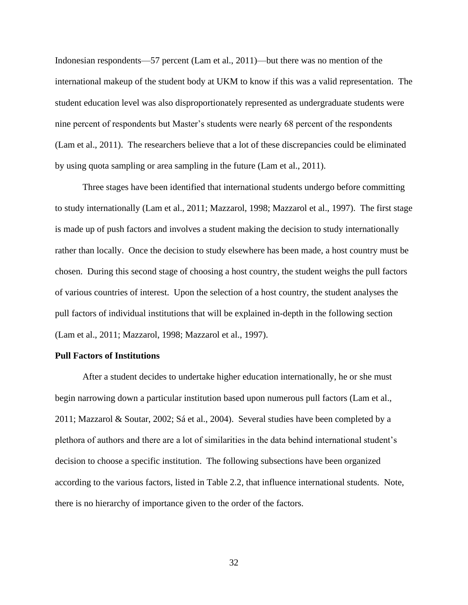Indonesian respondents—57 percent (Lam et al., 2011)—but there was no mention of the international makeup of the student body at UKM to know if this was a valid representation. The student education level was also disproportionately represented as undergraduate students were nine percent of respondents but Master's students were nearly 68 percent of the respondents (Lam et al., 2011). The researchers believe that a lot of these discrepancies could be eliminated by using quota sampling or area sampling in the future (Lam et al., 2011).

Three stages have been identified that international students undergo before committing to study internationally (Lam et al., 2011; Mazzarol, 1998; Mazzarol et al., 1997). The first stage is made up of push factors and involves a student making the decision to study internationally rather than locally. Once the decision to study elsewhere has been made, a host country must be chosen. During this second stage of choosing a host country, the student weighs the pull factors of various countries of interest. Upon the selection of a host country, the student analyses the pull factors of individual institutions that will be explained in-depth in the following section (Lam et al., 2011; Mazzarol, 1998; Mazzarol et al., 1997).

### **Pull Factors of Institutions**

After a student decides to undertake higher education internationally, he or she must begin narrowing down a particular institution based upon numerous pull factors (Lam et al., 2011; Mazzarol & Soutar, 2002; Sá et al., 2004). Several studies have been completed by a plethora of authors and there are a lot of similarities in the data behind international student's decision to choose a specific institution. The following subsections have been organized according to the various factors, listed in Table 2.2, that influence international students. Note, there is no hierarchy of importance given to the order of the factors.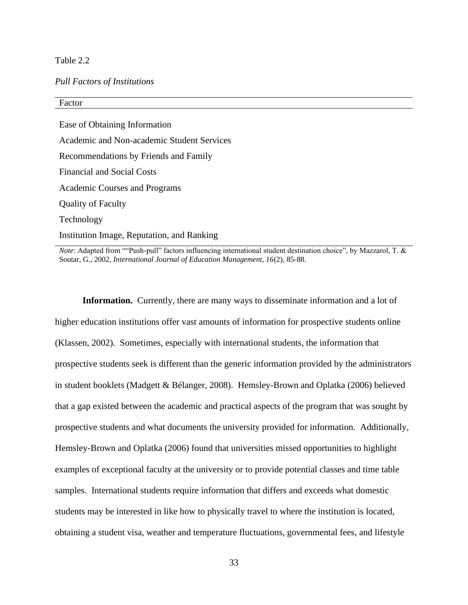# Table 2.2

## *Pull Factors of Institutions*

# Factor Ease of Obtaining Information Academic and Non-academic Student Services Recommendations by Friends and Family Financial and Social Costs Academic Courses and Programs Quality of Faculty Technology Institution Image, Reputation, and Ranking

*Note*: Adapted from ""Push-pull" factors influencing international student destination choice", by Mazzarol, T. & Soutar, G., 2002*, International Journal of Education Management, 16*(2), 85-88.

**Information.** Currently, there are many ways to disseminate information and a lot of higher education institutions offer vast amounts of information for prospective students online (Klassen, 2002). Sometimes, especially with international students, the information that prospective students seek is different than the generic information provided by the administrators in student booklets (Madgett & Bélanger, 2008). Hemsley-Brown and Oplatka (2006) believed that a gap existed between the academic and practical aspects of the program that was sought by prospective students and what documents the university provided for information. Additionally, Hemsley-Brown and Oplatka (2006) found that universities missed opportunities to highlight examples of exceptional faculty at the university or to provide potential classes and time table samples. International students require information that differs and exceeds what domestic students may be interested in like how to physically travel to where the institution is located, obtaining a student visa, weather and temperature fluctuations, governmental fees, and lifestyle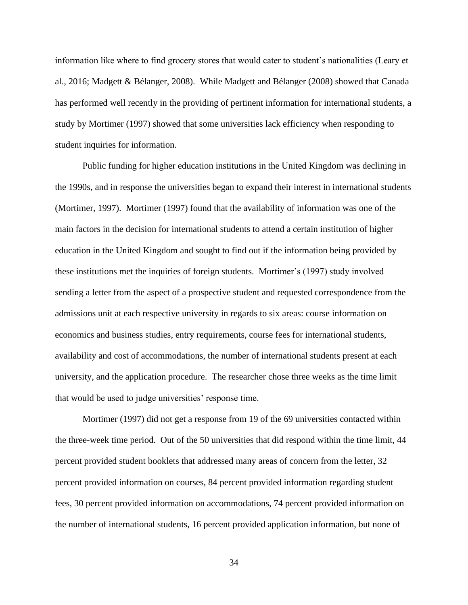information like where to find grocery stores that would cater to student's nationalities (Leary et al., 2016; Madgett & Bélanger, 2008). While Madgett and Bélanger (2008) showed that Canada has performed well recently in the providing of pertinent information for international students, a study by Mortimer (1997) showed that some universities lack efficiency when responding to student inquiries for information.

Public funding for higher education institutions in the United Kingdom was declining in the 1990s, and in response the universities began to expand their interest in international students (Mortimer, 1997). Mortimer (1997) found that the availability of information was one of the main factors in the decision for international students to attend a certain institution of higher education in the United Kingdom and sought to find out if the information being provided by these institutions met the inquiries of foreign students. Mortimer's (1997) study involved sending a letter from the aspect of a prospective student and requested correspondence from the admissions unit at each respective university in regards to six areas: course information on economics and business studies, entry requirements, course fees for international students, availability and cost of accommodations, the number of international students present at each university, and the application procedure. The researcher chose three weeks as the time limit that would be used to judge universities' response time.

Mortimer (1997) did not get a response from 19 of the 69 universities contacted within the three-week time period. Out of the 50 universities that did respond within the time limit, 44 percent provided student booklets that addressed many areas of concern from the letter, 32 percent provided information on courses, 84 percent provided information regarding student fees, 30 percent provided information on accommodations, 74 percent provided information on the number of international students, 16 percent provided application information, but none of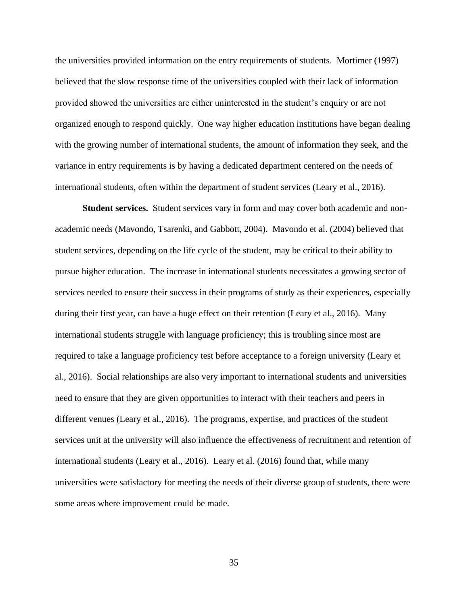the universities provided information on the entry requirements of students. Mortimer (1997) believed that the slow response time of the universities coupled with their lack of information provided showed the universities are either uninterested in the student's enquiry or are not organized enough to respond quickly. One way higher education institutions have began dealing with the growing number of international students, the amount of information they seek, and the variance in entry requirements is by having a dedicated department centered on the needs of international students, often within the department of student services (Leary et al., 2016).

**Student services.** Student services vary in form and may cover both academic and nonacademic needs (Mavondo, Tsarenki, and Gabbott, 2004). Mavondo et al. (2004) believed that student services, depending on the life cycle of the student, may be critical to their ability to pursue higher education. The increase in international students necessitates a growing sector of services needed to ensure their success in their programs of study as their experiences, especially during their first year, can have a huge effect on their retention (Leary et al., 2016). Many international students struggle with language proficiency; this is troubling since most are required to take a language proficiency test before acceptance to a foreign university (Leary et al., 2016). Social relationships are also very important to international students and universities need to ensure that they are given opportunities to interact with their teachers and peers in different venues (Leary et al., 2016). The programs, expertise, and practices of the student services unit at the university will also influence the effectiveness of recruitment and retention of international students (Leary et al., 2016). Leary et al. (2016) found that, while many universities were satisfactory for meeting the needs of their diverse group of students, there were some areas where improvement could be made.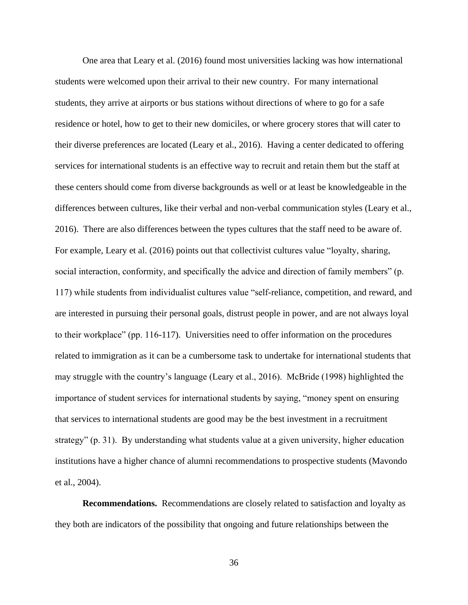One area that Leary et al. (2016) found most universities lacking was how international students were welcomed upon their arrival to their new country. For many international students, they arrive at airports or bus stations without directions of where to go for a safe residence or hotel, how to get to their new domiciles, or where grocery stores that will cater to their diverse preferences are located (Leary et al., 2016). Having a center dedicated to offering services for international students is an effective way to recruit and retain them but the staff at these centers should come from diverse backgrounds as well or at least be knowledgeable in the differences between cultures, like their verbal and non-verbal communication styles (Leary et al., 2016). There are also differences between the types cultures that the staff need to be aware of. For example, Leary et al. (2016) points out that collectivist cultures value "loyalty, sharing, social interaction, conformity, and specifically the advice and direction of family members" (p. 117) while students from individualist cultures value "self-reliance, competition, and reward, and are interested in pursuing their personal goals, distrust people in power, and are not always loyal to their workplace" (pp. 116-117). Universities need to offer information on the procedures related to immigration as it can be a cumbersome task to undertake for international students that may struggle with the country's language (Leary et al., 2016). McBride (1998) highlighted the importance of student services for international students by saying, "money spent on ensuring that services to international students are good may be the best investment in a recruitment strategy" (p. 31). By understanding what students value at a given university, higher education institutions have a higher chance of alumni recommendations to prospective students (Mavondo et al., 2004).

**Recommendations.** Recommendations are closely related to satisfaction and loyalty as they both are indicators of the possibility that ongoing and future relationships between the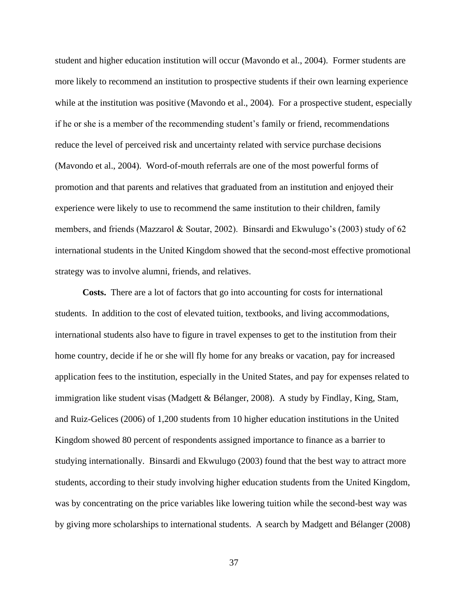student and higher education institution will occur (Mavondo et al., 2004). Former students are more likely to recommend an institution to prospective students if their own learning experience while at the institution was positive (Mavondo et al., 2004). For a prospective student, especially if he or she is a member of the recommending student's family or friend, recommendations reduce the level of perceived risk and uncertainty related with service purchase decisions (Mavondo et al., 2004). Word-of-mouth referrals are one of the most powerful forms of promotion and that parents and relatives that graduated from an institution and enjoyed their experience were likely to use to recommend the same institution to their children, family members, and friends (Mazzarol & Soutar, 2002). Binsardi and Ekwulugo's (2003) study of 62 international students in the United Kingdom showed that the second-most effective promotional strategy was to involve alumni, friends, and relatives.

**Costs.** There are a lot of factors that go into accounting for costs for international students. In addition to the cost of elevated tuition, textbooks, and living accommodations, international students also have to figure in travel expenses to get to the institution from their home country, decide if he or she will fly home for any breaks or vacation, pay for increased application fees to the institution, especially in the United States, and pay for expenses related to immigration like student visas (Madgett & Bélanger, 2008). A study by Findlay, King, Stam, and Ruiz-Gelices (2006) of 1,200 students from 10 higher education institutions in the United Kingdom showed 80 percent of respondents assigned importance to finance as a barrier to studying internationally. Binsardi and Ekwulugo (2003) found that the best way to attract more students, according to their study involving higher education students from the United Kingdom, was by concentrating on the price variables like lowering tuition while the second-best way was by giving more scholarships to international students. A search by Madgett and Bélanger (2008)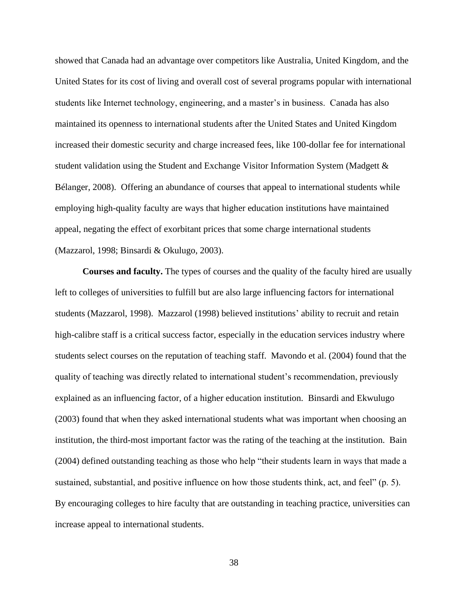showed that Canada had an advantage over competitors like Australia, United Kingdom, and the United States for its cost of living and overall cost of several programs popular with international students like Internet technology, engineering, and a master's in business. Canada has also maintained its openness to international students after the United States and United Kingdom increased their domestic security and charge increased fees, like 100-dollar fee for international student validation using the Student and Exchange Visitor Information System (Madgett & Bélanger, 2008). Offering an abundance of courses that appeal to international students while employing high-quality faculty are ways that higher education institutions have maintained appeal, negating the effect of exorbitant prices that some charge international students (Mazzarol, 1998; Binsardi & Okulugo, 2003).

**Courses and faculty.** The types of courses and the quality of the faculty hired are usually left to colleges of universities to fulfill but are also large influencing factors for international students (Mazzarol, 1998). Mazzarol (1998) believed institutions' ability to recruit and retain high-calibre staff is a critical success factor, especially in the education services industry where students select courses on the reputation of teaching staff. Mavondo et al. (2004) found that the quality of teaching was directly related to international student's recommendation, previously explained as an influencing factor, of a higher education institution. Binsardi and Ekwulugo (2003) found that when they asked international students what was important when choosing an institution, the third-most important factor was the rating of the teaching at the institution. Bain (2004) defined outstanding teaching as those who help "their students learn in ways that made a sustained, substantial, and positive influence on how those students think, act, and feel" (p. 5). By encouraging colleges to hire faculty that are outstanding in teaching practice, universities can increase appeal to international students.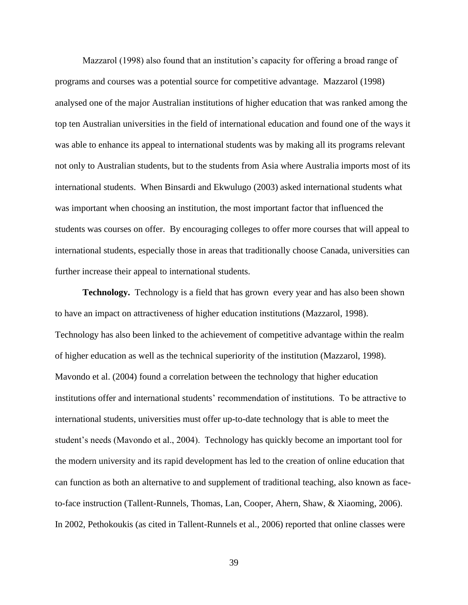Mazzarol (1998) also found that an institution's capacity for offering a broad range of programs and courses was a potential source for competitive advantage. Mazzarol (1998) analysed one of the major Australian institutions of higher education that was ranked among the top ten Australian universities in the field of international education and found one of the ways it was able to enhance its appeal to international students was by making all its programs relevant not only to Australian students, but to the students from Asia where Australia imports most of its international students. When Binsardi and Ekwulugo (2003) asked international students what was important when choosing an institution, the most important factor that influenced the students was courses on offer. By encouraging colleges to offer more courses that will appeal to international students, especially those in areas that traditionally choose Canada, universities can further increase their appeal to international students.

**Technology.** Technology is a field that has grown every year and has also been shown to have an impact on attractiveness of higher education institutions (Mazzarol, 1998). Technology has also been linked to the achievement of competitive advantage within the realm of higher education as well as the technical superiority of the institution (Mazzarol, 1998). Mavondo et al. (2004) found a correlation between the technology that higher education institutions offer and international students' recommendation of institutions. To be attractive to international students, universities must offer up-to-date technology that is able to meet the student's needs (Mavondo et al., 2004). Technology has quickly become an important tool for the modern university and its rapid development has led to the creation of online education that can function as both an alternative to and supplement of traditional teaching, also known as faceto-face instruction (Tallent-Runnels, Thomas, Lan, Cooper, Ahern, Shaw, & Xiaoming, 2006). In 2002, Pethokoukis (as cited in Tallent-Runnels et al., 2006) reported that online classes were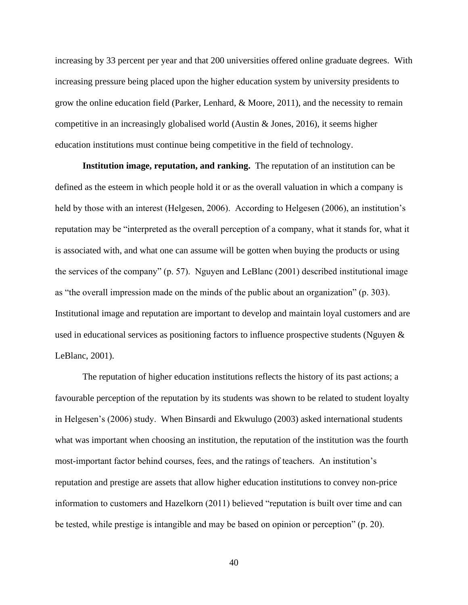increasing by 33 percent per year and that 200 universities offered online graduate degrees. With increasing pressure being placed upon the higher education system by university presidents to grow the online education field (Parker, Lenhard, & Moore, 2011), and the necessity to remain competitive in an increasingly globalised world (Austin & Jones, 2016), it seems higher education institutions must continue being competitive in the field of technology.

**Institution image, reputation, and ranking.** The reputation of an institution can be defined as the esteem in which people hold it or as the overall valuation in which a company is held by those with an interest (Helgesen, 2006). According to Helgesen (2006), an institution's reputation may be "interpreted as the overall perception of a company, what it stands for, what it is associated with, and what one can assume will be gotten when buying the products or using the services of the company" (p. 57). Nguyen and LeBlanc (2001) described institutional image as "the overall impression made on the minds of the public about an organization" (p. 303). Institutional image and reputation are important to develop and maintain loyal customers and are used in educational services as positioning factors to influence prospective students (Nguyen & LeBlanc, 2001).

The reputation of higher education institutions reflects the history of its past actions; a favourable perception of the reputation by its students was shown to be related to student loyalty in Helgesen's (2006) study. When Binsardi and Ekwulugo (2003) asked international students what was important when choosing an institution, the reputation of the institution was the fourth most-important factor behind courses, fees, and the ratings of teachers. An institution's reputation and prestige are assets that allow higher education institutions to convey non-price information to customers and Hazelkorn (2011) believed "reputation is built over time and can be tested, while prestige is intangible and may be based on opinion or perception" (p. 20).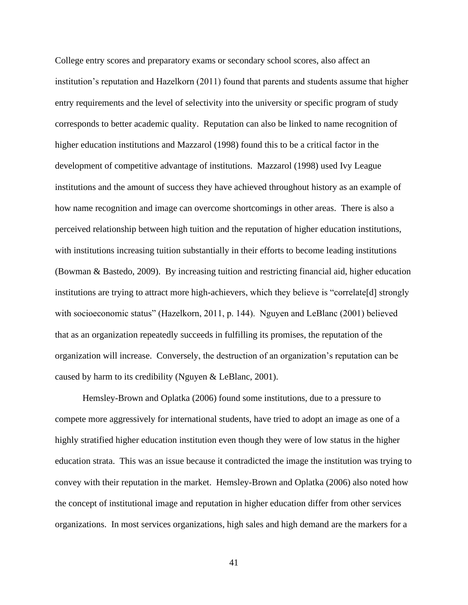College entry scores and preparatory exams or secondary school scores, also affect an institution's reputation and Hazelkorn (2011) found that parents and students assume that higher entry requirements and the level of selectivity into the university or specific program of study corresponds to better academic quality. Reputation can also be linked to name recognition of higher education institutions and Mazzarol (1998) found this to be a critical factor in the development of competitive advantage of institutions. Mazzarol (1998) used Ivy League institutions and the amount of success they have achieved throughout history as an example of how name recognition and image can overcome shortcomings in other areas. There is also a perceived relationship between high tuition and the reputation of higher education institutions, with institutions increasing tuition substantially in their efforts to become leading institutions (Bowman & Bastedo, 2009). By increasing tuition and restricting financial aid, higher education institutions are trying to attract more high-achievers, which they believe is "correlate[d] strongly with socioeconomic status" (Hazelkorn, 2011, p. 144). Nguyen and LeBlanc (2001) believed that as an organization repeatedly succeeds in fulfilling its promises, the reputation of the organization will increase. Conversely, the destruction of an organization's reputation can be caused by harm to its credibility (Nguyen & LeBlanc, 2001).

Hemsley-Brown and Oplatka (2006) found some institutions, due to a pressure to compete more aggressively for international students, have tried to adopt an image as one of a highly stratified higher education institution even though they were of low status in the higher education strata. This was an issue because it contradicted the image the institution was trying to convey with their reputation in the market. Hemsley-Brown and Oplatka (2006) also noted how the concept of institutional image and reputation in higher education differ from other services organizations. In most services organizations, high sales and high demand are the markers for a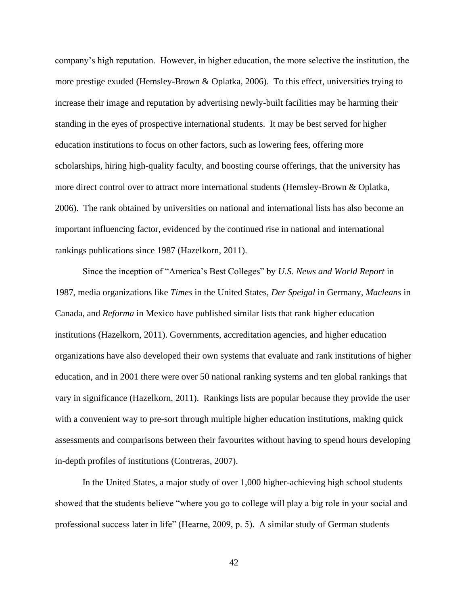company's high reputation. However, in higher education, the more selective the institution, the more prestige exuded (Hemsley-Brown & Oplatka, 2006). To this effect, universities trying to increase their image and reputation by advertising newly-built facilities may be harming their standing in the eyes of prospective international students. It may be best served for higher education institutions to focus on other factors, such as lowering fees, offering more scholarships, hiring high-quality faculty, and boosting course offerings, that the university has more direct control over to attract more international students (Hemsley-Brown & Oplatka, 2006). The rank obtained by universities on national and international lists has also become an important influencing factor, evidenced by the continued rise in national and international rankings publications since 1987 (Hazelkorn, 2011).

Since the inception of "America's Best Colleges" by *U.S. News and World Report* in 1987, media organizations like *Times* in the United States, *Der Speigal* in Germany, *Macleans* in Canada, and *Reforma* in Mexico have published similar lists that rank higher education institutions (Hazelkorn, 2011). Governments, accreditation agencies, and higher education organizations have also developed their own systems that evaluate and rank institutions of higher education, and in 2001 there were over 50 national ranking systems and ten global rankings that vary in significance (Hazelkorn, 2011). Rankings lists are popular because they provide the user with a convenient way to pre-sort through multiple higher education institutions, making quick assessments and comparisons between their favourites without having to spend hours developing in-depth profiles of institutions (Contreras, 2007).

In the United States, a major study of over 1,000 higher-achieving high school students showed that the students believe "where you go to college will play a big role in your social and professional success later in life" (Hearne, 2009, p. 5). A similar study of German students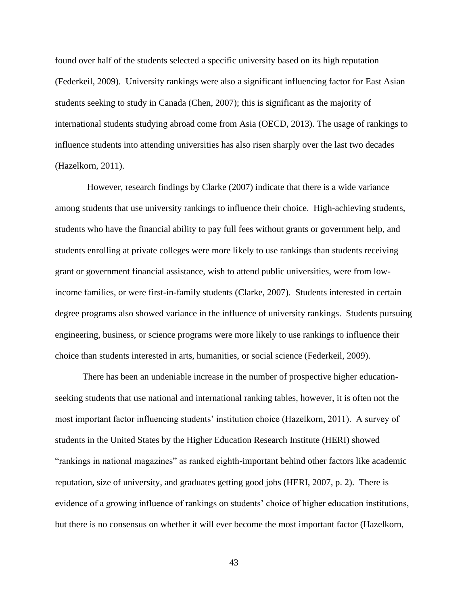found over half of the students selected a specific university based on its high reputation (Federkeil, 2009). University rankings were also a significant influencing factor for East Asian students seeking to study in Canada (Chen, 2007); this is significant as the majority of international students studying abroad come from Asia (OECD, 2013). The usage of rankings to influence students into attending universities has also risen sharply over the last two decades (Hazelkorn, 2011).

 However, research findings by Clarke (2007) indicate that there is a wide variance among students that use university rankings to influence their choice. High-achieving students, students who have the financial ability to pay full fees without grants or government help, and students enrolling at private colleges were more likely to use rankings than students receiving grant or government financial assistance, wish to attend public universities, were from lowincome families, or were first-in-family students (Clarke, 2007). Students interested in certain degree programs also showed variance in the influence of university rankings. Students pursuing engineering, business, or science programs were more likely to use rankings to influence their choice than students interested in arts, humanities, or social science (Federkeil, 2009).

There has been an undeniable increase in the number of prospective higher educationseeking students that use national and international ranking tables, however, it is often not the most important factor influencing students' institution choice (Hazelkorn, 2011). A survey of students in the United States by the Higher Education Research Institute (HERI) showed "rankings in national magazines" as ranked eighth-important behind other factors like academic reputation, size of university, and graduates getting good jobs (HERI, 2007, p. 2). There is evidence of a growing influence of rankings on students' choice of higher education institutions, but there is no consensus on whether it will ever become the most important factor (Hazelkorn,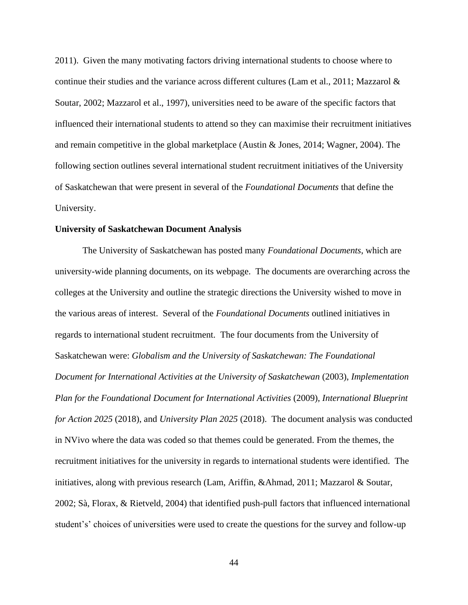2011). Given the many motivating factors driving international students to choose where to continue their studies and the variance across different cultures (Lam et al., 2011; Mazzarol & Soutar, 2002; Mazzarol et al., 1997), universities need to be aware of the specific factors that influenced their international students to attend so they can maximise their recruitment initiatives and remain competitive in the global marketplace (Austin & Jones, 2014; Wagner, 2004). The following section outlines several international student recruitment initiatives of the University of Saskatchewan that were present in several of the *Foundational Documents* that define the University.

#### **University of Saskatchewan Document Analysis**

The University of Saskatchewan has posted many *Foundational Documents*, which are university-wide planning documents, on its webpage. The documents are overarching across the colleges at the University and outline the strategic directions the University wished to move in the various areas of interest. Several of the *Foundational Documents* outlined initiatives in regards to international student recruitment. The four documents from the University of Saskatchewan were: *Globalism and the University of Saskatchewan: The Foundational Document for International Activities at the University of Saskatchewan* (2003), *Implementation Plan for the Foundational Document for International Activities* (2009)*, International Blueprint for Action 2025* (2018), and *University Plan 2025* (2018). The document analysis was conducted in NVivo where the data was coded so that themes could be generated. From the themes, the recruitment initiatives for the university in regards to international students were identified. The initiatives, along with previous research (Lam, Ariffin, &Ahmad, 2011; Mazzarol & Soutar, 2002; Sà, Florax, & Rietveld, 2004) that identified push-pull factors that influenced international student's' choices of universities were used to create the questions for the survey and follow-up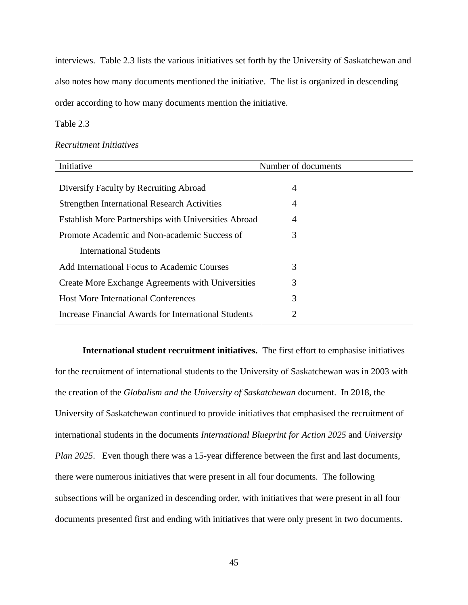interviews. Table 2.3 lists the various initiatives set forth by the University of Saskatchewan and also notes how many documents mentioned the initiative. The list is organized in descending order according to how many documents mention the initiative.

# Table 2.3

#### *Recruitment Initiatives*

| Initiative                                           | Number of documents |
|------------------------------------------------------|---------------------|
|                                                      |                     |
| Diversify Faculty by Recruiting Abroad               | 4                   |
| <b>Strengthen International Research Activities</b>  | 4                   |
| Establish More Partnerships with Universities Abroad | 4                   |
| Promote Academic and Non-academic Success of         | 3                   |
| <b>International Students</b>                        |                     |
| Add International Focus to Academic Courses          | 3                   |
| Create More Exchange Agreements with Universities    | 3                   |
| <b>Host More International Conferences</b>           | 3                   |
| Increase Financial Awards for International Students | 2                   |

**International student recruitment initiatives.** The first effort to emphasise initiatives for the recruitment of international students to the University of Saskatchewan was in 2003 with the creation of the *Globalism and the University of Saskatchewan* document. In 2018, the University of Saskatchewan continued to provide initiatives that emphasised the recruitment of international students in the documents *International Blueprint for Action 2025* and *University Plan 2025*. Even though there was a 15-year difference between the first and last documents, there were numerous initiatives that were present in all four documents. The following subsections will be organized in descending order, with initiatives that were present in all four documents presented first and ending with initiatives that were only present in two documents.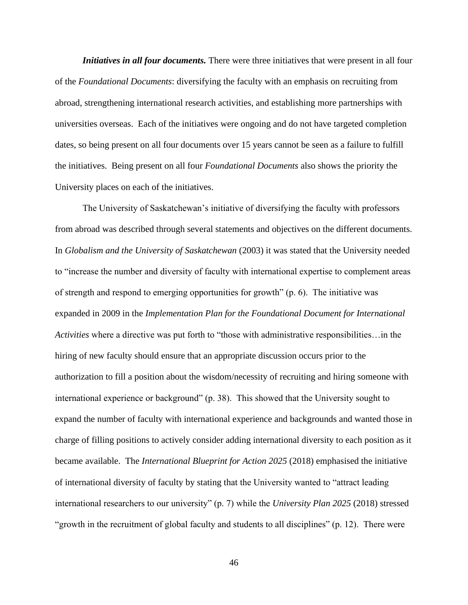*Initiatives in all four documents.* There were three initiatives that were present in all four of the *Foundational Documents*: diversifying the faculty with an emphasis on recruiting from abroad, strengthening international research activities, and establishing more partnerships with universities overseas. Each of the initiatives were ongoing and do not have targeted completion dates, so being present on all four documents over 15 years cannot be seen as a failure to fulfill the initiatives. Being present on all four *Foundational Documents* also shows the priority the University places on each of the initiatives.

The University of Saskatchewan's initiative of diversifying the faculty with professors from abroad was described through several statements and objectives on the different documents. In *Globalism and the University of Saskatchewan* (2003) it was stated that the University needed to "increase the number and diversity of faculty with international expertise to complement areas of strength and respond to emerging opportunities for growth" (p. 6). The initiative was expanded in 2009 in the *Implementation Plan for the Foundational Document for International Activities* where a directive was put forth to "those with administrative responsibilities…in the hiring of new faculty should ensure that an appropriate discussion occurs prior to the authorization to fill a position about the wisdom/necessity of recruiting and hiring someone with international experience or background" (p. 38). This showed that the University sought to expand the number of faculty with international experience and backgrounds and wanted those in charge of filling positions to actively consider adding international diversity to each position as it became available. The *International Blueprint for Action 2025* (2018) emphasised the initiative of international diversity of faculty by stating that the University wanted to "attract leading international researchers to our university" (p. 7) while the *University Plan 2025* (2018) stressed "growth in the recruitment of global faculty and students to all disciplines" (p. 12). There were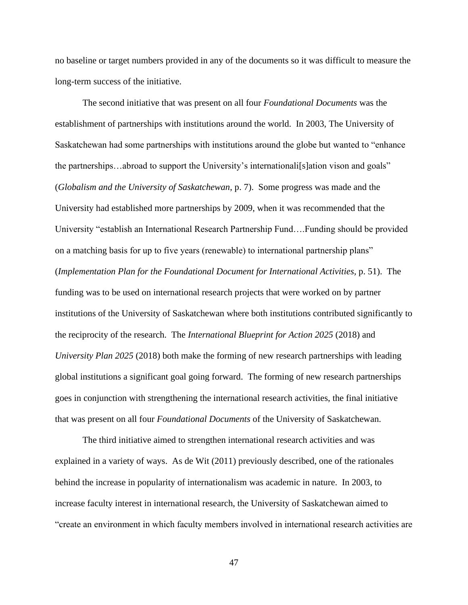no baseline or target numbers provided in any of the documents so it was difficult to measure the long-term success of the initiative.

The second initiative that was present on all four *Foundational Documents* was the establishment of partnerships with institutions around the world. In 2003, The University of Saskatchewan had some partnerships with institutions around the globe but wanted to "enhance the partnerships…abroad to support the University's internationali[s]ation vison and goals" (*Globalism and the University of Saskatchewan*, p. 7). Some progress was made and the University had established more partnerships by 2009, when it was recommended that the University "establish an International Research Partnership Fund….Funding should be provided on a matching basis for up to five years (renewable) to international partnership plans" (*Implementation Plan for the Foundational Document for International Activities,* p. 51). The funding was to be used on international research projects that were worked on by partner institutions of the University of Saskatchewan where both institutions contributed significantly to the reciprocity of the research. The *International Blueprint for Action 2025* (2018) and *University Plan 2025* (2018) both make the forming of new research partnerships with leading global institutions a significant goal going forward. The forming of new research partnerships goes in conjunction with strengthening the international research activities, the final initiative that was present on all four *Foundational Documents* of the University of Saskatchewan.

The third initiative aimed to strengthen international research activities and was explained in a variety of ways. As de Wit (2011) previously described, one of the rationales behind the increase in popularity of internationalism was academic in nature. In 2003, to increase faculty interest in international research, the University of Saskatchewan aimed to "create an environment in which faculty members involved in international research activities are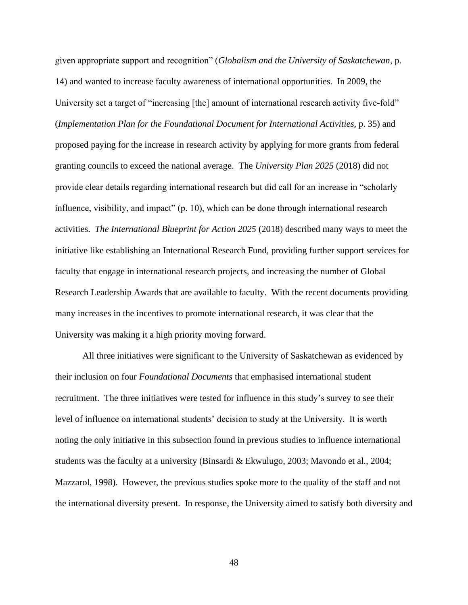given appropriate support and recognition" (*Globalism and the University of Saskatchewan*, p. 14) and wanted to increase faculty awareness of international opportunities. In 2009, the University set a target of "increasing [the] amount of international research activity five-fold" (*Implementation Plan for the Foundational Document for International Activities,* p. 35) and proposed paying for the increase in research activity by applying for more grants from federal granting councils to exceed the national average. The *University Plan 2025* (2018) did not provide clear details regarding international research but did call for an increase in "scholarly influence, visibility, and impact" (p. 10), which can be done through international research activities. *The International Blueprint for Action 2025* (2018) described many ways to meet the initiative like establishing an International Research Fund, providing further support services for faculty that engage in international research projects, and increasing the number of Global Research Leadership Awards that are available to faculty. With the recent documents providing many increases in the incentives to promote international research, it was clear that the University was making it a high priority moving forward.

All three initiatives were significant to the University of Saskatchewan as evidenced by their inclusion on four *Foundational Documents* that emphasised international student recruitment. The three initiatives were tested for influence in this study's survey to see their level of influence on international students' decision to study at the University. It is worth noting the only initiative in this subsection found in previous studies to influence international students was the faculty at a university (Binsardi & Ekwulugo, 2003; Mavondo et al., 2004; Mazzarol, 1998). However, the previous studies spoke more to the quality of the staff and not the international diversity present. In response, the University aimed to satisfy both diversity and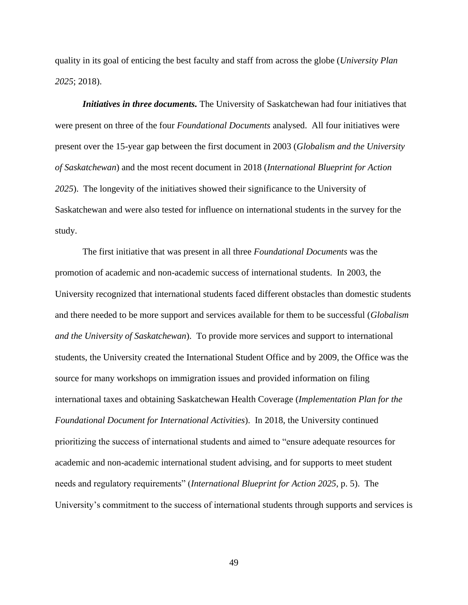quality in its goal of enticing the best faculty and staff from across the globe (*University Plan 2025*; 2018).

*Initiatives in three documents.* The University of Saskatchewan had four initiatives that were present on three of the four *Foundational Documents* analysed. All four initiatives were present over the 15-year gap between the first document in 2003 (*Globalism and the University of Saskatchewan*) and the most recent document in 2018 (*International Blueprint for Action 2025*). The longevity of the initiatives showed their significance to the University of Saskatchewan and were also tested for influence on international students in the survey for the study.

The first initiative that was present in all three *Foundational Documents* was the promotion of academic and non-academic success of international students. In 2003, the University recognized that international students faced different obstacles than domestic students and there needed to be more support and services available for them to be successful (*Globalism and the University of Saskatchewan*). To provide more services and support to international students, the University created the International Student Office and by 2009, the Office was the source for many workshops on immigration issues and provided information on filing international taxes and obtaining Saskatchewan Health Coverage (*Implementation Plan for the Foundational Document for International Activities*). In 2018, the University continued prioritizing the success of international students and aimed to "ensure adequate resources for academic and non-academic international student advising, and for supports to meet student needs and regulatory requirements" (*International Blueprint for Action 2025*, p. 5). The University's commitment to the success of international students through supports and services is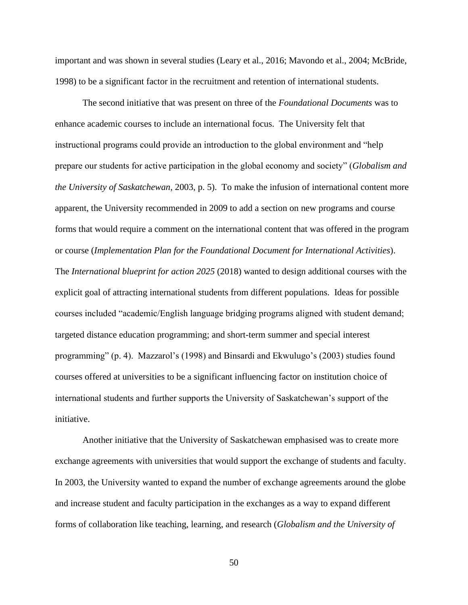important and was shown in several studies (Leary et al., 2016; Mavondo et al., 2004; McBride, 1998) to be a significant factor in the recruitment and retention of international students.

The second initiative that was present on three of the *Foundational Documents* was to enhance academic courses to include an international focus. The University felt that instructional programs could provide an introduction to the global environment and "help prepare our students for active participation in the global economy and society" (*Globalism and the University of Saskatchewan*, 2003, p. 5). To make the infusion of international content more apparent, the University recommended in 2009 to add a section on new programs and course forms that would require a comment on the international content that was offered in the program or course (*Implementation Plan for the Foundational Document for International Activities*). The *International blueprint for action 2025* (2018) wanted to design additional courses with the explicit goal of attracting international students from different populations. Ideas for possible courses included "academic/English language bridging programs aligned with student demand; targeted distance education programming; and short-term summer and special interest programming" (p. 4). Mazzarol's (1998) and Binsardi and Ekwulugo's (2003) studies found courses offered at universities to be a significant influencing factor on institution choice of international students and further supports the University of Saskatchewan's support of the initiative.

Another initiative that the University of Saskatchewan emphasised was to create more exchange agreements with universities that would support the exchange of students and faculty. In 2003, the University wanted to expand the number of exchange agreements around the globe and increase student and faculty participation in the exchanges as a way to expand different forms of collaboration like teaching, learning, and research (*Globalism and the University of*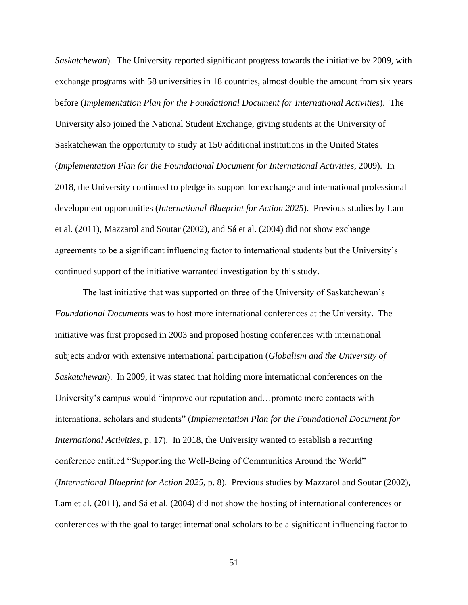*Saskatchewan*). The University reported significant progress towards the initiative by 2009, with exchange programs with 58 universities in 18 countries, almost double the amount from six years before (*Implementation Plan for the Foundational Document for International Activities*). The University also joined the National Student Exchange, giving students at the University of Saskatchewan the opportunity to study at 150 additional institutions in the United States (*Implementation Plan for the Foundational Document for International Activities*, 2009). In 2018, the University continued to pledge its support for exchange and international professional development opportunities (*International Blueprint for Action 2025*). Previous studies by Lam et al. (2011), Mazzarol and Soutar (2002), and Sá et al. (2004) did not show exchange agreements to be a significant influencing factor to international students but the University's continued support of the initiative warranted investigation by this study.

The last initiative that was supported on three of the University of Saskatchewan's *Foundational Documents* was to host more international conferences at the University. The initiative was first proposed in 2003 and proposed hosting conferences with international subjects and/or with extensive international participation (*Globalism and the University of Saskatchewan*). In 2009, it was stated that holding more international conferences on the University's campus would "improve our reputation and…promote more contacts with international scholars and students" (*Implementation Plan for the Foundational Document for International Activities,* p. 17). In 2018, the University wanted to establish a recurring conference entitled "Supporting the Well-Being of Communities Around the World" (*International Blueprint for Action 2025*, p. 8). Previous studies by Mazzarol and Soutar (2002), Lam et al. (2011), and Sá et al. (2004) did not show the hosting of international conferences or conferences with the goal to target international scholars to be a significant influencing factor to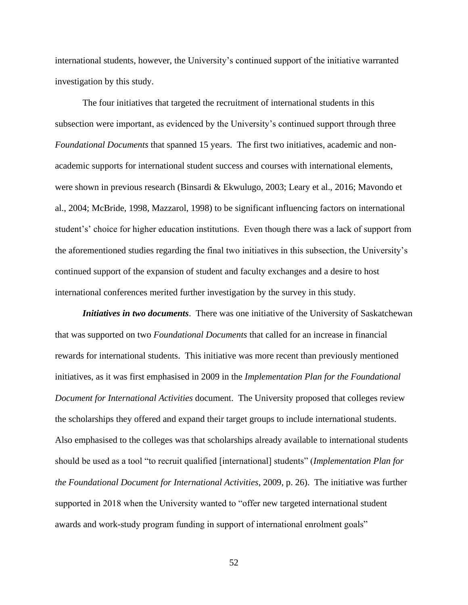international students, however, the University's continued support of the initiative warranted investigation by this study.

The four initiatives that targeted the recruitment of international students in this subsection were important, as evidenced by the University's continued support through three *Foundational Documents* that spanned 15 years. The first two initiatives, academic and nonacademic supports for international student success and courses with international elements, were shown in previous research (Binsardi & Ekwulugo, 2003; Leary et al., 2016; Mavondo et al., 2004; McBride, 1998, Mazzarol, 1998) to be significant influencing factors on international student's' choice for higher education institutions. Even though there was a lack of support from the aforementioned studies regarding the final two initiatives in this subsection, the University's continued support of the expansion of student and faculty exchanges and a desire to host international conferences merited further investigation by the survey in this study.

*Initiatives in two documents*. There was one initiative of the University of Saskatchewan that was supported on two *Foundational Documents* that called for an increase in financial rewards for international students. This initiative was more recent than previously mentioned initiatives, as it was first emphasised in 2009 in the *Implementation Plan for the Foundational Document for International Activities* document. The University proposed that colleges review the scholarships they offered and expand their target groups to include international students. Also emphasised to the colleges was that scholarships already available to international students should be used as a tool "to recruit qualified [international] students" (*Implementation Plan for the Foundational Document for International Activities*, 2009, p. 26). The initiative was further supported in 2018 when the University wanted to "offer new targeted international student awards and work-study program funding in support of international enrolment goals"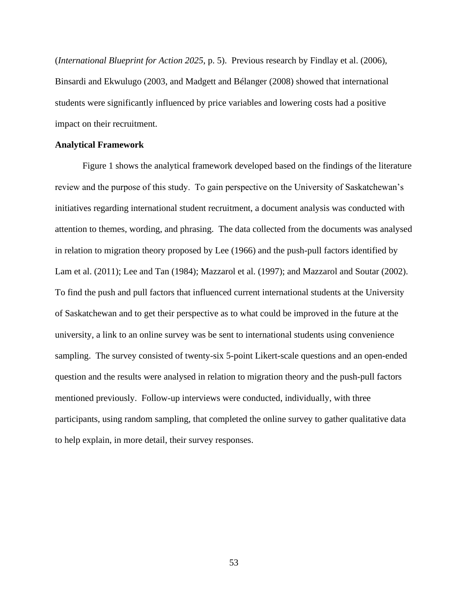(*International Blueprint for Action 2025*, p. 5). Previous research by Findlay et al. (2006), Binsardi and Ekwulugo (2003, and Madgett and Bélanger (2008) showed that international students were significantly influenced by price variables and lowering costs had a positive impact on their recruitment.

#### **Analytical Framework**

Figure 1 shows the analytical framework developed based on the findings of the literature review and the purpose of this study. To gain perspective on the University of Saskatchewan's initiatives regarding international student recruitment, a document analysis was conducted with attention to themes, wording, and phrasing. The data collected from the documents was analysed in relation to migration theory proposed by Lee (1966) and the push-pull factors identified by Lam et al. (2011); Lee and Tan (1984); Mazzarol et al. (1997); and Mazzarol and Soutar (2002). To find the push and pull factors that influenced current international students at the University of Saskatchewan and to get their perspective as to what could be improved in the future at the university, a link to an online survey was be sent to international students using convenience sampling. The survey consisted of twenty-six 5-point Likert-scale questions and an open-ended question and the results were analysed in relation to migration theory and the push-pull factors mentioned previously. Follow-up interviews were conducted, individually, with three participants, using random sampling, that completed the online survey to gather qualitative data to help explain, in more detail, their survey responses.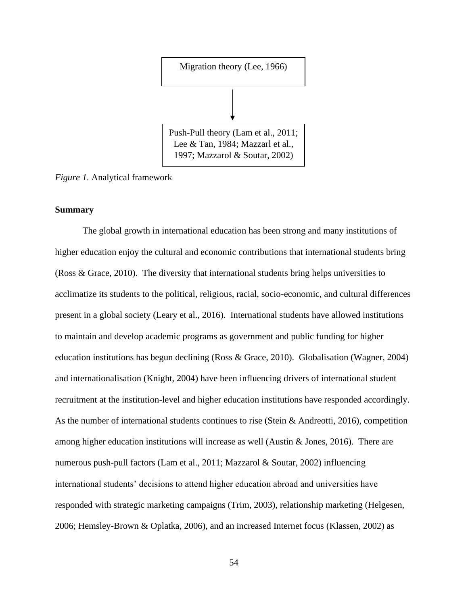

*Figure 1.* Analytical framework

## **Summary**

The global growth in international education has been strong and many institutions of higher education enjoy the cultural and economic contributions that international students bring (Ross & Grace, 2010). The diversity that international students bring helps universities to acclimatize its students to the political, religious, racial, socio-economic, and cultural differences present in a global society (Leary et al., 2016). International students have allowed institutions to maintain and develop academic programs as government and public funding for higher education institutions has begun declining (Ross & Grace, 2010). Globalisation (Wagner, 2004) and internationalisation (Knight, 2004) have been influencing drivers of international student recruitment at the institution-level and higher education institutions have responded accordingly. As the number of international students continues to rise (Stein & Andreotti, 2016), competition among higher education institutions will increase as well (Austin & Jones, 2016). There are numerous push-pull factors (Lam et al., 2011; Mazzarol & Soutar, 2002) influencing international students' decisions to attend higher education abroad and universities have responded with strategic marketing campaigns (Trim, 2003), relationship marketing (Helgesen, 2006; Hemsley-Brown & Oplatka, 2006), and an increased Internet focus (Klassen, 2002) as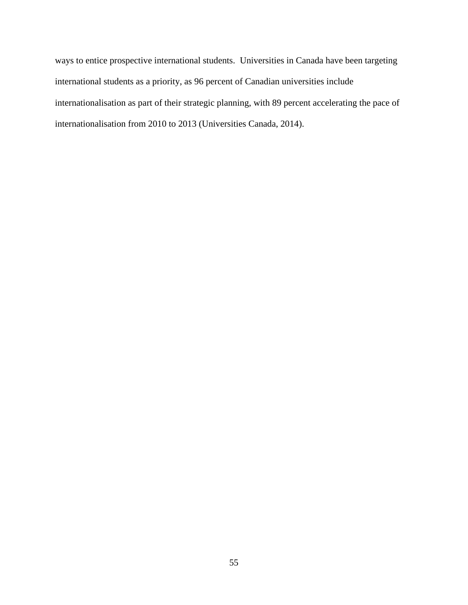ways to entice prospective international students. Universities in Canada have been targeting international students as a priority, as 96 percent of Canadian universities include internationalisation as part of their strategic planning, with 89 percent accelerating the pace of internationalisation from 2010 to 2013 (Universities Canada, 2014).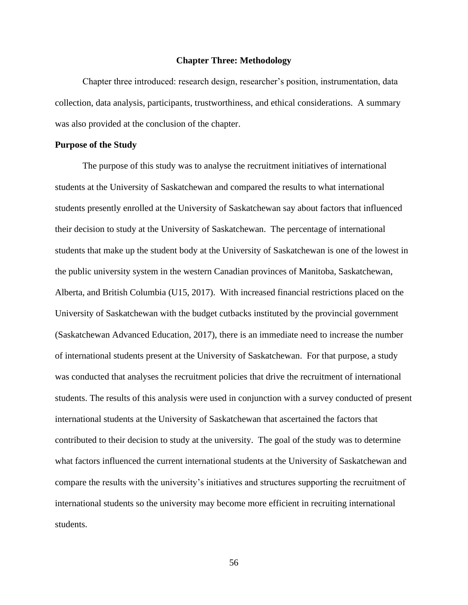#### **Chapter Three: Methodology**

Chapter three introduced: research design, researcher's position, instrumentation, data collection, data analysis, participants, trustworthiness, and ethical considerations. A summary was also provided at the conclusion of the chapter.

#### **Purpose of the Study**

The purpose of this study was to analyse the recruitment initiatives of international students at the University of Saskatchewan and compared the results to what international students presently enrolled at the University of Saskatchewan say about factors that influenced their decision to study at the University of Saskatchewan. The percentage of international students that make up the student body at the University of Saskatchewan is one of the lowest in the public university system in the western Canadian provinces of Manitoba, Saskatchewan, Alberta, and British Columbia (U15, 2017). With increased financial restrictions placed on the University of Saskatchewan with the budget cutbacks instituted by the provincial government (Saskatchewan Advanced Education, 2017), there is an immediate need to increase the number of international students present at the University of Saskatchewan. For that purpose, a study was conducted that analyses the recruitment policies that drive the recruitment of international students. The results of this analysis were used in conjunction with a survey conducted of present international students at the University of Saskatchewan that ascertained the factors that contributed to their decision to study at the university. The goal of the study was to determine what factors influenced the current international students at the University of Saskatchewan and compare the results with the university's initiatives and structures supporting the recruitment of international students so the university may become more efficient in recruiting international students.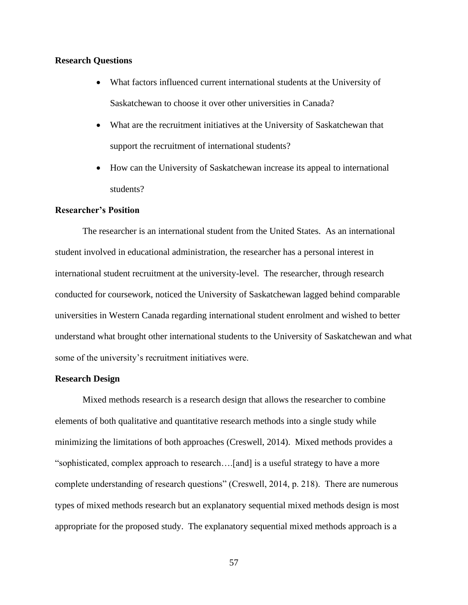## **Research Questions**

- What factors influenced current international students at the University of Saskatchewan to choose it over other universities in Canada?
- What are the recruitment initiatives at the University of Saskatchewan that support the recruitment of international students?
- How can the University of Saskatchewan increase its appeal to international students?

# **Researcher's Position**

The researcher is an international student from the United States. As an international student involved in educational administration, the researcher has a personal interest in international student recruitment at the university-level. The researcher, through research conducted for coursework, noticed the University of Saskatchewan lagged behind comparable universities in Western Canada regarding international student enrolment and wished to better understand what brought other international students to the University of Saskatchewan and what some of the university's recruitment initiatives were.

## **Research Design**

Mixed methods research is a research design that allows the researcher to combine elements of both qualitative and quantitative research methods into a single study while minimizing the limitations of both approaches (Creswell, 2014). Mixed methods provides a "sophisticated, complex approach to research….[and] is a useful strategy to have a more complete understanding of research questions" (Creswell, 2014, p. 218). There are numerous types of mixed methods research but an explanatory sequential mixed methods design is most appropriate for the proposed study. The explanatory sequential mixed methods approach is a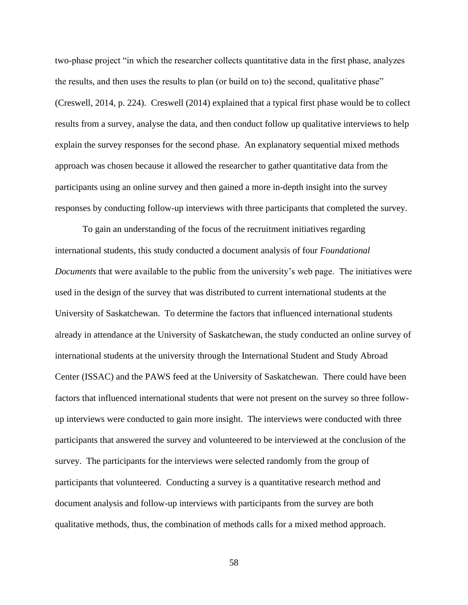two-phase project "in which the researcher collects quantitative data in the first phase, analyzes the results, and then uses the results to plan (or build on to) the second, qualitative phase" (Creswell, 2014, p. 224). Creswell (2014) explained that a typical first phase would be to collect results from a survey, analyse the data, and then conduct follow up qualitative interviews to help explain the survey responses for the second phase. An explanatory sequential mixed methods approach was chosen because it allowed the researcher to gather quantitative data from the participants using an online survey and then gained a more in-depth insight into the survey responses by conducting follow-up interviews with three participants that completed the survey.

To gain an understanding of the focus of the recruitment initiatives regarding international students, this study conducted a document analysis of four *Foundational Documents* that were available to the public from the university's web page. The initiatives were used in the design of the survey that was distributed to current international students at the University of Saskatchewan. To determine the factors that influenced international students already in attendance at the University of Saskatchewan, the study conducted an online survey of international students at the university through the International Student and Study Abroad Center (ISSAC) and the PAWS feed at the University of Saskatchewan. There could have been factors that influenced international students that were not present on the survey so three followup interviews were conducted to gain more insight. The interviews were conducted with three participants that answered the survey and volunteered to be interviewed at the conclusion of the survey. The participants for the interviews were selected randomly from the group of participants that volunteered. Conducting a survey is a quantitative research method and document analysis and follow-up interviews with participants from the survey are both qualitative methods, thus, the combination of methods calls for a mixed method approach.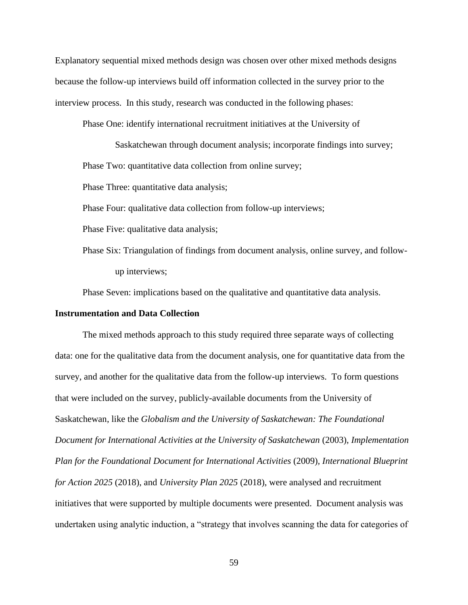Explanatory sequential mixed methods design was chosen over other mixed methods designs because the follow-up interviews build off information collected in the survey prior to the interview process. In this study, research was conducted in the following phases:

Phase One: identify international recruitment initiatives at the University of

Saskatchewan through document analysis; incorporate findings into survey; Phase Two: quantitative data collection from online survey;

Phase Three: quantitative data analysis;

Phase Four: qualitative data collection from follow-up interviews;

Phase Five: qualitative data analysis;

Phase Six: Triangulation of findings from document analysis, online survey, and followup interviews;

Phase Seven: implications based on the qualitative and quantitative data analysis.

#### **Instrumentation and Data Collection**

The mixed methods approach to this study required three separate ways of collecting data: one for the qualitative data from the document analysis, one for quantitative data from the survey, and another for the qualitative data from the follow-up interviews. To form questions that were included on the survey, publicly-available documents from the University of Saskatchewan, like the *Globalism and the University of Saskatchewan: The Foundational Document for International Activities at the University of Saskatchewan* (2003), *Implementation Plan for the Foundational Document for International Activities* (2009)*, International Blueprint for Action 2025* (2018), and *University Plan 2025* (2018), were analysed and recruitment initiatives that were supported by multiple documents were presented. Document analysis was undertaken using analytic induction, a "strategy that involves scanning the data for categories of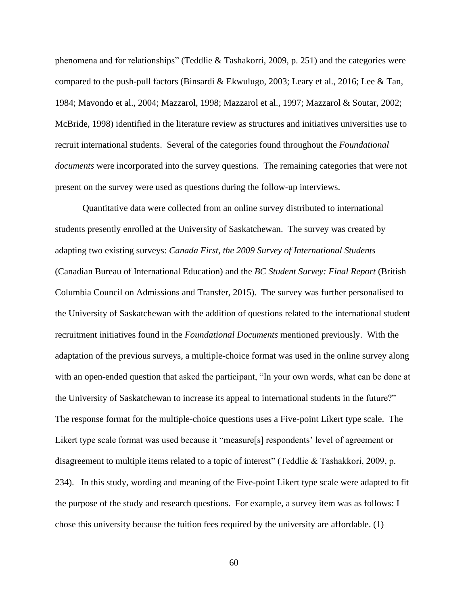phenomena and for relationships" (Teddlie & Tashakorri, 2009, p. 251) and the categories were compared to the push-pull factors (Binsardi & Ekwulugo, 2003; Leary et al., 2016; Lee & Tan, 1984; Mavondo et al., 2004; Mazzarol, 1998; Mazzarol et al., 1997; Mazzarol & Soutar, 2002; McBride, 1998) identified in the literature review as structures and initiatives universities use to recruit international students. Several of the categories found throughout the *Foundational documents* were incorporated into the survey questions. The remaining categories that were not present on the survey were used as questions during the follow-up interviews.

Quantitative data were collected from an online survey distributed to international students presently enrolled at the University of Saskatchewan. The survey was created by adapting two existing surveys: *Canada First, the 2009 Survey of International Students*  (Canadian Bureau of International Education) and the *BC Student Survey: Final Report* (British Columbia Council on Admissions and Transfer, 2015). The survey was further personalised to the University of Saskatchewan with the addition of questions related to the international student recruitment initiatives found in the *Foundational Documents* mentioned previously. With the adaptation of the previous surveys, a multiple-choice format was used in the online survey along with an open-ended question that asked the participant, "In your own words, what can be done at the University of Saskatchewan to increase its appeal to international students in the future?" The response format for the multiple-choice questions uses a Five-point Likert type scale. The Likert type scale format was used because it "measure[s] respondents' level of agreement or disagreement to multiple items related to a topic of interest" (Teddlie & Tashakkori, 2009, p. 234). In this study, wording and meaning of the Five-point Likert type scale were adapted to fit the purpose of the study and research questions. For example, a survey item was as follows: I chose this university because the tuition fees required by the university are affordable. (1)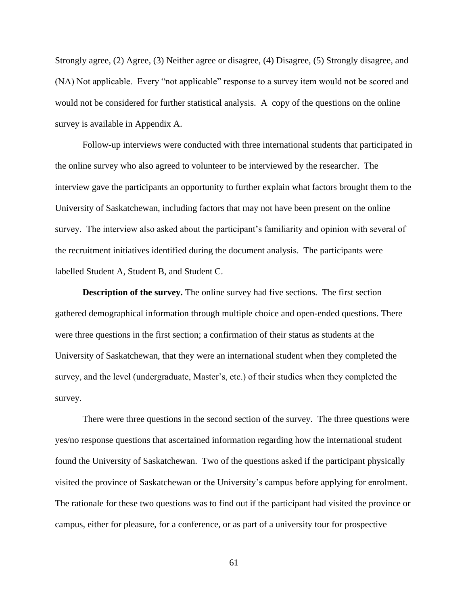Strongly agree, (2) Agree, (3) Neither agree or disagree, (4) Disagree, (5) Strongly disagree, and (NA) Not applicable. Every "not applicable" response to a survey item would not be scored and would not be considered for further statistical analysis. A copy of the questions on the online survey is available in Appendix A.

Follow-up interviews were conducted with three international students that participated in the online survey who also agreed to volunteer to be interviewed by the researcher. The interview gave the participants an opportunity to further explain what factors brought them to the University of Saskatchewan, including factors that may not have been present on the online survey. The interview also asked about the participant's familiarity and opinion with several of the recruitment initiatives identified during the document analysis. The participants were labelled Student A, Student B, and Student C.

**Description of the survey.** The online survey had five sections. The first section gathered demographical information through multiple choice and open-ended questions. There were three questions in the first section; a confirmation of their status as students at the University of Saskatchewan, that they were an international student when they completed the survey, and the level (undergraduate, Master's, etc.) of their studies when they completed the survey.

There were three questions in the second section of the survey. The three questions were yes/no response questions that ascertained information regarding how the international student found the University of Saskatchewan. Two of the questions asked if the participant physically visited the province of Saskatchewan or the University's campus before applying for enrolment. The rationale for these two questions was to find out if the participant had visited the province or campus, either for pleasure, for a conference, or as part of a university tour for prospective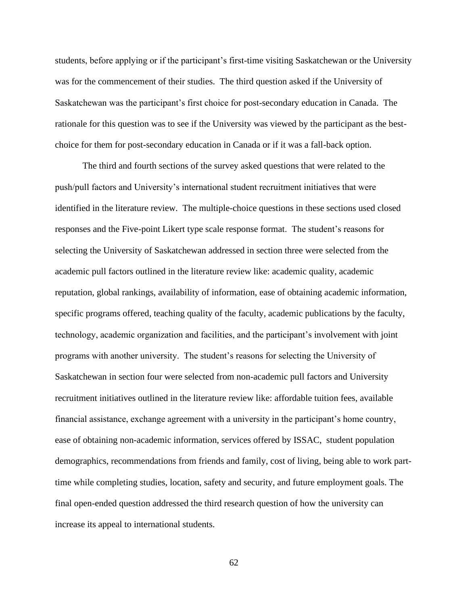students, before applying or if the participant's first-time visiting Saskatchewan or the University was for the commencement of their studies. The third question asked if the University of Saskatchewan was the participant's first choice for post-secondary education in Canada. The rationale for this question was to see if the University was viewed by the participant as the bestchoice for them for post-secondary education in Canada or if it was a fall-back option.

The third and fourth sections of the survey asked questions that were related to the push/pull factors and University's international student recruitment initiatives that were identified in the literature review. The multiple-choice questions in these sections used closed responses and the Five-point Likert type scale response format. The student's reasons for selecting the University of Saskatchewan addressed in section three were selected from the academic pull factors outlined in the literature review like: academic quality, academic reputation, global rankings, availability of information, ease of obtaining academic information, specific programs offered, teaching quality of the faculty, academic publications by the faculty, technology, academic organization and facilities, and the participant's involvement with joint programs with another university. The student's reasons for selecting the University of Saskatchewan in section four were selected from non-academic pull factors and University recruitment initiatives outlined in the literature review like: affordable tuition fees, available financial assistance, exchange agreement with a university in the participant's home country, ease of obtaining non-academic information, services offered by ISSAC, student population demographics, recommendations from friends and family, cost of living, being able to work parttime while completing studies, location, safety and security, and future employment goals. The final open-ended question addressed the third research question of how the university can increase its appeal to international students.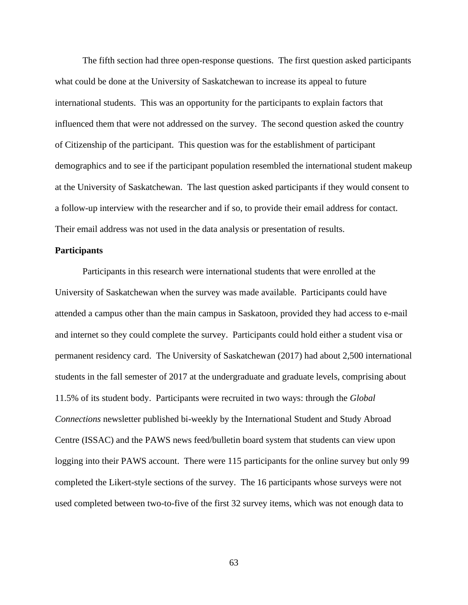The fifth section had three open-response questions. The first question asked participants what could be done at the University of Saskatchewan to increase its appeal to future international students. This was an opportunity for the participants to explain factors that influenced them that were not addressed on the survey. The second question asked the country of Citizenship of the participant. This question was for the establishment of participant demographics and to see if the participant population resembled the international student makeup at the University of Saskatchewan. The last question asked participants if they would consent to a follow-up interview with the researcher and if so, to provide their email address for contact. Their email address was not used in the data analysis or presentation of results.

#### **Participants**

Participants in this research were international students that were enrolled at the University of Saskatchewan when the survey was made available. Participants could have attended a campus other than the main campus in Saskatoon, provided they had access to e-mail and internet so they could complete the survey. Participants could hold either a student visa or permanent residency card. The University of Saskatchewan (2017) had about 2,500 international students in the fall semester of 2017 at the undergraduate and graduate levels, comprising about 11.5% of its student body. Participants were recruited in two ways: through the *Global Connections* newsletter published bi-weekly by the International Student and Study Abroad Centre (ISSAC) and the PAWS news feed/bulletin board system that students can view upon logging into their PAWS account. There were 115 participants for the online survey but only 99 completed the Likert-style sections of the survey. The 16 participants whose surveys were not used completed between two-to-five of the first 32 survey items, which was not enough data to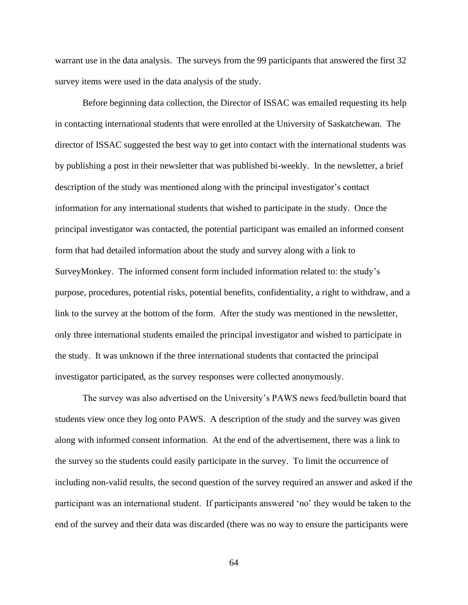warrant use in the data analysis. The surveys from the 99 participants that answered the first 32 survey items were used in the data analysis of the study.

Before beginning data collection, the Director of ISSAC was emailed requesting its help in contacting international students that were enrolled at the University of Saskatchewan. The director of ISSAC suggested the best way to get into contact with the international students was by publishing a post in their newsletter that was published bi-weekly. In the newsletter, a brief description of the study was mentioned along with the principal investigator's contact information for any international students that wished to participate in the study. Once the principal investigator was contacted, the potential participant was emailed an informed consent form that had detailed information about the study and survey along with a link to SurveyMonkey. The informed consent form included information related to: the study's purpose, procedures, potential risks, potential benefits, confidentiality, a right to withdraw, and a link to the survey at the bottom of the form. After the study was mentioned in the newsletter, only three international students emailed the principal investigator and wished to participate in the study. It was unknown if the three international students that contacted the principal investigator participated, as the survey responses were collected anonymously.

The survey was also advertised on the University's PAWS news feed/bulletin board that students view once they log onto PAWS. A description of the study and the survey was given along with informed consent information. At the end of the advertisement, there was a link to the survey so the students could easily participate in the survey. To limit the occurrence of including non-valid results, the second question of the survey required an answer and asked if the participant was an international student. If participants answered 'no' they would be taken to the end of the survey and their data was discarded (there was no way to ensure the participants were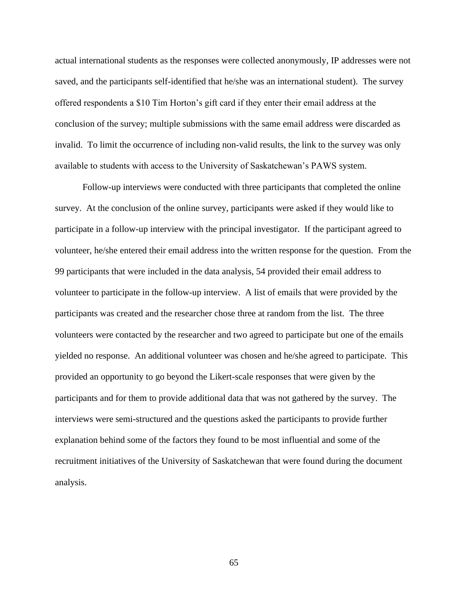actual international students as the responses were collected anonymously, IP addresses were not saved, and the participants self-identified that he/she was an international student). The survey offered respondents a \$10 Tim Horton's gift card if they enter their email address at the conclusion of the survey; multiple submissions with the same email address were discarded as invalid. To limit the occurrence of including non-valid results, the link to the survey was only available to students with access to the University of Saskatchewan's PAWS system.

Follow-up interviews were conducted with three participants that completed the online survey. At the conclusion of the online survey, participants were asked if they would like to participate in a follow-up interview with the principal investigator. If the participant agreed to volunteer, he/she entered their email address into the written response for the question. From the 99 participants that were included in the data analysis, 54 provided their email address to volunteer to participate in the follow-up interview. A list of emails that were provided by the participants was created and the researcher chose three at random from the list. The three volunteers were contacted by the researcher and two agreed to participate but one of the emails yielded no response. An additional volunteer was chosen and he/she agreed to participate. This provided an opportunity to go beyond the Likert-scale responses that were given by the participants and for them to provide additional data that was not gathered by the survey. The interviews were semi-structured and the questions asked the participants to provide further explanation behind some of the factors they found to be most influential and some of the recruitment initiatives of the University of Saskatchewan that were found during the document analysis.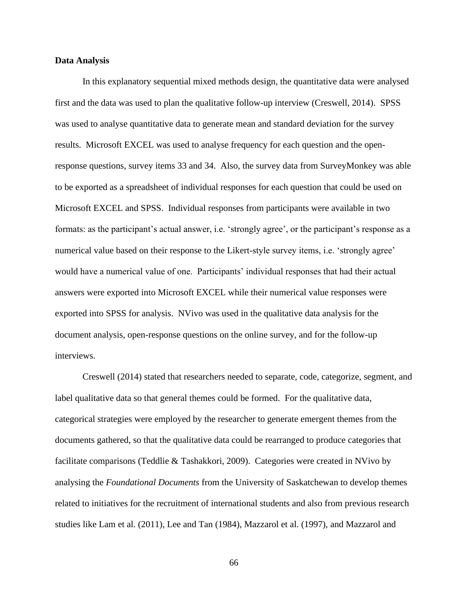# **Data Analysis**

In this explanatory sequential mixed methods design, the quantitative data were analysed first and the data was used to plan the qualitative follow-up interview (Creswell, 2014). SPSS was used to analyse quantitative data to generate mean and standard deviation for the survey results. Microsoft EXCEL was used to analyse frequency for each question and the openresponse questions, survey items 33 and 34. Also, the survey data from SurveyMonkey was able to be exported as a spreadsheet of individual responses for each question that could be used on Microsoft EXCEL and SPSS. Individual responses from participants were available in two formats: as the participant's actual answer, i.e. 'strongly agree', or the participant's response as a numerical value based on their response to the Likert-style survey items, i.e. 'strongly agree' would have a numerical value of one. Participants' individual responses that had their actual answers were exported into Microsoft EXCEL while their numerical value responses were exported into SPSS for analysis. NVivo was used in the qualitative data analysis for the document analysis, open-response questions on the online survey, and for the follow-up interviews.

Creswell (2014) stated that researchers needed to separate, code, categorize, segment, and label qualitative data so that general themes could be formed. For the qualitative data, categorical strategies were employed by the researcher to generate emergent themes from the documents gathered, so that the qualitative data could be rearranged to produce categories that facilitate comparisons (Teddlie & Tashakkori, 2009). Categories were created in NVivo by analysing the *Foundational Documents* from the University of Saskatchewan to develop themes related to initiatives for the recruitment of international students and also from previous research studies like Lam et al. (2011), Lee and Tan (1984), Mazzarol et al. (1997), and Mazzarol and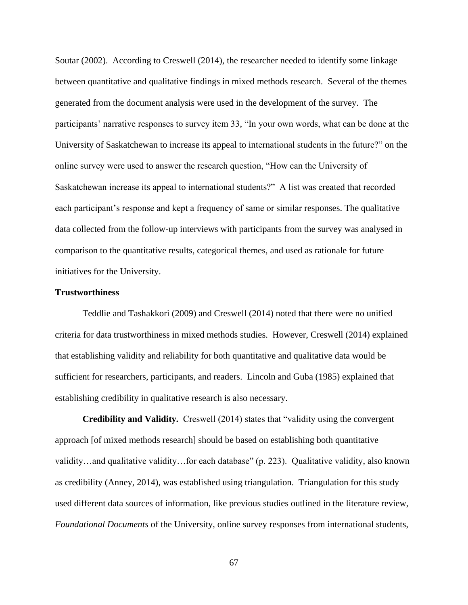Soutar (2002). According to Creswell (2014), the researcher needed to identify some linkage between quantitative and qualitative findings in mixed methods research. Several of the themes generated from the document analysis were used in the development of the survey. The participants' narrative responses to survey item 33, "In your own words, what can be done at the University of Saskatchewan to increase its appeal to international students in the future?" on the online survey were used to answer the research question, "How can the University of Saskatchewan increase its appeal to international students?" A list was created that recorded each participant's response and kept a frequency of same or similar responses. The qualitative data collected from the follow-up interviews with participants from the survey was analysed in comparison to the quantitative results, categorical themes, and used as rationale for future initiatives for the University.

# **Trustworthiness**

Teddlie and Tashakkori (2009) and Creswell (2014) noted that there were no unified criteria for data trustworthiness in mixed methods studies. However, Creswell (2014) explained that establishing validity and reliability for both quantitative and qualitative data would be sufficient for researchers, participants, and readers. Lincoln and Guba (1985) explained that establishing credibility in qualitative research is also necessary.

**Credibility and Validity.** Creswell (2014) states that "validity using the convergent approach [of mixed methods research] should be based on establishing both quantitative validity…and qualitative validity…for each database" (p. 223). Qualitative validity, also known as credibility (Anney, 2014), was established using triangulation. Triangulation for this study used different data sources of information, like previous studies outlined in the literature review, *Foundational Documents* of the University, online survey responses from international students,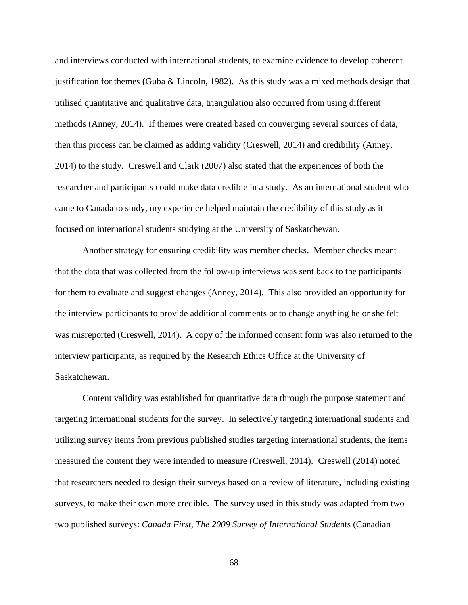and interviews conducted with international students, to examine evidence to develop coherent justification for themes (Guba  $\&$  Lincoln, 1982). As this study was a mixed methods design that utilised quantitative and qualitative data, triangulation also occurred from using different methods (Anney, 2014). If themes were created based on converging several sources of data, then this process can be claimed as adding validity (Creswell, 2014) and credibility (Anney, 2014) to the study.Creswell and Clark (2007) also stated that the experiences of both the researcher and participants could make data credible in a study. As an international student who came to Canada to study, my experience helped maintain the credibility of this study as it focused on international students studying at the University of Saskatchewan.

Another strategy for ensuring credibility was member checks. Member checks meant that the data that was collected from the follow-up interviews was sent back to the participants for them to evaluate and suggest changes (Anney, 2014). This also provided an opportunity for the interview participants to provide additional comments or to change anything he or she felt was misreported (Creswell, 2014). A copy of the informed consent form was also returned to the interview participants, as required by the Research Ethics Office at the University of Saskatchewan.

Content validity was established for quantitative data through the purpose statement and targeting international students for the survey. In selectively targeting international students and utilizing survey items from previous published studies targeting international students, the items measured the content they were intended to measure (Creswell, 2014). Creswell (2014) noted that researchers needed to design their surveys based on a review of literature, including existing surveys, to make their own more credible. The survey used in this study was adapted from two two published surveys: *Canada First, The 2009 Survey of International Stude*nts (Canadian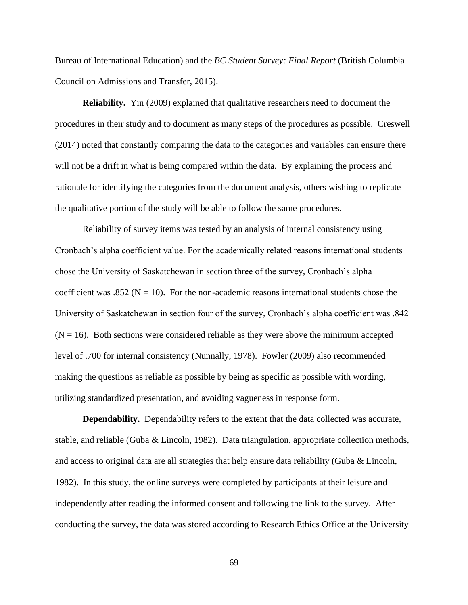Bureau of International Education) and the *BC Student Survey: Final Report* (British Columbia Council on Admissions and Transfer, 2015).

**Reliability.** Yin (2009) explained that qualitative researchers need to document the procedures in their study and to document as many steps of the procedures as possible. Creswell (2014) noted that constantly comparing the data to the categories and variables can ensure there will not be a drift in what is being compared within the data. By explaining the process and rationale for identifying the categories from the document analysis, others wishing to replicate the qualitative portion of the study will be able to follow the same procedures.

Reliability of survey items was tested by an analysis of internal consistency using Cronbach's alpha coefficient value. For the academically related reasons international students chose the University of Saskatchewan in section three of the survey, Cronbach's alpha coefficient was .852 ( $N = 10$ ). For the non-academic reasons international students chose the University of Saskatchewan in section four of the survey, Cronbach's alpha coefficient was .842  $(N = 16)$ . Both sections were considered reliable as they were above the minimum accepted level of .700 for internal consistency (Nunnally, 1978). Fowler (2009) also recommended making the questions as reliable as possible by being as specific as possible with wording, utilizing standardized presentation, and avoiding vagueness in response form.

**Dependability.** Dependability refers to the extent that the data collected was accurate, stable, and reliable (Guba & Lincoln, 1982). Data triangulation, appropriate collection methods, and access to original data are all strategies that help ensure data reliability (Guba & Lincoln, 1982). In this study, the online surveys were completed by participants at their leisure and independently after reading the informed consent and following the link to the survey. After conducting the survey, the data was stored according to Research Ethics Office at the University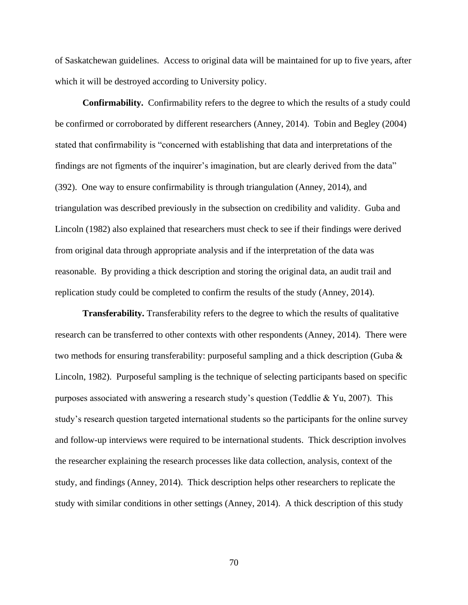of Saskatchewan guidelines. Access to original data will be maintained for up to five years, after which it will be destroyed according to University policy.

**Confirmability.** Confirmability refers to the degree to which the results of a study could be confirmed or corroborated by different researchers (Anney, 2014). Tobin and Begley (2004) stated that confirmability is "concerned with establishing that data and interpretations of the findings are not figments of the inquirer's imagination, but are clearly derived from the data" (392). One way to ensure confirmability is through triangulation (Anney, 2014), and triangulation was described previously in the subsection on credibility and validity. Guba and Lincoln (1982) also explained that researchers must check to see if their findings were derived from original data through appropriate analysis and if the interpretation of the data was reasonable. By providing a thick description and storing the original data, an audit trail and replication study could be completed to confirm the results of the study (Anney, 2014).

**Transferability.** Transferability refers to the degree to which the results of qualitative research can be transferred to other contexts with other respondents (Anney, 2014). There were two methods for ensuring transferability: purposeful sampling and a thick description (Guba & Lincoln, 1982). Purposeful sampling is the technique of selecting participants based on specific purposes associated with answering a research study's question (Teddlie & Yu, 2007). This study's research question targeted international students so the participants for the online survey and follow-up interviews were required to be international students. Thick description involves the researcher explaining the research processes like data collection, analysis, context of the study, and findings (Anney, 2014). Thick description helps other researchers to replicate the study with similar conditions in other settings (Anney, 2014). A thick description of this study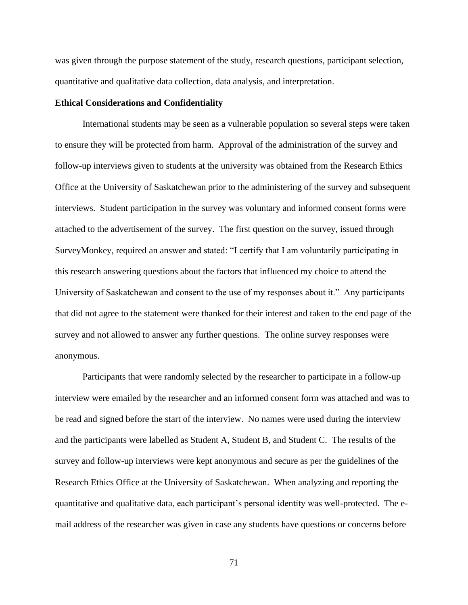was given through the purpose statement of the study, research questions, participant selection, quantitative and qualitative data collection, data analysis, and interpretation.

### **Ethical Considerations and Confidentiality**

International students may be seen as a vulnerable population so several steps were taken to ensure they will be protected from harm. Approval of the administration of the survey and follow-up interviews given to students at the university was obtained from the Research Ethics Office at the University of Saskatchewan prior to the administering of the survey and subsequent interviews. Student participation in the survey was voluntary and informed consent forms were attached to the advertisement of the survey. The first question on the survey, issued through SurveyMonkey, required an answer and stated: "I certify that I am voluntarily participating in this research answering questions about the factors that influenced my choice to attend the University of Saskatchewan and consent to the use of my responses about it." Any participants that did not agree to the statement were thanked for their interest and taken to the end page of the survey and not allowed to answer any further questions. The online survey responses were anonymous.

Participants that were randomly selected by the researcher to participate in a follow-up interview were emailed by the researcher and an informed consent form was attached and was to be read and signed before the start of the interview. No names were used during the interview and the participants were labelled as Student A, Student B, and Student C. The results of the survey and follow-up interviews were kept anonymous and secure as per the guidelines of the Research Ethics Office at the University of Saskatchewan. When analyzing and reporting the quantitative and qualitative data, each participant's personal identity was well-protected. The email address of the researcher was given in case any students have questions or concerns before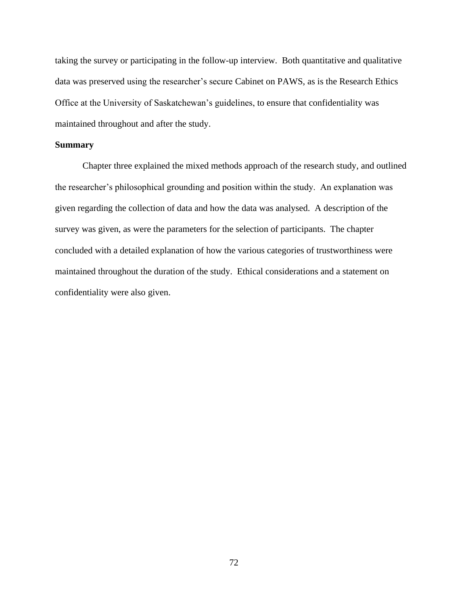taking the survey or participating in the follow-up interview. Both quantitative and qualitative data was preserved using the researcher's secure Cabinet on PAWS, as is the Research Ethics Office at the University of Saskatchewan's guidelines, to ensure that confidentiality was maintained throughout and after the study.

# **Summary**

Chapter three explained the mixed methods approach of the research study, and outlined the researcher's philosophical grounding and position within the study. An explanation was given regarding the collection of data and how the data was analysed. A description of the survey was given, as were the parameters for the selection of participants. The chapter concluded with a detailed explanation of how the various categories of trustworthiness were maintained throughout the duration of the study. Ethical considerations and a statement on confidentiality were also given.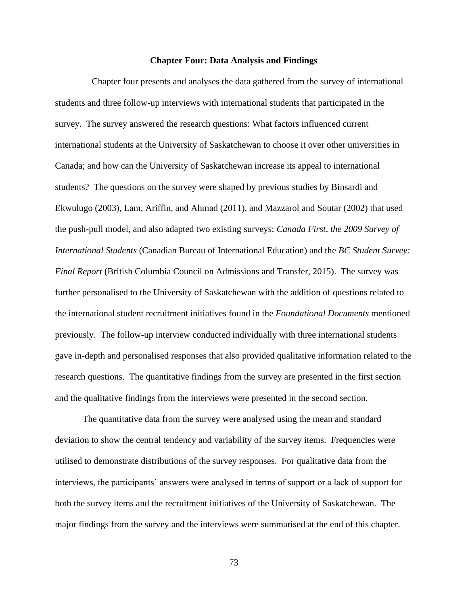#### **Chapter Four: Data Analysis and Findings**

Chapter four presents and analyses the data gathered from the survey of international students and three follow-up interviews with international students that participated in the survey. The survey answered the research questions: What factors influenced current international students at the University of Saskatchewan to choose it over other universities in Canada; and how can the University of Saskatchewan increase its appeal to international students? The questions on the survey were shaped by previous studies by Binsardi and Ekwulugo (2003), Lam, Ariffin, and Ahmad (2011), and Mazzarol and Soutar (2002) that used the push-pull model, and also adapted two existing surveys: *Canada First, the 2009 Survey of International Students* (Canadian Bureau of International Education) and the *BC Student Survey: Final Report* (British Columbia Council on Admissions and Transfer, 2015). The survey was further personalised to the University of Saskatchewan with the addition of questions related to the international student recruitment initiatives found in the *Foundational Documents* mentioned previously. The follow-up interview conducted individually with three international students gave in-depth and personalised responses that also provided qualitative information related to the research questions. The quantitative findings from the survey are presented in the first section and the qualitative findings from the interviews were presented in the second section.

The quantitative data from the survey were analysed using the mean and standard deviation to show the central tendency and variability of the survey items. Frequencies were utilised to demonstrate distributions of the survey responses. For qualitative data from the interviews, the participants' answers were analysed in terms of support or a lack of support for both the survey items and the recruitment initiatives of the University of Saskatchewan. The major findings from the survey and the interviews were summarised at the end of this chapter.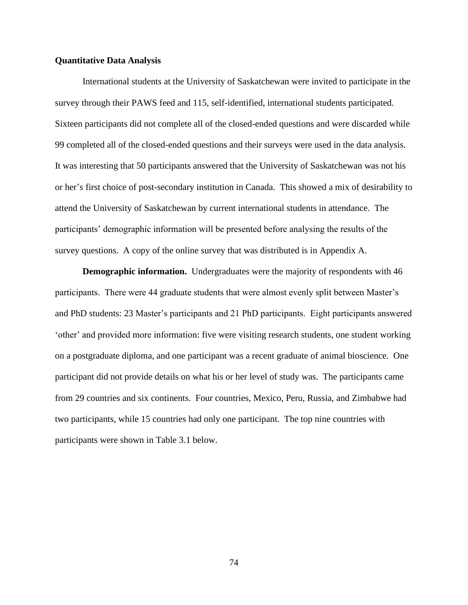# **Quantitative Data Analysis**

International students at the University of Saskatchewan were invited to participate in the survey through their PAWS feed and 115, self-identified, international students participated. Sixteen participants did not complete all of the closed-ended questions and were discarded while 99 completed all of the closed-ended questions and their surveys were used in the data analysis. It was interesting that 50 participants answered that the University of Saskatchewan was not his or her's first choice of post-secondary institution in Canada. This showed a mix of desirability to attend the University of Saskatchewan by current international students in attendance. The participants' demographic information will be presented before analysing the results of the survey questions. A copy of the online survey that was distributed is in Appendix A.

**Demographic information.** Undergraduates were the majority of respondents with 46 participants. There were 44 graduate students that were almost evenly split between Master's and PhD students: 23 Master's participants and 21 PhD participants. Eight participants answered 'other' and provided more information: five were visiting research students, one student working on a postgraduate diploma, and one participant was a recent graduate of animal bioscience. One participant did not provide details on what his or her level of study was. The participants came from 29 countries and six continents. Four countries, Mexico, Peru, Russia, and Zimbabwe had two participants, while 15 countries had only one participant. The top nine countries with participants were shown in Table 3.1 below.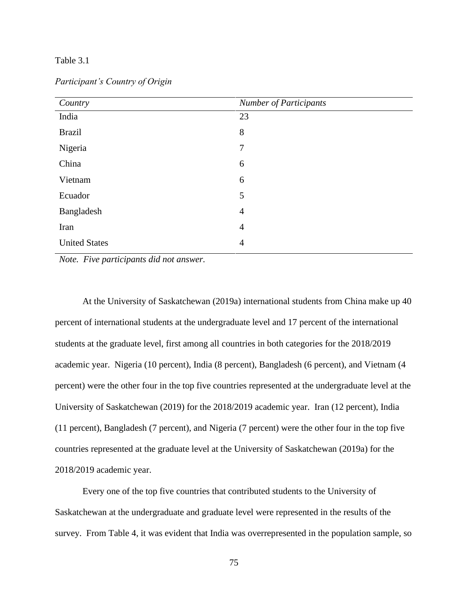# Table 3.1

| Country              | <b>Number of Participants</b> |
|----------------------|-------------------------------|
| India                | 23                            |
| <b>Brazil</b>        | 8                             |
| Nigeria              | $\tau$                        |
| China                | 6                             |
| Vietnam              | 6                             |
| Ecuador              | 5                             |
| Bangladesh           | $\overline{4}$                |
| Iran                 | $\overline{4}$                |
| <b>United States</b> | $\overline{4}$                |

*Participant's Country of Origin*

*Note. Five participants did not answer.* 

At the University of Saskatchewan (2019a) international students from China make up 40 percent of international students at the undergraduate level and 17 percent of the international students at the graduate level, first among all countries in both categories for the 2018/2019 academic year. Nigeria (10 percent), India (8 percent), Bangladesh (6 percent), and Vietnam (4 percent) were the other four in the top five countries represented at the undergraduate level at the University of Saskatchewan (2019) for the 2018/2019 academic year. Iran (12 percent), India (11 percent), Bangladesh (7 percent), and Nigeria (7 percent) were the other four in the top five countries represented at the graduate level at the University of Saskatchewan (2019a) for the 2018/2019 academic year.

Every one of the top five countries that contributed students to the University of Saskatchewan at the undergraduate and graduate level were represented in the results of the survey. From Table 4, it was evident that India was overrepresented in the population sample, so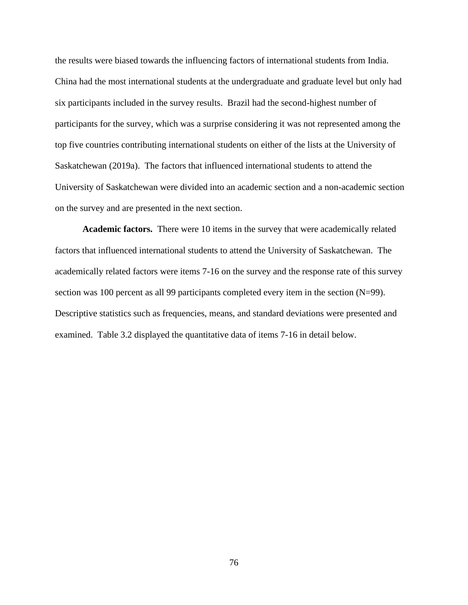the results were biased towards the influencing factors of international students from India. China had the most international students at the undergraduate and graduate level but only had six participants included in the survey results. Brazil had the second-highest number of participants for the survey, which was a surprise considering it was not represented among the top five countries contributing international students on either of the lists at the University of Saskatchewan (2019a). The factors that influenced international students to attend the University of Saskatchewan were divided into an academic section and a non-academic section on the survey and are presented in the next section.

**Academic factors.** There were 10 items in the survey that were academically related factors that influenced international students to attend the University of Saskatchewan. The academically related factors were items 7-16 on the survey and the response rate of this survey section was 100 percent as all 99 participants completed every item in the section (N=99). Descriptive statistics such as frequencies, means, and standard deviations were presented and examined. Table 3.2 displayed the quantitative data of items 7-16 in detail below.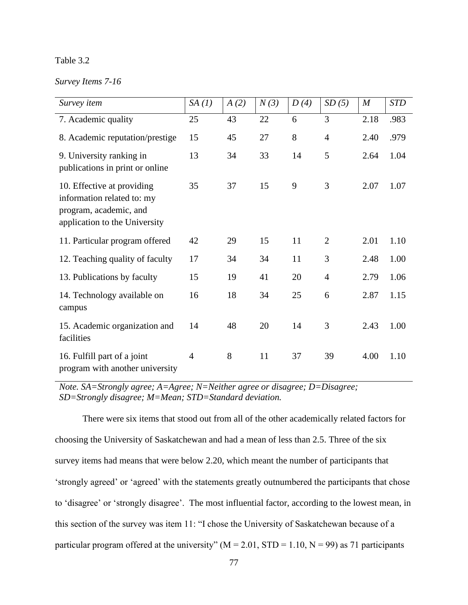# Table 3.2

# *Survey Items 7-16*

| Survey item                                                                                                         | SA(1)          | A(2) | N(3) | D(4) | SD(5)          | $\boldsymbol{M}$ | <b>STD</b> |
|---------------------------------------------------------------------------------------------------------------------|----------------|------|------|------|----------------|------------------|------------|
| 7. Academic quality                                                                                                 | 25             | 43   | 22   | 6    | 3              | 2.18             | .983       |
| 8. Academic reputation/prestige                                                                                     | 15             | 45   | 27   | 8    | $\overline{4}$ | 2.40             | .979       |
| 9. University ranking in<br>publications in print or online                                                         | 13             | 34   | 33   | 14   | 5              | 2.64             | 1.04       |
| 10. Effective at providing<br>information related to: my<br>program, academic, and<br>application to the University | 35             | 37   | 15   | 9    | 3              | 2.07             | 1.07       |
| 11. Particular program offered                                                                                      | 42             | 29   | 15   | 11   | $\overline{2}$ | 2.01             | 1.10       |
| 12. Teaching quality of faculty                                                                                     | 17             | 34   | 34   | 11   | 3              | 2.48             | 1.00       |
| 13. Publications by faculty                                                                                         | 15             | 19   | 41   | 20   | $\overline{4}$ | 2.79             | 1.06       |
| 14. Technology available on<br>campus                                                                               | 16             | 18   | 34   | 25   | 6              | 2.87             | 1.15       |
| 15. Academic organization and<br>facilities                                                                         | 14             | 48   | 20   | 14   | 3              | 2.43             | 1.00       |
| 16. Fulfill part of a joint<br>program with another university                                                      | $\overline{4}$ | 8    | 11   | 37   | 39             | 4.00             | 1.10       |

*Note. SA=Strongly agree; A=Agree; N=Neither agree or disagree; D=Disagree; SD=Strongly disagree; M=Mean; STD=Standard deviation.*

There were six items that stood out from all of the other academically related factors for choosing the University of Saskatchewan and had a mean of less than 2.5. Three of the six survey items had means that were below 2.20, which meant the number of participants that 'strongly agreed' or 'agreed' with the statements greatly outnumbered the participants that chose to 'disagree' or 'strongly disagree'. The most influential factor, according to the lowest mean, in this section of the survey was item 11: "I chose the University of Saskatchewan because of a particular program offered at the university" ( $M = 2.01$ ,  $STD = 1.10$ ,  $N = 99$ ) as 71 participants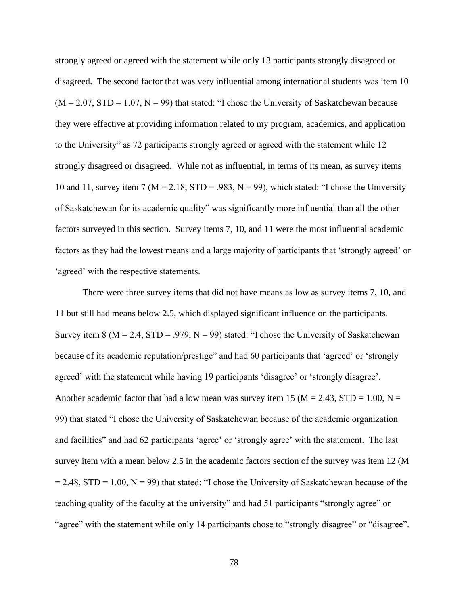strongly agreed or agreed with the statement while only 13 participants strongly disagreed or disagreed. The second factor that was very influential among international students was item 10  $(M = 2.07, STD = 1.07, N = 99)$  that stated: "I chose the University of Saskatchewan because they were effective at providing information related to my program, academics, and application to the University" as 72 participants strongly agreed or agreed with the statement while 12 strongly disagreed or disagreed. While not as influential, in terms of its mean, as survey items 10 and 11, survey item 7 ( $M = 2.18$ , STD = .983, N = 99), which stated: "I chose the University of Saskatchewan for its academic quality" was significantly more influential than all the other factors surveyed in this section. Survey items 7, 10, and 11 were the most influential academic factors as they had the lowest means and a large majority of participants that 'strongly agreed' or 'agreed' with the respective statements.

There were three survey items that did not have means as low as survey items 7, 10, and 11 but still had means below 2.5, which displayed significant influence on the participants. Survey item 8 ( $M = 2.4$ ,  $STD = .979$ ,  $N = 99$ ) stated: "I chose the University of Saskatchewan because of its academic reputation/prestige" and had 60 participants that 'agreed' or 'strongly agreed' with the statement while having 19 participants 'disagree' or 'strongly disagree'. Another academic factor that had a low mean was survey item 15 ( $M = 2.43$ ,  $STD = 1.00$ ,  $N =$ 99) that stated "I chose the University of Saskatchewan because of the academic organization and facilities" and had 62 participants 'agree' or 'strongly agree' with the statement. The last survey item with a mean below 2.5 in the academic factors section of the survey was item 12 (M  $= 2.48$ , STD = 1.00, N = 99) that stated: "I chose the University of Saskatchewan because of the teaching quality of the faculty at the university" and had 51 participants "strongly agree" or "agree" with the statement while only 14 participants chose to "strongly disagree" or "disagree".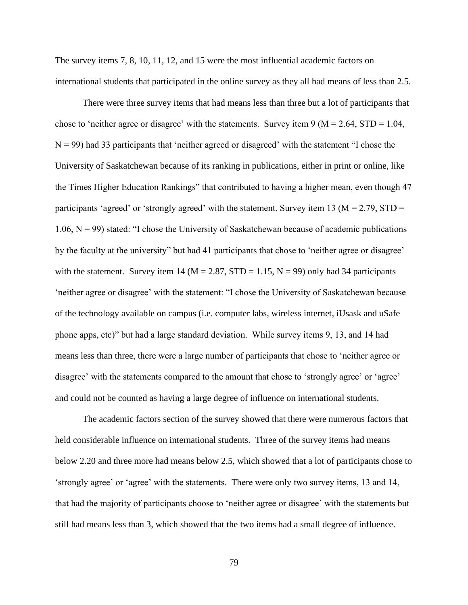The survey items 7, 8, 10, 11, 12, and 15 were the most influential academic factors on international students that participated in the online survey as they all had means of less than 2.5.

There were three survey items that had means less than three but a lot of participants that chose to 'neither agree or disagree' with the statements. Survey item  $9 (M = 2.64, STD = 1.04,$  $N = 99$ ) had 33 participants that 'neither agreed or disagreed' with the statement "I chose the University of Saskatchewan because of its ranking in publications, either in print or online, like the Times Higher Education Rankings" that contributed to having a higher mean, even though 47 participants 'agreed' or 'strongly agreed' with the statement. Survey item 13 ( $M = 2.79$ , STD = 1.06,  $N = 99$ ) stated: "I chose the University of Saskatchewan because of academic publications by the faculty at the university" but had 41 participants that chose to 'neither agree or disagree' with the statement. Survey item 14 ( $M = 2.87$ ,  $STD = 1.15$ ,  $N = 99$ ) only had 34 participants 'neither agree or disagree' with the statement: "I chose the University of Saskatchewan because of the technology available on campus (i.e. computer labs, wireless internet, iUsask and uSafe phone apps, etc)" but had a large standard deviation. While survey items 9, 13, and 14 had means less than three, there were a large number of participants that chose to 'neither agree or disagree' with the statements compared to the amount that chose to 'strongly agree' or 'agree' and could not be counted as having a large degree of influence on international students.

The academic factors section of the survey showed that there were numerous factors that held considerable influence on international students. Three of the survey items had means below 2.20 and three more had means below 2.5, which showed that a lot of participants chose to 'strongly agree' or 'agree' with the statements. There were only two survey items, 13 and 14, that had the majority of participants choose to 'neither agree or disagree' with the statements but still had means less than 3, which showed that the two items had a small degree of influence.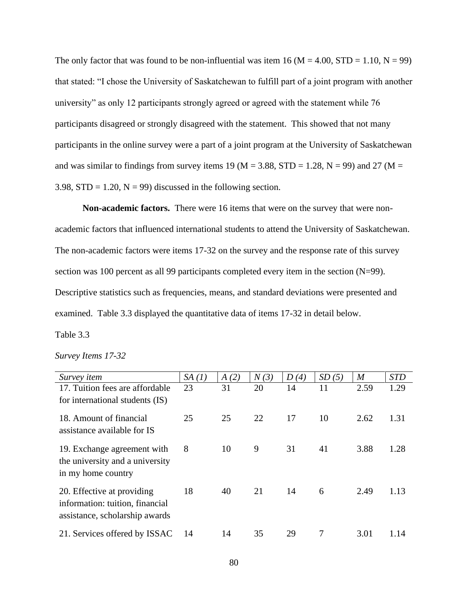The only factor that was found to be non-influential was item 16 ( $M = 4.00$ ,  $STD = 1.10$ ,  $N = 99$ ) that stated: "I chose the University of Saskatchewan to fulfill part of a joint program with another university" as only 12 participants strongly agreed or agreed with the statement while 76 participants disagreed or strongly disagreed with the statement. This showed that not many participants in the online survey were a part of a joint program at the University of Saskatchewan and was similar to findings from survey items 19 ( $M = 3.88$ , STD = 1.28, N = 99) and 27 ( $M =$ 3.98,  $STD = 1.20$ ,  $N = 99$ ) discussed in the following section.

**Non-academic factors.** There were 16 items that were on the survey that were nonacademic factors that influenced international students to attend the University of Saskatchewan. The non-academic factors were items 17-32 on the survey and the response rate of this survey section was 100 percent as all 99 participants completed every item in the section (N=99). Descriptive statistics such as frequencies, means, and standard deviations were presented and examined. Table 3.3 displayed the quantitative data of items 17-32 in detail below. Table 3.3

| Survey Items 17-32 |  |
|--------------------|--|
|--------------------|--|

| Survey <i>item</i>              | SA(1) | A(2) | N(3) | D(4) | SD(5) | $\boldsymbol{M}$ | <b>STD</b> |
|---------------------------------|-------|------|------|------|-------|------------------|------------|
| 17. Tuition fees are affordable | 23    | 31   | 20   | 14   | 11    | 2.59             | 1.29       |
| for international students (IS) |       |      |      |      |       |                  |            |
| 18. Amount of financial         | 25    | 25   | 22   | 17   | 10    | 2.62             | 1.31       |
| assistance available for IS     |       |      |      |      |       |                  |            |
| 19. Exchange agreement with     | 8     | 10   | 9    | 31   | 41    | 3.88             | 1.28       |
| the university and a university |       |      |      |      |       |                  |            |
| in my home country              |       |      |      |      |       |                  |            |
| 20. Effective at providing      | 18    | 40   | 21   | 14   | 6     | 2.49             | 1.13       |
| information: tuition, financial |       |      |      |      |       |                  |            |
| assistance, scholarship awards  |       |      |      |      |       |                  |            |
| 21. Services offered by ISSAC   | 14    | 14   | 35   | 29   | 7     | 3.01             | 1.14       |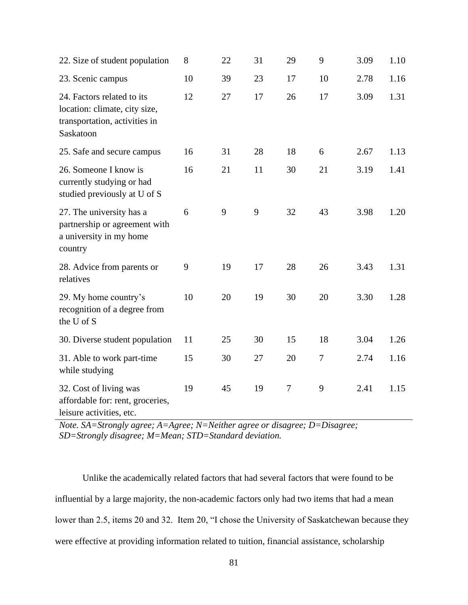| 22. Size of student population                                                                            | 8  | 22 | 31 | 29     | 9              | 3.09 | 1.10 |
|-----------------------------------------------------------------------------------------------------------|----|----|----|--------|----------------|------|------|
| 23. Scenic campus                                                                                         | 10 | 39 | 23 | 17     | 10             | 2.78 | 1.16 |
| 24. Factors related to its<br>location: climate, city size,<br>transportation, activities in<br>Saskatoon | 12 | 27 | 17 | 26     | 17             | 3.09 | 1.31 |
| 25. Safe and secure campus                                                                                | 16 | 31 | 28 | 18     | 6              | 2.67 | 1.13 |
| 26. Someone I know is<br>currently studying or had<br>studied previously at U of S                        | 16 | 21 | 11 | 30     | 21             | 3.19 | 1.41 |
| 27. The university has a<br>partnership or agreement with<br>a university in my home<br>country           | 6  | 9  | 9  | 32     | 43             | 3.98 | 1.20 |
| 28. Advice from parents or<br>relatives                                                                   | 9  | 19 | 17 | 28     | 26             | 3.43 | 1.31 |
| 29. My home country's<br>recognition of a degree from<br>the U of S                                       | 10 | 20 | 19 | 30     | 20             | 3.30 | 1.28 |
| 30. Diverse student population                                                                            | 11 | 25 | 30 | 15     | 18             | 3.04 | 1.26 |
| 31. Able to work part-time<br>while studying                                                              | 15 | 30 | 27 | 20     | $\overline{7}$ | 2.74 | 1.16 |
| 32. Cost of living was<br>affordable for: rent, groceries,<br>leisure activities, etc.                    | 19 | 45 | 19 | $\tau$ | 9              | 2.41 | 1.15 |

*Note. SA=Strongly agree; A=Agree; N=Neither agree or disagree; D=Disagree; SD=Strongly disagree; M=Mean; STD=Standard deviation.*

Unlike the academically related factors that had several factors that were found to be influential by a large majority, the non-academic factors only had two items that had a mean lower than 2.5, items 20 and 32. Item 20, "I chose the University of Saskatchewan because they were effective at providing information related to tuition, financial assistance, scholarship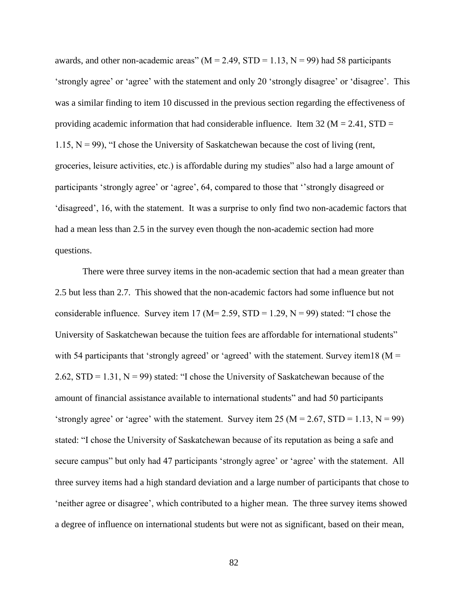awards, and other non-academic areas" ( $M = 2.49$ ,  $STD = 1.13$ ,  $N = 99$ ) had 58 participants 'strongly agree' or 'agree' with the statement and only 20 'strongly disagree' or 'disagree'. This was a similar finding to item 10 discussed in the previous section regarding the effectiveness of providing academic information that had considerable influence. Item 32 ( $M = 2.41$ , STD = 1.15,  $N = 99$ ), "I chose the University of Saskatchewan because the cost of living (rent, groceries, leisure activities, etc.) is affordable during my studies" also had a large amount of participants 'strongly agree' or 'agree', 64, compared to those that ''strongly disagreed or 'disagreed', 16, with the statement. It was a surprise to only find two non-academic factors that had a mean less than 2.5 in the survey even though the non-academic section had more questions.

There were three survey items in the non-academic section that had a mean greater than 2.5 but less than 2.7. This showed that the non-academic factors had some influence but not considerable influence. Survey item 17 ( $M= 2.59$ ,  $STD = 1.29$ ,  $N = 99$ ) stated: "I chose the University of Saskatchewan because the tuition fees are affordable for international students" with 54 participants that 'strongly agreed' or 'agreed' with the statement. Survey item18 ( $M =$ 2.62,  $STD = 1.31$ ,  $N = 99$ ) stated: "I chose the University of Saskatchewan because of the amount of financial assistance available to international students" and had 50 participants 'strongly agree' or 'agree' with the statement. Survey item 25 ( $M = 2.67$ , STD = 1.13, N = 99) stated: "I chose the University of Saskatchewan because of its reputation as being a safe and secure campus" but only had 47 participants 'strongly agree' or 'agree' with the statement. All three survey items had a high standard deviation and a large number of participants that chose to 'neither agree or disagree', which contributed to a higher mean. The three survey items showed a degree of influence on international students but were not as significant, based on their mean,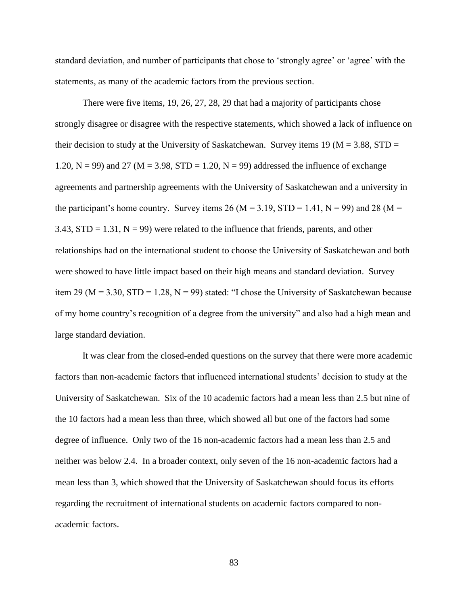standard deviation, and number of participants that chose to 'strongly agree' or 'agree' with the statements, as many of the academic factors from the previous section.

There were five items, 19, 26, 27, 28, 29 that had a majority of participants chose strongly disagree or disagree with the respective statements, which showed a lack of influence on their decision to study at the University of Saskatchewan. Survey items 19 ( $M = 3.88$ , STD = 1.20,  $N = 99$ ) and 27 ( $M = 3.98$ , STD = 1.20,  $N = 99$ ) addressed the influence of exchange agreements and partnership agreements with the University of Saskatchewan and a university in the participant's home country. Survey items 26 (M = 3.19, STD = 1.41, N = 99) and 28 (M = 3.43,  $STD = 1.31$ ,  $N = 99$ ) were related to the influence that friends, parents, and other relationships had on the international student to choose the University of Saskatchewan and both were showed to have little impact based on their high means and standard deviation. Survey item 29 ( $M = 3.30$ , STD = 1.28,  $N = 99$ ) stated: "I chose the University of Saskatchewan because of my home country's recognition of a degree from the university" and also had a high mean and large standard deviation.

It was clear from the closed-ended questions on the survey that there were more academic factors than non-academic factors that influenced international students' decision to study at the University of Saskatchewan. Six of the 10 academic factors had a mean less than 2.5 but nine of the 10 factors had a mean less than three, which showed all but one of the factors had some degree of influence. Only two of the 16 non-academic factors had a mean less than 2.5 and neither was below 2.4. In a broader context, only seven of the 16 non-academic factors had a mean less than 3, which showed that the University of Saskatchewan should focus its efforts regarding the recruitment of international students on academic factors compared to nonacademic factors.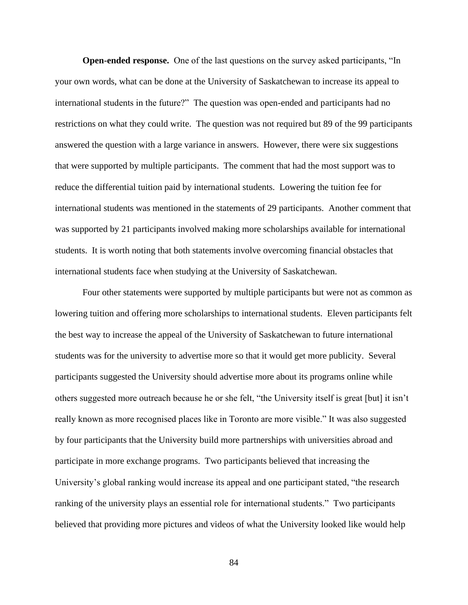**Open-ended response.** One of the last questions on the survey asked participants, "In your own words, what can be done at the University of Saskatchewan to increase its appeal to international students in the future?" The question was open-ended and participants had no restrictions on what they could write. The question was not required but 89 of the 99 participants answered the question with a large variance in answers. However, there were six suggestions that were supported by multiple participants. The comment that had the most support was to reduce the differential tuition paid by international students. Lowering the tuition fee for international students was mentioned in the statements of 29 participants. Another comment that was supported by 21 participants involved making more scholarships available for international students. It is worth noting that both statements involve overcoming financial obstacles that international students face when studying at the University of Saskatchewan.

Four other statements were supported by multiple participants but were not as common as lowering tuition and offering more scholarships to international students. Eleven participants felt the best way to increase the appeal of the University of Saskatchewan to future international students was for the university to advertise more so that it would get more publicity. Several participants suggested the University should advertise more about its programs online while others suggested more outreach because he or she felt, "the University itself is great [but] it isn't really known as more recognised places like in Toronto are more visible." It was also suggested by four participants that the University build more partnerships with universities abroad and participate in more exchange programs. Two participants believed that increasing the University's global ranking would increase its appeal and one participant stated, "the research ranking of the university plays an essential role for international students." Two participants believed that providing more pictures and videos of what the University looked like would help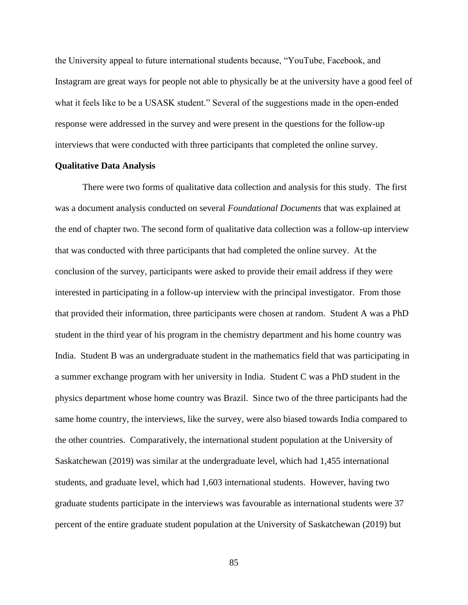the University appeal to future international students because, "YouTube, Facebook, and Instagram are great ways for people not able to physically be at the university have a good feel of what it feels like to be a USASK student." Several of the suggestions made in the open-ended response were addressed in the survey and were present in the questions for the follow-up interviews that were conducted with three participants that completed the online survey.

# **Qualitative Data Analysis**

There were two forms of qualitative data collection and analysis for this study. The first was a document analysis conducted on several *Foundational Documents* that was explained at the end of chapter two. The second form of qualitative data collection was a follow-up interview that was conducted with three participants that had completed the online survey. At the conclusion of the survey, participants were asked to provide their email address if they were interested in participating in a follow-up interview with the principal investigator. From those that provided their information, three participants were chosen at random. Student A was a PhD student in the third year of his program in the chemistry department and his home country was India. Student B was an undergraduate student in the mathematics field that was participating in a summer exchange program with her university in India. Student C was a PhD student in the physics department whose home country was Brazil. Since two of the three participants had the same home country, the interviews, like the survey, were also biased towards India compared to the other countries. Comparatively, the international student population at the University of Saskatchewan (2019) was similar at the undergraduate level, which had 1,455 international students, and graduate level, which had 1,603 international students. However, having two graduate students participate in the interviews was favourable as international students were 37 percent of the entire graduate student population at the University of Saskatchewan (2019) but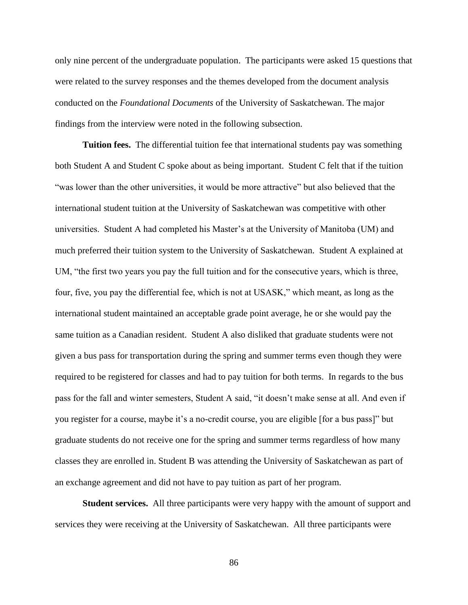only nine percent of the undergraduate population. The participants were asked 15 questions that were related to the survey responses and the themes developed from the document analysis conducted on the *Foundational Documents* of the University of Saskatchewan. The major findings from the interview were noted in the following subsection.

**Tuition fees.** The differential tuition fee that international students pay was something both Student A and Student C spoke about as being important. Student C felt that if the tuition "was lower than the other universities, it would be more attractive" but also believed that the international student tuition at the University of Saskatchewan was competitive with other universities. Student A had completed his Master's at the University of Manitoba (UM) and much preferred their tuition system to the University of Saskatchewan. Student A explained at UM, "the first two years you pay the full tuition and for the consecutive years, which is three, four, five, you pay the differential fee, which is not at USASK," which meant, as long as the international student maintained an acceptable grade point average, he or she would pay the same tuition as a Canadian resident. Student A also disliked that graduate students were not given a bus pass for transportation during the spring and summer terms even though they were required to be registered for classes and had to pay tuition for both terms. In regards to the bus pass for the fall and winter semesters, Student A said, "it doesn't make sense at all. And even if you register for a course, maybe it's a no-credit course, you are eligible [for a bus pass]" but graduate students do not receive one for the spring and summer terms regardless of how many classes they are enrolled in. Student B was attending the University of Saskatchewan as part of an exchange agreement and did not have to pay tuition as part of her program.

**Student services.** All three participants were very happy with the amount of support and services they were receiving at the University of Saskatchewan. All three participants were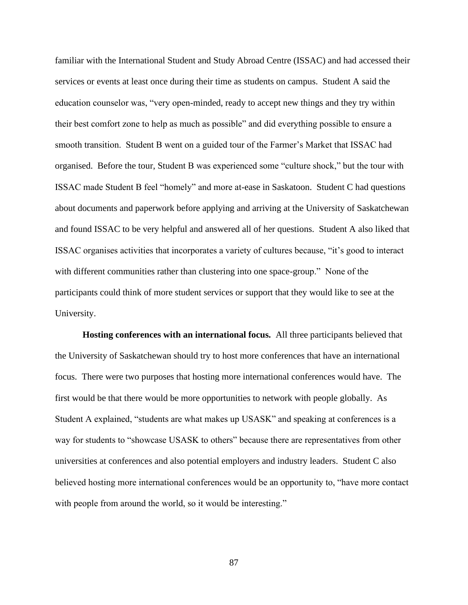familiar with the International Student and Study Abroad Centre (ISSAC) and had accessed their services or events at least once during their time as students on campus. Student A said the education counselor was, "very open-minded, ready to accept new things and they try within their best comfort zone to help as much as possible" and did everything possible to ensure a smooth transition. Student B went on a guided tour of the Farmer's Market that ISSAC had organised. Before the tour, Student B was experienced some "culture shock," but the tour with ISSAC made Student B feel "homely" and more at-ease in Saskatoon. Student C had questions about documents and paperwork before applying and arriving at the University of Saskatchewan and found ISSAC to be very helpful and answered all of her questions. Student A also liked that ISSAC organises activities that incorporates a variety of cultures because, "it's good to interact with different communities rather than clustering into one space-group." None of the participants could think of more student services or support that they would like to see at the University.

**Hosting conferences with an international focus.** All three participants believed that the University of Saskatchewan should try to host more conferences that have an international focus. There were two purposes that hosting more international conferences would have. The first would be that there would be more opportunities to network with people globally. As Student A explained, "students are what makes up USASK" and speaking at conferences is a way for students to "showcase USASK to others" because there are representatives from other universities at conferences and also potential employers and industry leaders. Student C also believed hosting more international conferences would be an opportunity to, "have more contact with people from around the world, so it would be interesting."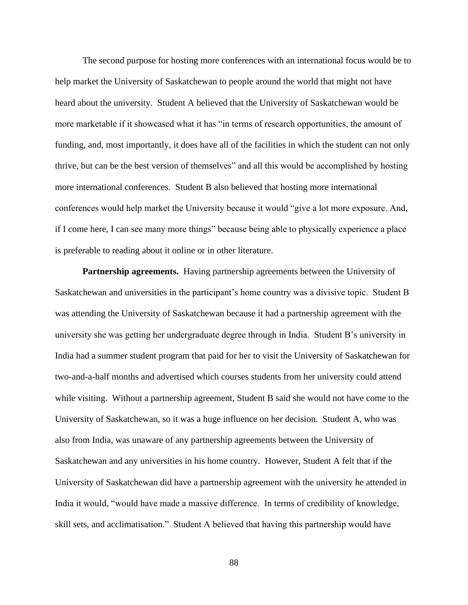The second purpose for hosting more conferences with an international focus would be to help market the University of Saskatchewan to people around the world that might not have heard about the university. Student A believed that the University of Saskatchewan would be more marketable if it showcased what it has "in terms of research opportunities, the amount of funding, and, most importantly, it does have all of the facilities in which the student can not only thrive, but can be the best version of themselves" and all this would be accomplished by hosting more international conferences. Student B also believed that hosting more international conferences would help market the University because it would "give a lot more exposure. And, if I come here, I can see many more things" because being able to physically experience a place is preferable to reading about it online or in other literature.

**Partnership agreements.** Having partnership agreements between the University of Saskatchewan and universities in the participant's home country was a divisive topic. Student B was attending the University of Saskatchewan because it had a partnership agreement with the university she was getting her undergraduate degree through in India. Student B's university in India had a summer student program that paid for her to visit the University of Saskatchewan for two-and-a-half months and advertised which courses students from her university could attend while visiting. Without a partnership agreement, Student B said she would not have come to the University of Saskatchewan, so it was a huge influence on her decision. Student A, who was also from India, was unaware of any partnership agreements between the University of Saskatchewan and any universities in his home country. However, Student A felt that if the University of Saskatchewan did have a partnership agreement with the university he attended in India it would, "would have made a massive difference. In terms of credibility of knowledge, skill sets, and acclimatisation." Student A believed that having this partnership would have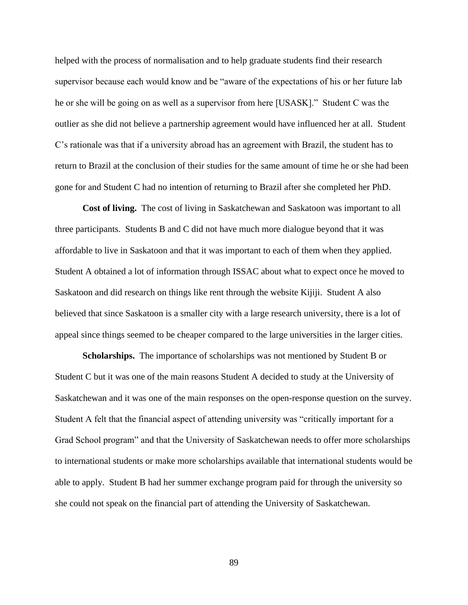helped with the process of normalisation and to help graduate students find their research supervisor because each would know and be "aware of the expectations of his or her future lab he or she will be going on as well as a supervisor from here [USASK]." Student C was the outlier as she did not believe a partnership agreement would have influenced her at all. Student C's rationale was that if a university abroad has an agreement with Brazil, the student has to return to Brazil at the conclusion of their studies for the same amount of time he or she had been gone for and Student C had no intention of returning to Brazil after she completed her PhD.

**Cost of living.** The cost of living in Saskatchewan and Saskatoon was important to all three participants. Students B and C did not have much more dialogue beyond that it was affordable to live in Saskatoon and that it was important to each of them when they applied. Student A obtained a lot of information through ISSAC about what to expect once he moved to Saskatoon and did research on things like rent through the website Kijiji. Student A also believed that since Saskatoon is a smaller city with a large research university, there is a lot of appeal since things seemed to be cheaper compared to the large universities in the larger cities.

**Scholarships.** The importance of scholarships was not mentioned by Student B or Student C but it was one of the main reasons Student A decided to study at the University of Saskatchewan and it was one of the main responses on the open-response question on the survey. Student A felt that the financial aspect of attending university was "critically important for a Grad School program" and that the University of Saskatchewan needs to offer more scholarships to international students or make more scholarships available that international students would be able to apply. Student B had her summer exchange program paid for through the university so she could not speak on the financial part of attending the University of Saskatchewan.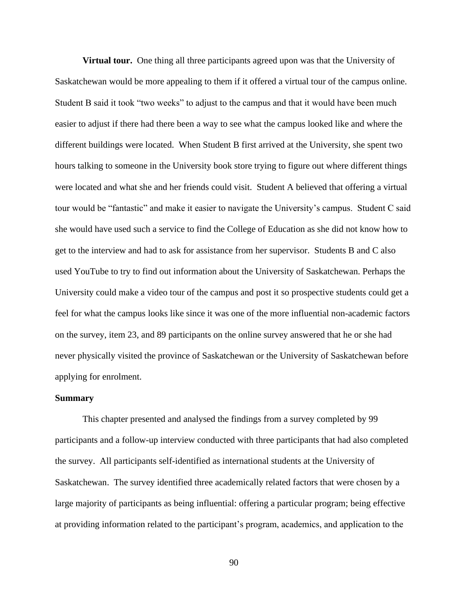**Virtual tour.** One thing all three participants agreed upon was that the University of Saskatchewan would be more appealing to them if it offered a virtual tour of the campus online. Student B said it took "two weeks" to adjust to the campus and that it would have been much easier to adjust if there had there been a way to see what the campus looked like and where the different buildings were located. When Student B first arrived at the University, she spent two hours talking to someone in the University book store trying to figure out where different things were located and what she and her friends could visit. Student A believed that offering a virtual tour would be "fantastic" and make it easier to navigate the University's campus. Student C said she would have used such a service to find the College of Education as she did not know how to get to the interview and had to ask for assistance from her supervisor. Students B and C also used YouTube to try to find out information about the University of Saskatchewan. Perhaps the University could make a video tour of the campus and post it so prospective students could get a feel for what the campus looks like since it was one of the more influential non-academic factors on the survey, item 23, and 89 participants on the online survey answered that he or she had never physically visited the province of Saskatchewan or the University of Saskatchewan before applying for enrolment.

#### **Summary**

This chapter presented and analysed the findings from a survey completed by 99 participants and a follow-up interview conducted with three participants that had also completed the survey. All participants self-identified as international students at the University of Saskatchewan. The survey identified three academically related factors that were chosen by a large majority of participants as being influential: offering a particular program; being effective at providing information related to the participant's program, academics, and application to the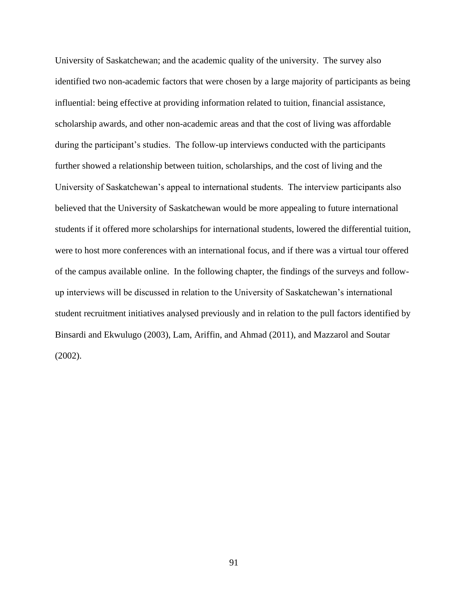University of Saskatchewan; and the academic quality of the university. The survey also identified two non-academic factors that were chosen by a large majority of participants as being influential: being effective at providing information related to tuition, financial assistance, scholarship awards, and other non-academic areas and that the cost of living was affordable during the participant's studies. The follow-up interviews conducted with the participants further showed a relationship between tuition, scholarships, and the cost of living and the University of Saskatchewan's appeal to international students. The interview participants also believed that the University of Saskatchewan would be more appealing to future international students if it offered more scholarships for international students, lowered the differential tuition, were to host more conferences with an international focus, and if there was a virtual tour offered of the campus available online. In the following chapter, the findings of the surveys and followup interviews will be discussed in relation to the University of Saskatchewan's international student recruitment initiatives analysed previously and in relation to the pull factors identified by Binsardi and Ekwulugo (2003), Lam, Ariffin, and Ahmad (2011), and Mazzarol and Soutar (2002).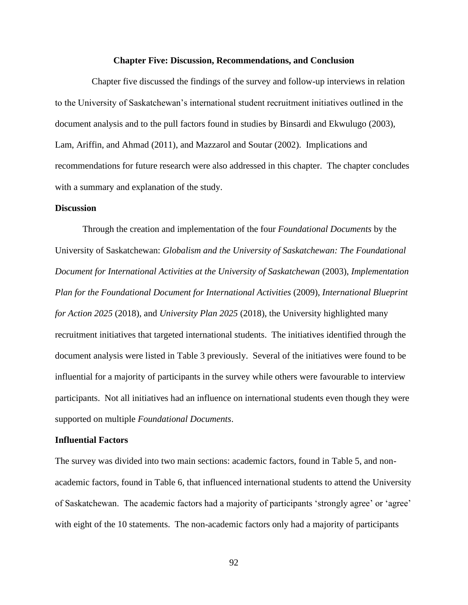#### **Chapter Five: Discussion, Recommendations, and Conclusion**

Chapter five discussed the findings of the survey and follow-up interviews in relation to the University of Saskatchewan's international student recruitment initiatives outlined in the document analysis and to the pull factors found in studies by Binsardi and Ekwulugo (2003), Lam, Ariffin, and Ahmad (2011), and Mazzarol and Soutar (2002). Implications and recommendations for future research were also addressed in this chapter. The chapter concludes with a summary and explanation of the study.

#### **Discussion**

Through the creation and implementation of the four *Foundational Documents* by the University of Saskatchewan: *Globalism and the University of Saskatchewan: The Foundational Document for International Activities at the University of Saskatchewan* (2003), *Implementation Plan for the Foundational Document for International Activities* (2009)*, International Blueprint for Action 2025* (2018), and *University Plan 2025* (2018), the University highlighted many recruitment initiatives that targeted international students. The initiatives identified through the document analysis were listed in Table 3 previously. Several of the initiatives were found to be influential for a majority of participants in the survey while others were favourable to interview participants. Not all initiatives had an influence on international students even though they were supported on multiple *Foundational Documents*.

### **Influential Factors**

The survey was divided into two main sections: academic factors, found in Table 5, and nonacademic factors, found in Table 6, that influenced international students to attend the University of Saskatchewan. The academic factors had a majority of participants 'strongly agree' or 'agree' with eight of the 10 statements. The non-academic factors only had a majority of participants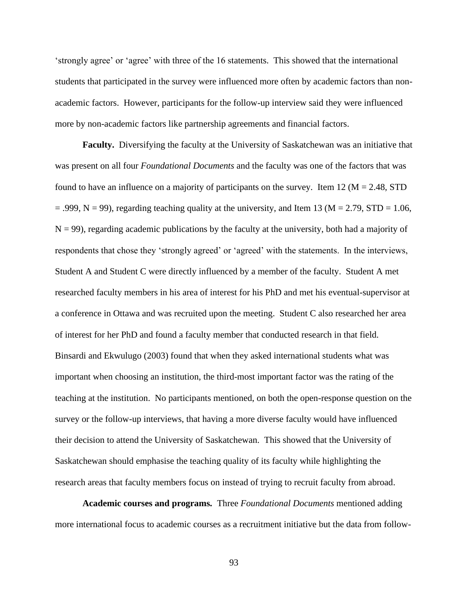'strongly agree' or 'agree' with three of the 16 statements. This showed that the international students that participated in the survey were influenced more often by academic factors than nonacademic factors. However, participants for the follow-up interview said they were influenced more by non-academic factors like partnership agreements and financial factors.

**Faculty.** Diversifying the faculty at the University of Saskatchewan was an initiative that was present on all four *Foundational Documents* and the faculty was one of the factors that was found to have an influence on a majority of participants on the survey. Item 12 ( $M = 2.48$ , STD  $=$  .999, N = 99), regarding teaching quality at the university, and Item 13 (M = 2.79, STD = 1.06,  $N = 99$ ), regarding academic publications by the faculty at the university, both had a majority of respondents that chose they 'strongly agreed' or 'agreed' with the statements. In the interviews, Student A and Student C were directly influenced by a member of the faculty. Student A met researched faculty members in his area of interest for his PhD and met his eventual-supervisor at a conference in Ottawa and was recruited upon the meeting. Student C also researched her area of interest for her PhD and found a faculty member that conducted research in that field. Binsardi and Ekwulugo (2003) found that when they asked international students what was important when choosing an institution, the third-most important factor was the rating of the teaching at the institution. No participants mentioned, on both the open-response question on the survey or the follow-up interviews, that having a more diverse faculty would have influenced their decision to attend the University of Saskatchewan. This showed that the University of Saskatchewan should emphasise the teaching quality of its faculty while highlighting the research areas that faculty members focus on instead of trying to recruit faculty from abroad.

**Academic courses and programs***.* Three *Foundational Documents* mentioned adding more international focus to academic courses as a recruitment initiative but the data from follow-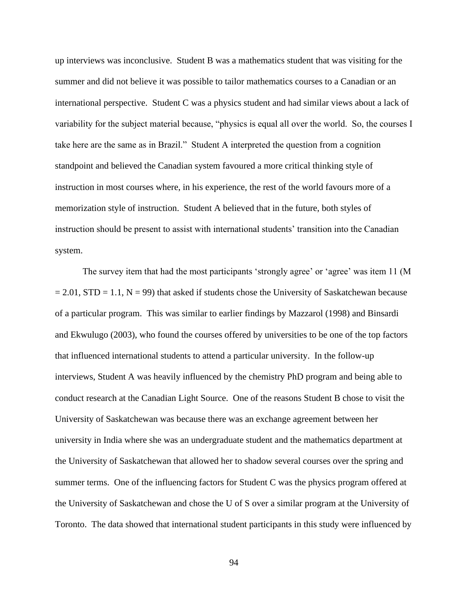up interviews was inconclusive. Student B was a mathematics student that was visiting for the summer and did not believe it was possible to tailor mathematics courses to a Canadian or an international perspective. Student C was a physics student and had similar views about a lack of variability for the subject material because, "physics is equal all over the world. So, the courses I take here are the same as in Brazil." Student A interpreted the question from a cognition standpoint and believed the Canadian system favoured a more critical thinking style of instruction in most courses where, in his experience, the rest of the world favours more of a memorization style of instruction. Student A believed that in the future, both styles of instruction should be present to assist with international students' transition into the Canadian system.

The survey item that had the most participants 'strongly agree' or 'agree' was item 11 (M  $= 2.01$ , STD = 1.1, N = 99) that asked if students chose the University of Saskatchewan because of a particular program. This was similar to earlier findings by Mazzarol (1998) and Binsardi and Ekwulugo (2003), who found the courses offered by universities to be one of the top factors that influenced international students to attend a particular university. In the follow-up interviews, Student A was heavily influenced by the chemistry PhD program and being able to conduct research at the Canadian Light Source. One of the reasons Student B chose to visit the University of Saskatchewan was because there was an exchange agreement between her university in India where she was an undergraduate student and the mathematics department at the University of Saskatchewan that allowed her to shadow several courses over the spring and summer terms. One of the influencing factors for Student C was the physics program offered at the University of Saskatchewan and chose the U of S over a similar program at the University of Toronto. The data showed that international student participants in this study were influenced by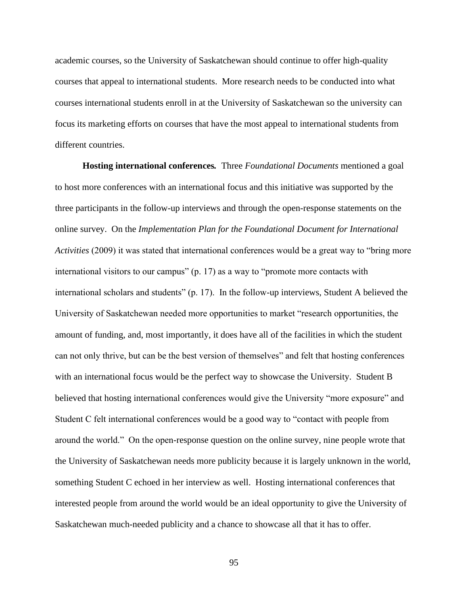academic courses, so the University of Saskatchewan should continue to offer high-quality courses that appeal to international students. More research needs to be conducted into what courses international students enroll in at the University of Saskatchewan so the university can focus its marketing efforts on courses that have the most appeal to international students from different countries.

**Hosting international conferences***.* Three *Foundational Documents* mentioned a goal to host more conferences with an international focus and this initiative was supported by the three participants in the follow-up interviews and through the open-response statements on the online survey. On the *Implementation Plan for the Foundational Document for International Activities* (2009) it was stated that international conferences would be a great way to "bring more international visitors to our campus" (p. 17) as a way to "promote more contacts with international scholars and students" (p. 17). In the follow-up interviews, Student A believed the University of Saskatchewan needed more opportunities to market "research opportunities, the amount of funding, and, most importantly, it does have all of the facilities in which the student can not only thrive, but can be the best version of themselves" and felt that hosting conferences with an international focus would be the perfect way to showcase the University. Student B believed that hosting international conferences would give the University "more exposure" and Student C felt international conferences would be a good way to "contact with people from around the world." On the open-response question on the online survey, nine people wrote that the University of Saskatchewan needs more publicity because it is largely unknown in the world, something Student C echoed in her interview as well. Hosting international conferences that interested people from around the world would be an ideal opportunity to give the University of Saskatchewan much-needed publicity and a chance to showcase all that it has to offer.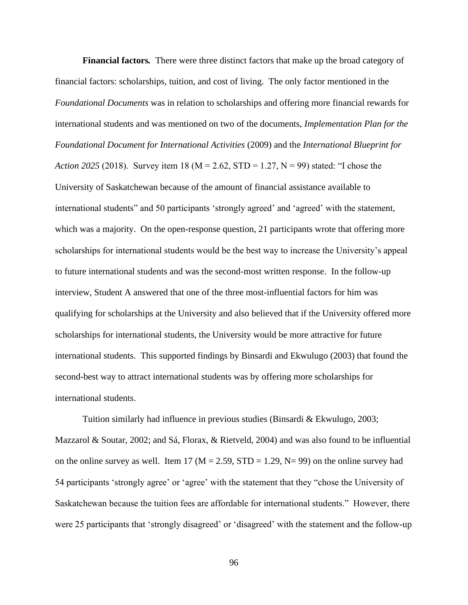**Financial factors***.* There were three distinct factors that make up the broad category of financial factors: scholarships, tuition, and cost of living. The only factor mentioned in the *Foundational Documents* was in relation to scholarships and offering more financial rewards for international students and was mentioned on two of the documents, *Implementation Plan for the Foundational Document for International Activities* (2009) and the *International Blueprint for Action 2025* (2018). Survey item 18 (M = 2.62, STD = 1.27, N = 99) stated: "I chose the University of Saskatchewan because of the amount of financial assistance available to international students" and 50 participants 'strongly agreed' and 'agreed' with the statement, which was a majority. On the open-response question, 21 participants wrote that offering more scholarships for international students would be the best way to increase the University's appeal to future international students and was the second-most written response. In the follow-up interview, Student A answered that one of the three most-influential factors for him was qualifying for scholarships at the University and also believed that if the University offered more scholarships for international students, the University would be more attractive for future international students. This supported findings by Binsardi and Ekwulugo (2003) that found the second-best way to attract international students was by offering more scholarships for international students.

Tuition similarly had influence in previous studies (Binsardi & Ekwulugo, 2003; Mazzarol & Soutar, 2002; and Sá, Florax, & Rietveld, 2004) and was also found to be influential on the online survey as well. Item 17 ( $M = 2.59$ ,  $STD = 1.29$ ,  $N = 99$ ) on the online survey had 54 participants 'strongly agree' or 'agree' with the statement that they "chose the University of Saskatchewan because the tuition fees are affordable for international students." However, there were 25 participants that 'strongly disagreed' or 'disagreed' with the statement and the follow-up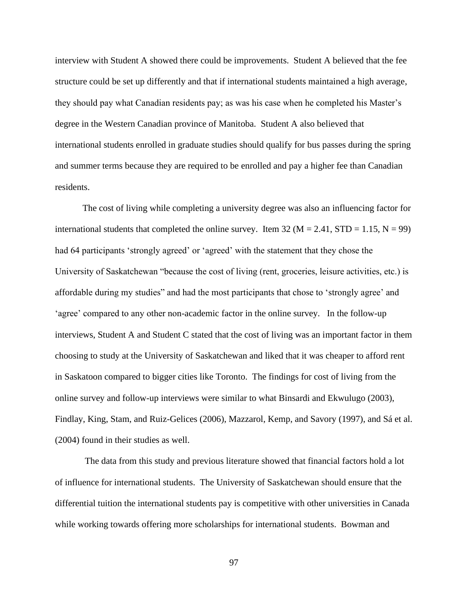interview with Student A showed there could be improvements. Student A believed that the fee structure could be set up differently and that if international students maintained a high average, they should pay what Canadian residents pay; as was his case when he completed his Master's degree in the Western Canadian province of Manitoba. Student A also believed that international students enrolled in graduate studies should qualify for bus passes during the spring and summer terms because they are required to be enrolled and pay a higher fee than Canadian residents.

The cost of living while completing a university degree was also an influencing factor for international students that completed the online survey. Item 32 ( $M = 2.41$ , STD = 1.15, N = 99) had 64 participants 'strongly agreed' or 'agreed' with the statement that they chose the University of Saskatchewan "because the cost of living (rent, groceries, leisure activities, etc.) is affordable during my studies" and had the most participants that chose to 'strongly agree' and 'agree' compared to any other non-academic factor in the online survey. In the follow-up interviews, Student A and Student C stated that the cost of living was an important factor in them choosing to study at the University of Saskatchewan and liked that it was cheaper to afford rent in Saskatoon compared to bigger cities like Toronto. The findings for cost of living from the online survey and follow-up interviews were similar to what Binsardi and Ekwulugo (2003), Findlay, King, Stam, and Ruiz-Gelices (2006), Mazzarol, Kemp, and Savory (1997), and Sá et al. (2004) found in their studies as well.

The data from this study and previous literature showed that financial factors hold a lot of influence for international students. The University of Saskatchewan should ensure that the differential tuition the international students pay is competitive with other universities in Canada while working towards offering more scholarships for international students. Bowman and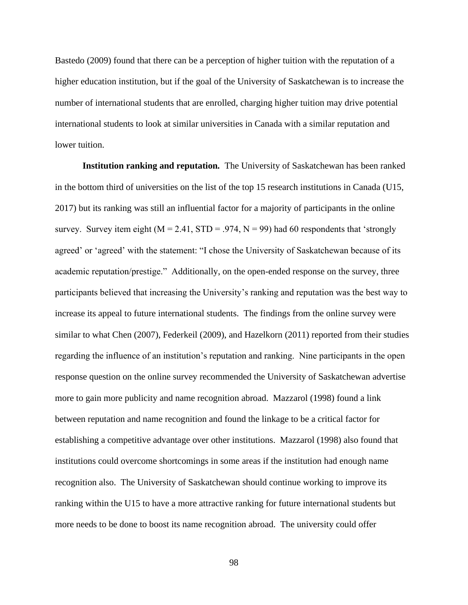Bastedo (2009) found that there can be a perception of higher tuition with the reputation of a higher education institution, but if the goal of the University of Saskatchewan is to increase the number of international students that are enrolled, charging higher tuition may drive potential international students to look at similar universities in Canada with a similar reputation and lower tuition.

**Institution ranking and reputation***.* The University of Saskatchewan has been ranked in the bottom third of universities on the list of the top 15 research institutions in Canada (U15, 2017) but its ranking was still an influential factor for a majority of participants in the online survey. Survey item eight ( $M = 2.41$ ,  $STD = .974$ ,  $N = 99$ ) had 60 respondents that 'strongly agreed' or 'agreed' with the statement: "I chose the University of Saskatchewan because of its academic reputation/prestige." Additionally, on the open-ended response on the survey, three participants believed that increasing the University's ranking and reputation was the best way to increase its appeal to future international students. The findings from the online survey were similar to what Chen (2007), Federkeil (2009), and Hazelkorn (2011) reported from their studies regarding the influence of an institution's reputation and ranking. Nine participants in the open response question on the online survey recommended the University of Saskatchewan advertise more to gain more publicity and name recognition abroad. Mazzarol (1998) found a link between reputation and name recognition and found the linkage to be a critical factor for establishing a competitive advantage over other institutions. Mazzarol (1998) also found that institutions could overcome shortcomings in some areas if the institution had enough name recognition also. The University of Saskatchewan should continue working to improve its ranking within the U15 to have a more attractive ranking for future international students but more needs to be done to boost its name recognition abroad. The university could offer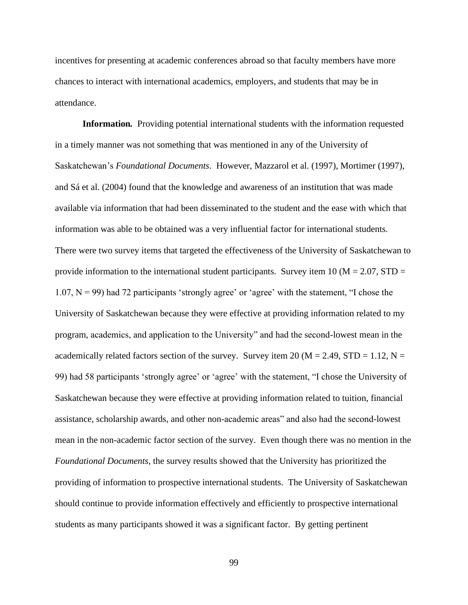incentives for presenting at academic conferences abroad so that faculty members have more chances to interact with international academics, employers, and students that may be in attendance.

**Information***.* Providing potential international students with the information requested in a timely manner was not something that was mentioned in any of the University of Saskatchewan's *Foundational Documents*. However, Mazzarol et al. (1997), Mortimer (1997), and Sá et al. (2004) found that the knowledge and awareness of an institution that was made available via information that had been disseminated to the student and the ease with which that information was able to be obtained was a very influential factor for international students. There were two survey items that targeted the effectiveness of the University of Saskatchewan to provide information to the international student participants. Survey item 10 ( $M = 2.07$ , STD = 1.07,  $N = 99$ ) had 72 participants 'strongly agree' or 'agree' with the statement, "I chose the University of Saskatchewan because they were effective at providing information related to my program, academics, and application to the University" and had the second-lowest mean in the academically related factors section of the survey. Survey item 20 ( $M = 2.49$ ,  $STD = 1.12$ ,  $N =$ 99) had 58 participants 'strongly agree' or 'agree' with the statement, "I chose the University of Saskatchewan because they were effective at providing information related to tuition, financial assistance, scholarship awards, and other non-academic areas" and also had the second-lowest mean in the non-academic factor section of the survey. Even though there was no mention in the *Foundational Documents,* the survey results showed that the University has prioritized the providing of information to prospective international students. The University of Saskatchewan should continue to provide information effectively and efficiently to prospective international students as many participants showed it was a significant factor. By getting pertinent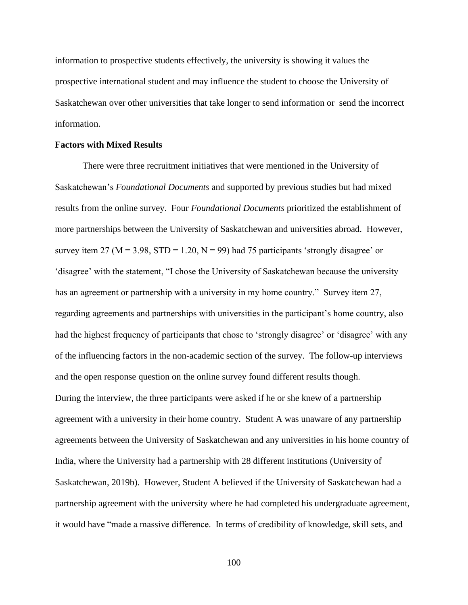information to prospective students effectively, the university is showing it values the prospective international student and may influence the student to choose the University of Saskatchewan over other universities that take longer to send information or send the incorrect information.

### **Factors with Mixed Results**

There were three recruitment initiatives that were mentioned in the University of Saskatchewan's *Foundational Documents* and supported by previous studies but had mixed results from the online survey. Four *Foundational Documents* prioritized the establishment of more partnerships between the University of Saskatchewan and universities abroad. However, survey item 27 ( $M = 3.98$ , STD = 1.20,  $N = 99$ ) had 75 participants 'strongly disagree' or 'disagree' with the statement, "I chose the University of Saskatchewan because the university has an agreement or partnership with a university in my home country." Survey item 27, regarding agreements and partnerships with universities in the participant's home country, also had the highest frequency of participants that chose to 'strongly disagree' or 'disagree' with any of the influencing factors in the non-academic section of the survey. The follow-up interviews and the open response question on the online survey found different results though. During the interview, the three participants were asked if he or she knew of a partnership agreement with a university in their home country. Student A was unaware of any partnership agreements between the University of Saskatchewan and any universities in his home country of India, where the University had a partnership with 28 different institutions (University of Saskatchewan, 2019b). However, Student A believed if the University of Saskatchewan had a partnership agreement with the university where he had completed his undergraduate agreement, it would have "made a massive difference. In terms of credibility of knowledge, skill sets, and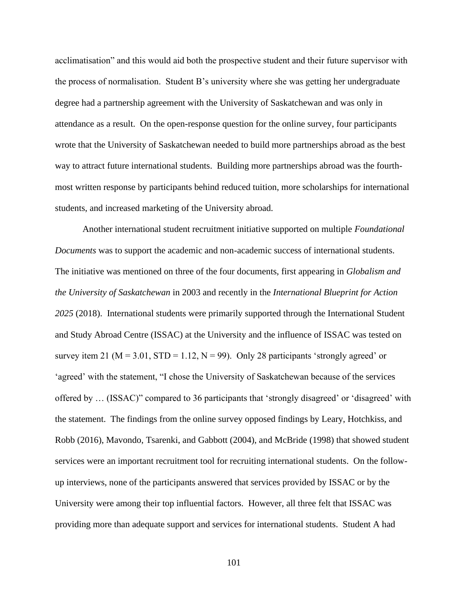acclimatisation" and this would aid both the prospective student and their future supervisor with the process of normalisation. Student B's university where she was getting her undergraduate degree had a partnership agreement with the University of Saskatchewan and was only in attendance as a result. On the open-response question for the online survey, four participants wrote that the University of Saskatchewan needed to build more partnerships abroad as the best way to attract future international students. Building more partnerships abroad was the fourthmost written response by participants behind reduced tuition, more scholarships for international students, and increased marketing of the University abroad.

Another international student recruitment initiative supported on multiple *Foundational Documents* was to support the academic and non-academic success of international students. The initiative was mentioned on three of the four documents, first appearing in *Globalism and the University of Saskatchewan* in 2003 and recently in the *International Blueprint for Action 2025* (2018). International students were primarily supported through the International Student and Study Abroad Centre (ISSAC) at the University and the influence of ISSAC was tested on survey item 21 ( $M = 3.01$ ,  $STD = 1.12$ ,  $N = 99$ ). Only 28 participants 'strongly agreed' or 'agreed' with the statement, "I chose the University of Saskatchewan because of the services offered by … (ISSAC)" compared to 36 participants that 'strongly disagreed' or 'disagreed' with the statement. The findings from the online survey opposed findings by Leary, Hotchkiss, and Robb (2016), Mavondo, Tsarenki, and Gabbott (2004), and McBride (1998) that showed student services were an important recruitment tool for recruiting international students. On the followup interviews, none of the participants answered that services provided by ISSAC or by the University were among their top influential factors. However, all three felt that ISSAC was providing more than adequate support and services for international students. Student A had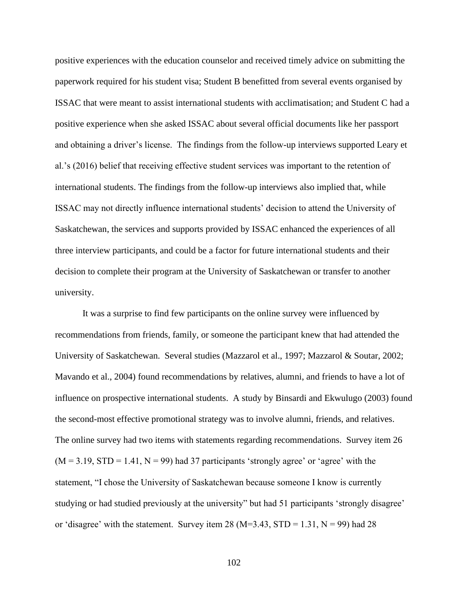positive experiences with the education counselor and received timely advice on submitting the paperwork required for his student visa; Student B benefitted from several events organised by ISSAC that were meant to assist international students with acclimatisation; and Student C had a positive experience when she asked ISSAC about several official documents like her passport and obtaining a driver's license. The findings from the follow-up interviews supported Leary et al.'s (2016) belief that receiving effective student services was important to the retention of international students. The findings from the follow-up interviews also implied that, while ISSAC may not directly influence international students' decision to attend the University of Saskatchewan, the services and supports provided by ISSAC enhanced the experiences of all three interview participants, and could be a factor for future international students and their decision to complete their program at the University of Saskatchewan or transfer to another university.

It was a surprise to find few participants on the online survey were influenced by recommendations from friends, family, or someone the participant knew that had attended the University of Saskatchewan. Several studies (Mazzarol et al., 1997; Mazzarol & Soutar, 2002; Mavando et al., 2004) found recommendations by relatives, alumni, and friends to have a lot of influence on prospective international students. A study by Binsardi and Ekwulugo (2003) found the second-most effective promotional strategy was to involve alumni, friends, and relatives. The online survey had two items with statements regarding recommendations. Survey item 26  $(M = 3.19, STD = 1.41, N = 99)$  had 37 participants 'strongly agree' or 'agree' with the statement, "I chose the University of Saskatchewan because someone I know is currently studying or had studied previously at the university" but had 51 participants 'strongly disagree' or 'disagree' with the statement. Survey item 28 (M=3.43, STD = 1.31, N = 99) had 28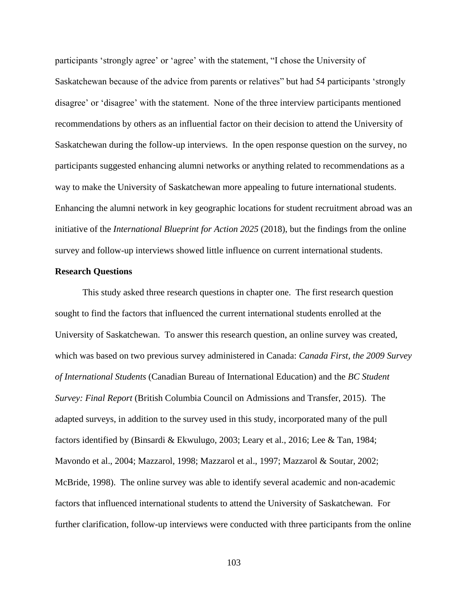participants 'strongly agree' or 'agree' with the statement, "I chose the University of Saskatchewan because of the advice from parents or relatives" but had 54 participants 'strongly disagree' or 'disagree' with the statement. None of the three interview participants mentioned recommendations by others as an influential factor on their decision to attend the University of Saskatchewan during the follow-up interviews. In the open response question on the survey, no participants suggested enhancing alumni networks or anything related to recommendations as a way to make the University of Saskatchewan more appealing to future international students. Enhancing the alumni network in key geographic locations for student recruitment abroad was an initiative of the *International Blueprint for Action 2025* (2018), but the findings from the online survey and follow-up interviews showed little influence on current international students.

### **Research Questions**

This study asked three research questions in chapter one. The first research question sought to find the factors that influenced the current international students enrolled at the University of Saskatchewan. To answer this research question, an online survey was created, which was based on two previous survey administered in Canada: *Canada First, the 2009 Survey of International Students* (Canadian Bureau of International Education) and the *BC Student Survey: Final Report* (British Columbia Council on Admissions and Transfer, 2015). The adapted surveys, in addition to the survey used in this study, incorporated many of the pull factors identified by (Binsardi & Ekwulugo, 2003; Leary et al., 2016; Lee & Tan, 1984; Mavondo et al., 2004; Mazzarol, 1998; Mazzarol et al., 1997; Mazzarol & Soutar, 2002; McBride, 1998). The online survey was able to identify several academic and non-academic factors that influenced international students to attend the University of Saskatchewan. For further clarification, follow-up interviews were conducted with three participants from the online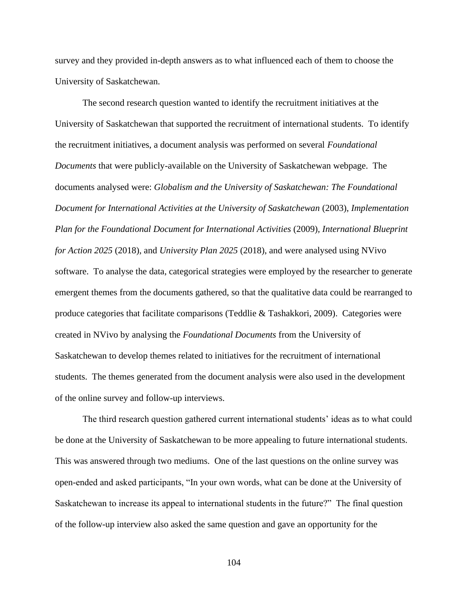survey and they provided in-depth answers as to what influenced each of them to choose the University of Saskatchewan.

The second research question wanted to identify the recruitment initiatives at the University of Saskatchewan that supported the recruitment of international students. To identify the recruitment initiatives, a document analysis was performed on several *Foundational Documents* that were publicly-available on the University of Saskatchewan webpage. The documents analysed were: *Globalism and the University of Saskatchewan: The Foundational Document for International Activities at the University of Saskatchewan* (2003), *Implementation Plan for the Foundational Document for International Activities* (2009)*, International Blueprint for Action 2025* (2018), and *University Plan 2025* (2018), and were analysed using NVivo software. To analyse the data, categorical strategies were employed by the researcher to generate emergent themes from the documents gathered, so that the qualitative data could be rearranged to produce categories that facilitate comparisons (Teddlie & Tashakkori, 2009). Categories were created in NVivo by analysing the *Foundational Documents* from the University of Saskatchewan to develop themes related to initiatives for the recruitment of international students. The themes generated from the document analysis were also used in the development of the online survey and follow-up interviews.

The third research question gathered current international students' ideas as to what could be done at the University of Saskatchewan to be more appealing to future international students. This was answered through two mediums. One of the last questions on the online survey was open-ended and asked participants, "In your own words, what can be done at the University of Saskatchewan to increase its appeal to international students in the future?" The final question of the follow-up interview also asked the same question and gave an opportunity for the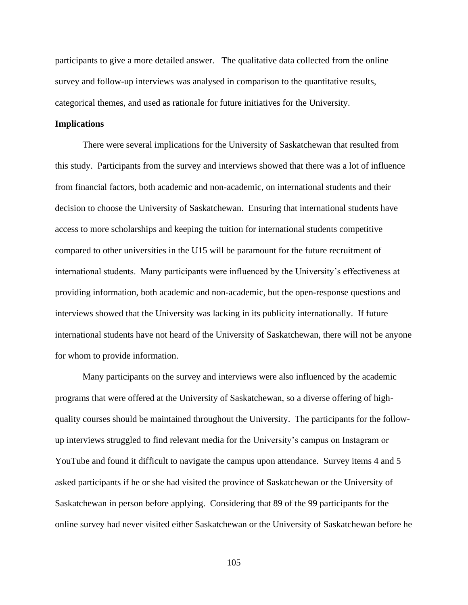participants to give a more detailed answer. The qualitative data collected from the online survey and follow-up interviews was analysed in comparison to the quantitative results, categorical themes, and used as rationale for future initiatives for the University.

### **Implications**

There were several implications for the University of Saskatchewan that resulted from this study. Participants from the survey and interviews showed that there was a lot of influence from financial factors, both academic and non-academic, on international students and their decision to choose the University of Saskatchewan. Ensuring that international students have access to more scholarships and keeping the tuition for international students competitive compared to other universities in the U15 will be paramount for the future recruitment of international students. Many participants were influenced by the University's effectiveness at providing information, both academic and non-academic, but the open-response questions and interviews showed that the University was lacking in its publicity internationally. If future international students have not heard of the University of Saskatchewan, there will not be anyone for whom to provide information.

Many participants on the survey and interviews were also influenced by the academic programs that were offered at the University of Saskatchewan, so a diverse offering of highquality courses should be maintained throughout the University. The participants for the followup interviews struggled to find relevant media for the University's campus on Instagram or YouTube and found it difficult to navigate the campus upon attendance. Survey items 4 and 5 asked participants if he or she had visited the province of Saskatchewan or the University of Saskatchewan in person before applying. Considering that 89 of the 99 participants for the online survey had never visited either Saskatchewan or the University of Saskatchewan before he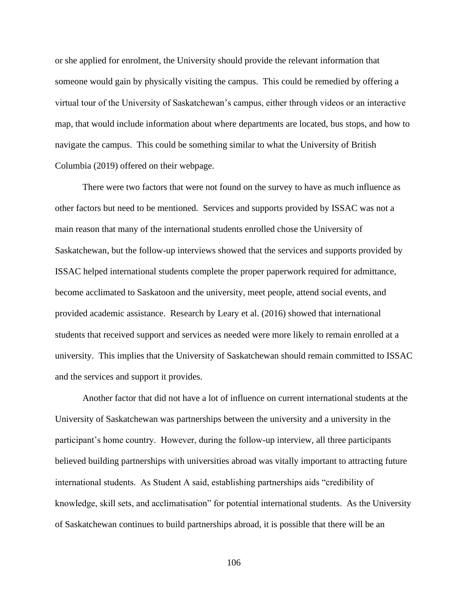or she applied for enrolment, the University should provide the relevant information that someone would gain by physically visiting the campus. This could be remedied by offering a virtual tour of the University of Saskatchewan's campus, either through videos or an interactive map, that would include information about where departments are located, bus stops, and how to navigate the campus. This could be something similar to what the University of British Columbia (2019) offered on their webpage.

There were two factors that were not found on the survey to have as much influence as other factors but need to be mentioned. Services and supports provided by ISSAC was not a main reason that many of the international students enrolled chose the University of Saskatchewan, but the follow-up interviews showed that the services and supports provided by ISSAC helped international students complete the proper paperwork required for admittance, become acclimated to Saskatoon and the university, meet people, attend social events, and provided academic assistance. Research by Leary et al. (2016) showed that international students that received support and services as needed were more likely to remain enrolled at a university. This implies that the University of Saskatchewan should remain committed to ISSAC and the services and support it provides.

Another factor that did not have a lot of influence on current international students at the University of Saskatchewan was partnerships between the university and a university in the participant's home country. However, during the follow-up interview, all three participants believed building partnerships with universities abroad was vitally important to attracting future international students. As Student A said, establishing partnerships aids "credibility of knowledge, skill sets, and acclimatisation" for potential international students. As the University of Saskatchewan continues to build partnerships abroad, it is possible that there will be an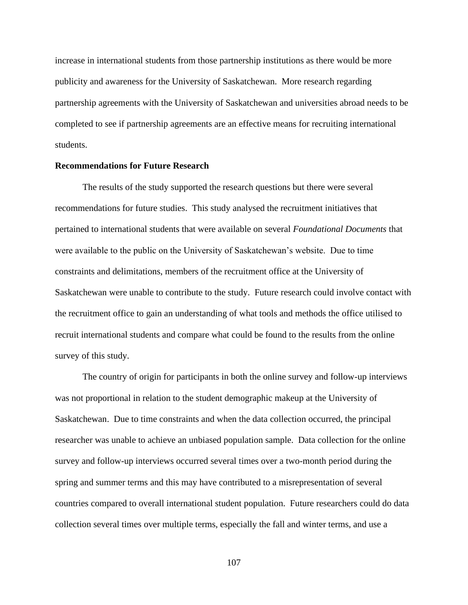increase in international students from those partnership institutions as there would be more publicity and awareness for the University of Saskatchewan. More research regarding partnership agreements with the University of Saskatchewan and universities abroad needs to be completed to see if partnership agreements are an effective means for recruiting international students.

#### **Recommendations for Future Research**

The results of the study supported the research questions but there were several recommendations for future studies. This study analysed the recruitment initiatives that pertained to international students that were available on several *Foundational Documents* that were available to the public on the University of Saskatchewan's website. Due to time constraints and delimitations, members of the recruitment office at the University of Saskatchewan were unable to contribute to the study. Future research could involve contact with the recruitment office to gain an understanding of what tools and methods the office utilised to recruit international students and compare what could be found to the results from the online survey of this study.

The country of origin for participants in both the online survey and follow-up interviews was not proportional in relation to the student demographic makeup at the University of Saskatchewan. Due to time constraints and when the data collection occurred, the principal researcher was unable to achieve an unbiased population sample. Data collection for the online survey and follow-up interviews occurred several times over a two-month period during the spring and summer terms and this may have contributed to a misrepresentation of several countries compared to overall international student population. Future researchers could do data collection several times over multiple terms, especially the fall and winter terms, and use a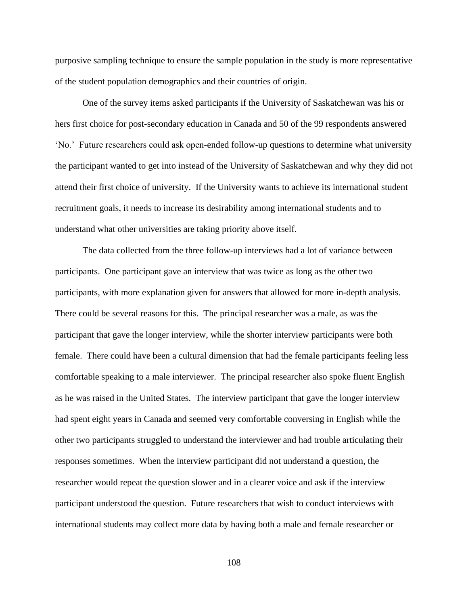purposive sampling technique to ensure the sample population in the study is more representative of the student population demographics and their countries of origin.

One of the survey items asked participants if the University of Saskatchewan was his or hers first choice for post-secondary education in Canada and 50 of the 99 respondents answered 'No.' Future researchers could ask open-ended follow-up questions to determine what university the participant wanted to get into instead of the University of Saskatchewan and why they did not attend their first choice of university. If the University wants to achieve its international student recruitment goals, it needs to increase its desirability among international students and to understand what other universities are taking priority above itself.

The data collected from the three follow-up interviews had a lot of variance between participants. One participant gave an interview that was twice as long as the other two participants, with more explanation given for answers that allowed for more in-depth analysis. There could be several reasons for this. The principal researcher was a male, as was the participant that gave the longer interview, while the shorter interview participants were both female. There could have been a cultural dimension that had the female participants feeling less comfortable speaking to a male interviewer. The principal researcher also spoke fluent English as he was raised in the United States. The interview participant that gave the longer interview had spent eight years in Canada and seemed very comfortable conversing in English while the other two participants struggled to understand the interviewer and had trouble articulating their responses sometimes. When the interview participant did not understand a question, the researcher would repeat the question slower and in a clearer voice and ask if the interview participant understood the question. Future researchers that wish to conduct interviews with international students may collect more data by having both a male and female researcher or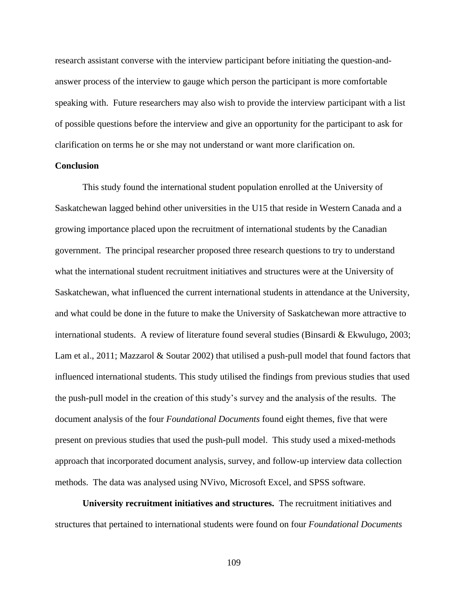research assistant converse with the interview participant before initiating the question-andanswer process of the interview to gauge which person the participant is more comfortable speaking with. Future researchers may also wish to provide the interview participant with a list of possible questions before the interview and give an opportunity for the participant to ask for clarification on terms he or she may not understand or want more clarification on.

#### **Conclusion**

This study found the international student population enrolled at the University of Saskatchewan lagged behind other universities in the U15 that reside in Western Canada and a growing importance placed upon the recruitment of international students by the Canadian government. The principal researcher proposed three research questions to try to understand what the international student recruitment initiatives and structures were at the University of Saskatchewan, what influenced the current international students in attendance at the University, and what could be done in the future to make the University of Saskatchewan more attractive to international students. A review of literature found several studies (Binsardi & Ekwulugo, 2003; Lam et al., 2011; Mazzarol & Soutar 2002) that utilised a push-pull model that found factors that influenced international students. This study utilised the findings from previous studies that used the push-pull model in the creation of this study's survey and the analysis of the results. The document analysis of the four *Foundational Documents* found eight themes, five that were present on previous studies that used the push-pull model. This study used a mixed-methods approach that incorporated document analysis, survey, and follow-up interview data collection methods. The data was analysed using NVivo, Microsoft Excel, and SPSS software.

**University recruitment initiatives and structures.** The recruitment initiatives and structures that pertained to international students were found on four *Foundational Documents*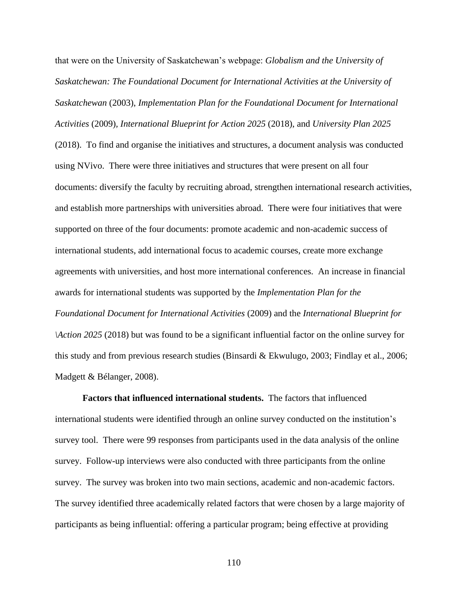that were on the University of Saskatchewan's webpage: *Globalism and the University of Saskatchewan: The Foundational Document for International Activities at the University of Saskatchewan* (2003), *Implementation Plan for the Foundational Document for International Activities* (2009)*, International Blueprint for Action 2025* (2018), and *University Plan 2025* (2018). To find and organise the initiatives and structures, a document analysis was conducted using NVivo. There were three initiatives and structures that were present on all four documents: diversify the faculty by recruiting abroad, strengthen international research activities, and establish more partnerships with universities abroad. There were four initiatives that were supported on three of the four documents: promote academic and non-academic success of international students, add international focus to academic courses, create more exchange agreements with universities, and host more international conferences. An increase in financial awards for international students was supported by the *Implementation Plan for the Foundational Document for International Activities* (2009) and the *International Blueprint for \Action 2025* (2018) but was found to be a significant influential factor on the online survey for this study and from previous research studies (Binsardi & Ekwulugo, 2003; Findlay et al., 2006; Madgett & Bélanger, 2008).

**Factors that influenced international students.** The factors that influenced international students were identified through an online survey conducted on the institution's survey tool. There were 99 responses from participants used in the data analysis of the online survey. Follow-up interviews were also conducted with three participants from the online survey. The survey was broken into two main sections, academic and non-academic factors. The survey identified three academically related factors that were chosen by a large majority of participants as being influential: offering a particular program; being effective at providing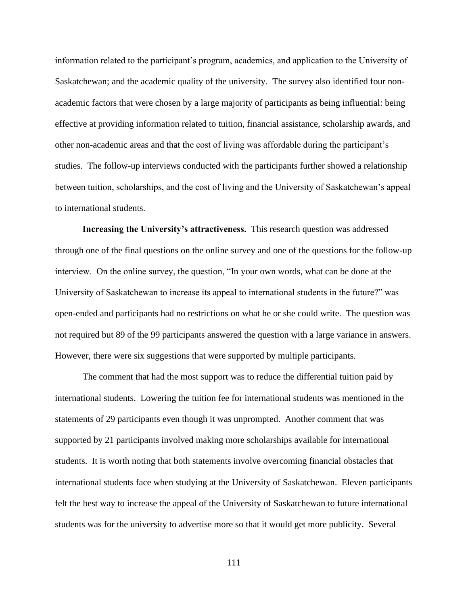information related to the participant's program, academics, and application to the University of Saskatchewan; and the academic quality of the university. The survey also identified four nonacademic factors that were chosen by a large majority of participants as being influential: being effective at providing information related to tuition, financial assistance, scholarship awards, and other non-academic areas and that the cost of living was affordable during the participant's studies. The follow-up interviews conducted with the participants further showed a relationship between tuition, scholarships, and the cost of living and the University of Saskatchewan's appeal to international students.

**Increasing the University's attractiveness.** This research question was addressed through one of the final questions on the online survey and one of the questions for the follow-up interview. On the online survey, the question, "In your own words, what can be done at the University of Saskatchewan to increase its appeal to international students in the future?" was open-ended and participants had no restrictions on what he or she could write. The question was not required but 89 of the 99 participants answered the question with a large variance in answers. However, there were six suggestions that were supported by multiple participants.

The comment that had the most support was to reduce the differential tuition paid by international students. Lowering the tuition fee for international students was mentioned in the statements of 29 participants even though it was unprompted. Another comment that was supported by 21 participants involved making more scholarships available for international students. It is worth noting that both statements involve overcoming financial obstacles that international students face when studying at the University of Saskatchewan. Eleven participants felt the best way to increase the appeal of the University of Saskatchewan to future international students was for the university to advertise more so that it would get more publicity. Several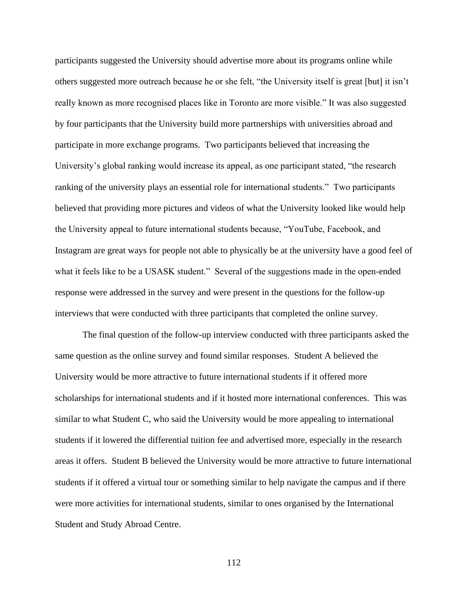participants suggested the University should advertise more about its programs online while others suggested more outreach because he or she felt, "the University itself is great [but] it isn't really known as more recognised places like in Toronto are more visible." It was also suggested by four participants that the University build more partnerships with universities abroad and participate in more exchange programs. Two participants believed that increasing the University's global ranking would increase its appeal, as one participant stated, "the research ranking of the university plays an essential role for international students." Two participants believed that providing more pictures and videos of what the University looked like would help the University appeal to future international students because, "YouTube, Facebook, and Instagram are great ways for people not able to physically be at the university have a good feel of what it feels like to be a USASK student." Several of the suggestions made in the open-ended response were addressed in the survey and were present in the questions for the follow-up interviews that were conducted with three participants that completed the online survey.

The final question of the follow-up interview conducted with three participants asked the same question as the online survey and found similar responses. Student A believed the University would be more attractive to future international students if it offered more scholarships for international students and if it hosted more international conferences. This was similar to what Student C, who said the University would be more appealing to international students if it lowered the differential tuition fee and advertised more, especially in the research areas it offers. Student B believed the University would be more attractive to future international students if it offered a virtual tour or something similar to help navigate the campus and if there were more activities for international students, similar to ones organised by the International Student and Study Abroad Centre.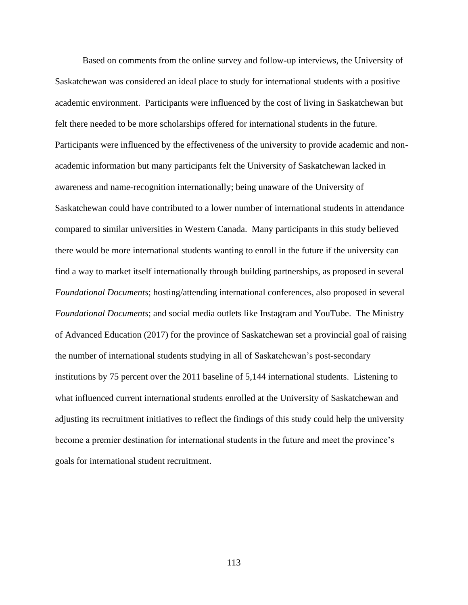Based on comments from the online survey and follow-up interviews, the University of Saskatchewan was considered an ideal place to study for international students with a positive academic environment. Participants were influenced by the cost of living in Saskatchewan but felt there needed to be more scholarships offered for international students in the future. Participants were influenced by the effectiveness of the university to provide academic and nonacademic information but many participants felt the University of Saskatchewan lacked in awareness and name-recognition internationally; being unaware of the University of Saskatchewan could have contributed to a lower number of international students in attendance compared to similar universities in Western Canada. Many participants in this study believed there would be more international students wanting to enroll in the future if the university can find a way to market itself internationally through building partnerships, as proposed in several *Foundational Documents*; hosting/attending international conferences, also proposed in several *Foundational Documents*; and social media outlets like Instagram and YouTube. The Ministry of Advanced Education (2017) for the province of Saskatchewan set a provincial goal of raising the number of international students studying in all of Saskatchewan's post-secondary institutions by 75 percent over the 2011 baseline of 5,144 international students. Listening to what influenced current international students enrolled at the University of Saskatchewan and adjusting its recruitment initiatives to reflect the findings of this study could help the university become a premier destination for international students in the future and meet the province's goals for international student recruitment.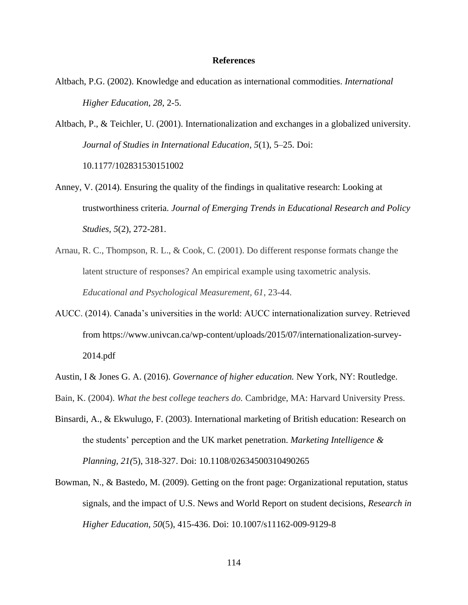#### **References**

- Altbach, P.G. (2002). Knowledge and education as international commodities. *International Higher Education, 28*, 2-5.
- Altbach, P., & Teichler, U. (2001). Internationalization and exchanges in a globalized university. *Journal of Studies in International Education, 5*(1), 5–25. Doi: 10.1177/102831530151002
- Anney, V. (2014). Ensuring the quality of the findings in qualitative research: Looking at trustworthiness criteria. *Journal of Emerging Trends in Educational Research and Policy Studies, 5*(2), 272-281.
- Arnau, R. C., Thompson, R. L., & Cook, C. (2001). Do different response formats change the latent structure of responses? An empirical example using taxometric analysis. *Educational and Psychological Measurement, 61*, 23-44.
- AUCC. (2014). Canada's universities in the world: AUCC internationalization survey. Retrieved from [https://www.univcan.ca/wp-content/uploads/2015/07/internationalization-survey-](https://www.univcan.ca/wp-content/uploads/2015/07/internationalization-survey-2014.pdf)[2014.pdf](https://www.univcan.ca/wp-content/uploads/2015/07/internationalization-survey-2014.pdf)
- Austin, I & Jones G. A. (2016). *Governance of higher education.* New York, NY: Routledge.
- Bain, K. (2004). *What the best college teachers do.* Cambridge, MA: Harvard University Press.
- Binsardi, A., & Ekwulugo, F. (2003). International marketing of British education: Research on the students' perception and the UK market penetration. *Marketing Intelligence & Planning, 21(*5), 318-327. Doi: 10.1108/02634500310490265
- Bowman, N., & Bastedo, M. (2009). Getting on the front page: Organizational reputation, status signals, and the impact of U.S. News and World Report on student decisions, *Research in Higher Education, 50*(5), 415-436. Doi: 10.1007/s11162-009-9129-8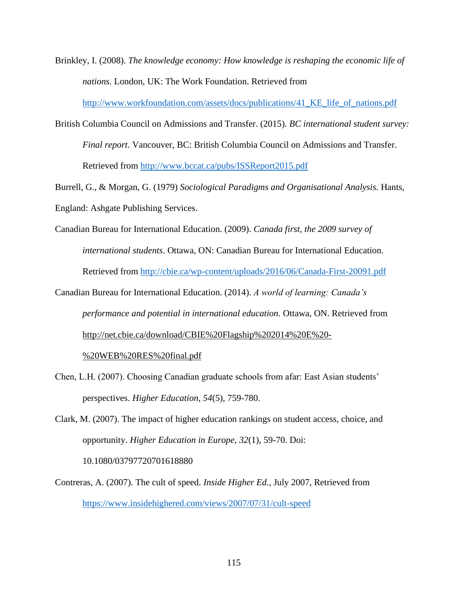- Brinkley, I. (2008). *The knowledge economy: How knowledge is reshaping the economic life of nations.* London, UK: The Work Foundation. Retrieved from [http://www.workfoundation.com/assets/docs/publications/41\\_KE\\_life\\_of\\_nations.pdf](http://www.workfoundation.com/assets/docs/publications/41_KE_life_of_nations.pdf)
- British Columbia Council on Admissions and Transfer. (2015). *BC international student survey: Final report*. Vancouver, BC: British Columbia Council on Admissions and Transfer. Retrieved from<http://www.bccat.ca/pubs/ISSReport2015.pdf>

Burrell, G., & Morgan, G. (1979) *Sociological Paradigms and Organisational Analysis.* Hants, England: Ashgate Publishing Services.

- Canadian Bureau for International Education. (2009). *Canada first, the 2009 survey of international students*. Ottawa, ON: Canadian Bureau for International Education. Retrieved from<http://cbie.ca/wp-content/uploads/2016/06/Canada-First-20091.pdf>
- Canadian Bureau for International Education. (2014). *A world of learning: Canada's performance and potential in international education.* Ottawa, ON. Retrieved from [http://net.cbie.ca/download/CBIE%20Flagship%202014%20E%20-](http://net.cbie.ca/download/CBIE%20Flagship%202014%20E%20-%20WEB%20RES%20final.pdf)

[%20WEB%20RES%20final.pdf](http://net.cbie.ca/download/CBIE%20Flagship%202014%20E%20-%20WEB%20RES%20final.pdf)

Chen, L.H. (2007). Choosing Canadian graduate schools from afar: East Asian students' perspectives. *Higher Education, 54*(5), 759-780.

Clark, M. (2007). The impact of higher education rankings on student access, choice, and opportunity. *Higher Education in Europe, 32*(1), 59-70. Doi: 10.1080/03797720701618880

Contreras, A. (2007). The cult of speed. *Inside Higher Ed.,* July 2007, Retrieved from <https://www.insidehighered.com/views/2007/07/31/cult-speed>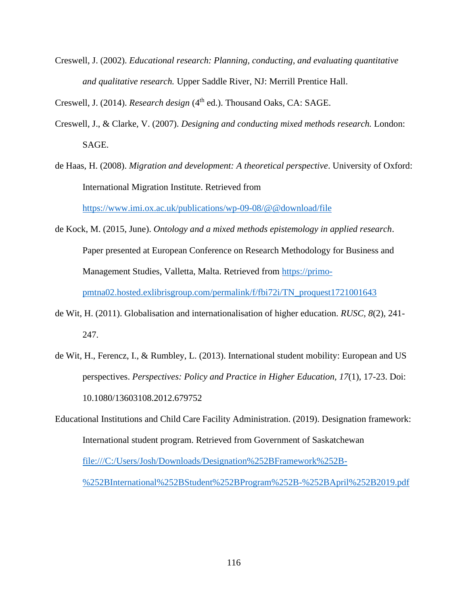Creswell, J. (2002). *Educational research: Planning, conducting, and evaluating quantitative and qualitative research.* Upper Saddle River, NJ: Merrill Prentice Hall.

Creswell, J. (2014). *Research design* (4<sup>th</sup> ed.). Thousand Oaks, CA: SAGE.

- Creswell, J., & Clarke, V. (2007). *Designing and conducting mixed methods research.* London: SAGE.
- de Haas, H. (2008). *Migration and development: A theoretical perspective*. University of Oxford: International Migration Institute. Retrieved from

<https://www.imi.ox.ac.uk/publications/wp-09-08/@@download/file>

- de Kock, M. (2015, June). *Ontology and a mixed methods epistemology in applied research*. Paper presented at European Conference on Research Methodology for Business and Management Studies, Valletta, Malta. Retrieved from [https://primo](https://primo-pmtna02.hosted.exlibrisgroup.com/permalink/f/fbi72i/TN_proquest1721001643)[pmtna02.hosted.exlibrisgroup.com/permalink/f/fbi72i/TN\\_proquest1721001643](https://primo-pmtna02.hosted.exlibrisgroup.com/permalink/f/fbi72i/TN_proquest1721001643)
- de Wit, H. (2011). Globalisation and internationalisation of higher education. *RUSC, 8*(2), 241- 247.
- de Wit, H., Ferencz, I., & Rumbley, L. (2013). International student mobility: European and US perspectives. *Perspectives: Policy and Practice in Higher Education, 17*(1), 17-23. Doi: 10.1080/13603108.2012.679752
- Educational Institutions and Child Care Facility Administration. (2019). Designation framework: International student program. Retrieved from Government of Saskatchewan [file:///C:/Users/Josh/Downloads/Designation%252BFramework%252B-](file:///C:/Users/Josh/Downloads/Designation%252BFramework%252B-%252BInternational%252BStudent%252BProgram%252B-%252BApril%252B2019.pdf) [%252BInternational%252BStudent%252BProgram%252B-%252BApril%252B2019.pdf](file:///C:/Users/Josh/Downloads/Designation%252BFramework%252B-%252BInternational%252BStudent%252BProgram%252B-%252BApril%252B2019.pdf)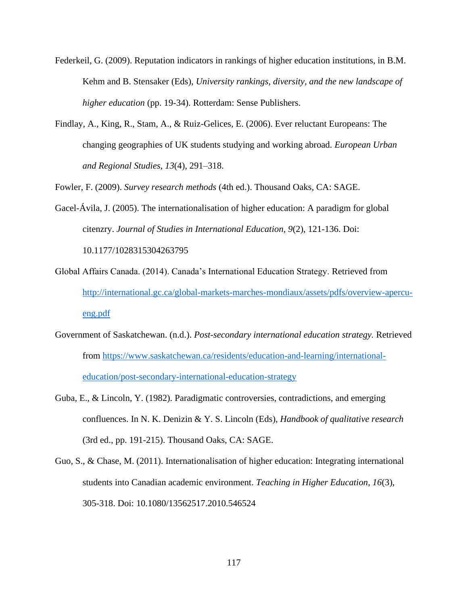- Federkeil, G. (2009). Reputation indicators in rankings of higher education institutions, in B.M. Kehm and B. Stensaker (Eds), *University rankings, diversity, and the new landscape of higher education* (pp. 19-34). Rotterdam: Sense Publishers.
- Findlay, A., King, R., Stam, A., & Ruiz-Gelices, E. (2006). Ever reluctant Europeans: The changing geographies of UK students studying and working abroad. *European Urban and Regional Studies, 13*(4), 291–318.

Fowler, F. (2009). *Survey research methods* (4th ed.). Thousand Oaks, CA: SAGE.

- Gacel-Ávila, J. (2005). The internationalisation of higher education: A paradigm for global citenzry. *Journal of Studies in International Education, 9*(2), 121-136. Doi: 10.1177/1028315304263795
- Global Affairs Canada. (2014). Canada's International Education Strategy. Retrieved from [http://international.gc.ca/global-markets-marches-mondiaux/assets/pdfs/overview-apercu](http://international.gc.ca/global-markets-marches-mondiaux/assets/pdfs/overview-apercu-eng.pdf)[eng.pdf](http://international.gc.ca/global-markets-marches-mondiaux/assets/pdfs/overview-apercu-eng.pdf)
- Government of Saskatchewan. (n.d.). *Post-secondary international education strategy.* Retrieved from [https://www.saskatchewan.ca/residents/education-and-learning/international](https://www.saskatchewan.ca/residents/education-and-learning/international-education/post-secondary-international-education-strategy)[education/post-secondary-international-education-strategy](https://www.saskatchewan.ca/residents/education-and-learning/international-education/post-secondary-international-education-strategy)
- Guba, E., & Lincoln, Y. (1982). Paradigmatic controversies, contradictions, and emerging confluences. In N. K. Denizin & Y. S. Lincoln (Eds), *Handbook of qualitative research* (3rd ed., pp. 191-215). Thousand Oaks, CA: SAGE.
- Guo, S., & Chase, M. (2011). Internationalisation of higher education: Integrating international students into Canadian academic environment. *Teaching in Higher Education, 16*(3), 305-318. Doi: 10.1080/13562517.2010.546524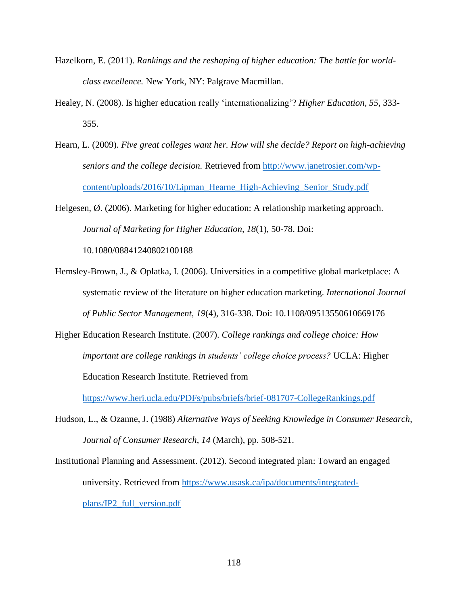- Hazelkorn, E. (2011). *Rankings and the reshaping of higher education: The battle for worldclass excellence.* New York, NY: Palgrave Macmillan.
- Healey, N. (2008). Is higher education really 'internationalizing'? *Higher Education, 55*, 333- 355.
- Hearn, L. (2009). *Five great colleges want her. How will she decide? Report on high-achieving seniors and the college decision.* Retrieved from [http://www.janetrosier.com/wp](http://www.janetrosier.com/wp-content/uploads/2016/10/Lipman_Hearne_High-Achieving_Senior_Study.pdf)[content/uploads/2016/10/Lipman\\_Hearne\\_High-Achieving\\_Senior\\_Study.pdf](http://www.janetrosier.com/wp-content/uploads/2016/10/Lipman_Hearne_High-Achieving_Senior_Study.pdf)

Helgesen, Ø. (2006). Marketing for higher education: A relationship marketing approach. *Journal of Marketing for Higher Education, 18*(1), 50-78. Doi: 10.1080/08841240802100188

- Hemsley-Brown, J., & Oplatka, I. (2006). Universities in a competitive global marketplace: A systematic review of the literature on higher education marketing. *International Journal of Public Sector Management, 19*(4), 316-338. Doi: 10.1108/09513550610669176
- Higher Education Research Institute. (2007). *College rankings and college choice: How important are college rankings in students' college choice process?* UCLA: Higher Education Research Institute. Retrieved from

<https://www.heri.ucla.edu/PDFs/pubs/briefs/brief-081707-CollegeRankings.pdf>

Hudson, L., & Ozanne, J. (1988) *Alternative Ways of Seeking Knowledge in Consumer Research*, *Journal of Consumer Research*, *14* (March), pp. 508-521.

Institutional Planning and Assessment. (2012). Second integrated plan: Toward an engaged university. Retrieved from [https://www.usask.ca/ipa/documents/integrated](https://www.usask.ca/ipa/documents/integrated-plans/IP2_full_version.pdf)[plans/IP2\\_full\\_version.pdf](https://www.usask.ca/ipa/documents/integrated-plans/IP2_full_version.pdf)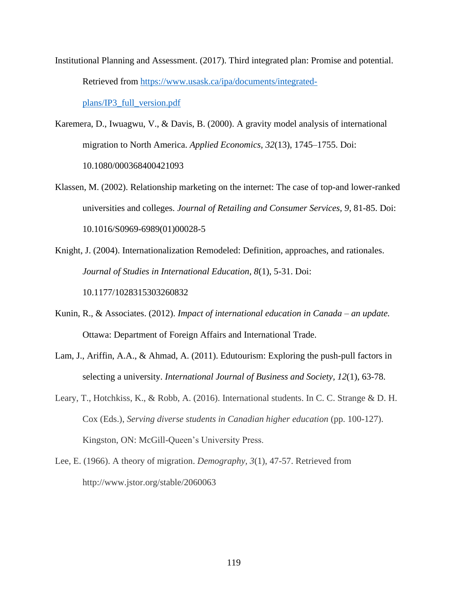- Institutional Planning and Assessment. (2017). Third integrated plan: Promise and potential. Retrieved from [https://www.usask.ca/ipa/documents/integrated](https://www.usask.ca/ipa/documents/integrated-plans/IP3_full_version.pdf)[plans/IP3\\_full\\_version.pdf](https://www.usask.ca/ipa/documents/integrated-plans/IP3_full_version.pdf)
- Karemera, D., Iwuagwu, V., & Davis, B. (2000). A gravity model analysis of international migration to North America. *Applied Economics, 32*(13), 1745–1755. Doi: 10.1080/000368400421093
- Klassen, M. (2002). Relationship marketing on the internet: The case of top-and lower-ranked universities and colleges. *Journal of Retailing and Consumer Services, 9*, 81-85. Doi: 10.1016/S0969-6989(01)00028-5
- Knight, J. (2004). Internationalization Remodeled: Definition, approaches, and rationales. *Journal of Studies in International Education, 8*(1), 5-31. Doi: 10.1177/1028315303260832
- Kunin, R., & Associates. (2012). *Impact of international education in Canada – an update.* Ottawa: Department of Foreign Affairs and International Trade.
- Lam, J., Ariffin, A.A., & Ahmad, A. (2011). Edutourism: Exploring the push-pull factors in selecting a university. *International Journal of Business and Society, 12*(1), 63-78.
- Leary, T., Hotchkiss, K., & Robb, A. (2016). International students. In C. C. Strange & D. H. Cox (Eds.), *Serving diverse students in Canadian higher education* (pp. 100-127). Kingston, ON: McGill-Queen's University Press.
- Lee, E. (1966). A theory of migration. *Demography, 3*(1), 47-57. Retrieved from http://www.jstor.org/stable/2060063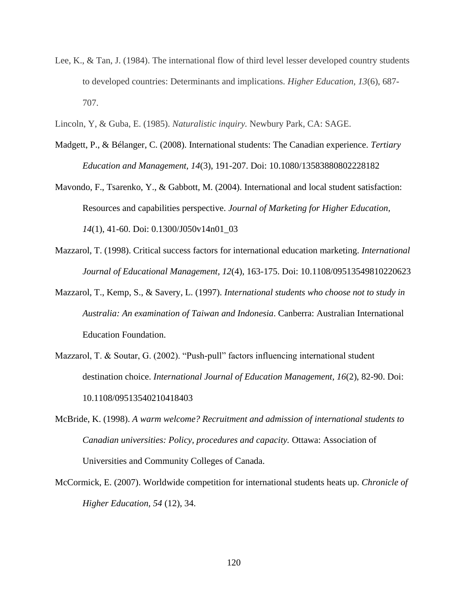- Lee, K., & Tan, J. (1984). The international flow of third level lesser developed country students to developed countries: Determinants and implications. *Higher Education, 13*(6), 687- 707.
- Lincoln, Y, & Guba, E. (1985). *Naturalistic inquiry.* Newbury Park, CA: SAGE.
- Madgett, P., & Bélanger, C. (2008). International students: The Canadian experience. *Tertiary Education and Management, 14*(3), 191-207. Doi: 10.1080/13583880802228182
- Mavondo, F., Tsarenko, Y., & Gabbott, M. (2004). International and local student satisfaction: Resources and capabilities perspective. *Journal of Marketing for Higher Education, 14*(1), 41-60. Doi: 0.1300/J050v14n01\_03
- Mazzarol, T. (1998). Critical success factors for international education marketing. *International Journal of Educational Management, 12*(4), 163-175. Doi: 10.1108/09513549810220623
- Mazzarol, T., Kemp, S., & Savery, L. (1997). *International students who choose not to study in Australia: An examination of Taiwan and Indonesia*. Canberra: Australian International Education Foundation.
- Mazzarol, T. & Soutar, G. (2002). "Push-pull" factors influencing international student destination choice. *International Journal of Education Management, 16*(2), 82-90. Doi: 10.1108/09513540210418403
- McBride, K. (1998). *A warm welcome? Recruitment and admission of international students to Canadian universities: Policy, procedures and capacity.* Ottawa: Association of Universities and Community Colleges of Canada.
- McCormick, E. (2007). Worldwide competition for international students heats up. *Chronicle of Higher Education, 54* (12), 34.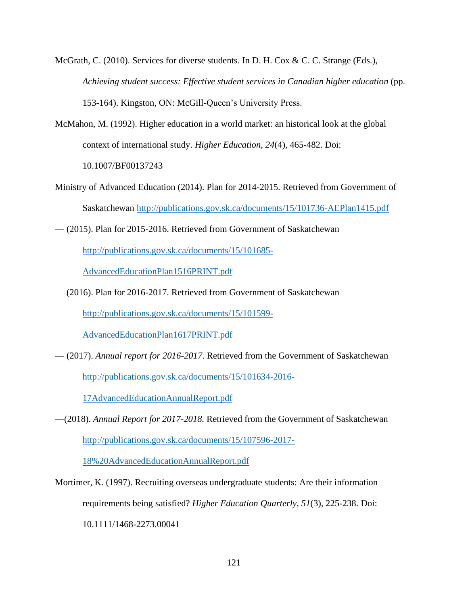- McGrath, C. (2010). Services for diverse students. In D. H. Cox & C. C. Strange (Eds.), *Achieving student success: Effective student services in Canadian higher education* (pp. 153-164). Kingston, ON: McGill-Queen's University Press.
- McMahon, M. (1992). Higher education in a world market: an historical look at the global context of international study. *Higher Education, 24*(4), 465-482. Doi: 10.1007/BF00137243

Ministry of Advanced Education (2014). Plan for 2014-2015. Retrieved from Government of Saskatchewan<http://publications.gov.sk.ca/documents/15/101736-AEPlan1415.pdf>

— (2015). Plan for 2015-2016. Retrieved from Government of Saskatchewan

[http://publications.gov.sk.ca/documents/15/101685-](http://publications.gov.sk.ca/documents/15/101685-AdvancedEducationPlan1516PRINT.pdf)

[AdvancedEducationPlan1516PRINT.pdf](http://publications.gov.sk.ca/documents/15/101685-AdvancedEducationPlan1516PRINT.pdf)

— (2016). Plan for 2016-2017. Retrieved from Government of Saskatchewan

[http://publications.gov.sk.ca/documents/15/101599-](http://publications.gov.sk.ca/documents/15/101599-AdvancedEducationPlan1617PRINT.pdf)

[AdvancedEducationPlan1617PRINT.pdf](http://publications.gov.sk.ca/documents/15/101599-AdvancedEducationPlan1617PRINT.pdf)

— (2017). *Annual report for 2016-2017*. Retrieved from the Government of Saskatchewan

[http://publications.gov.sk.ca/documents/15/101634-2016-](http://publications.gov.sk.ca/documents/15/101634-2016-17AdvancedEducationAnnualReport.pdf)

[17AdvancedEducationAnnualReport.pdf](http://publications.gov.sk.ca/documents/15/101634-2016-17AdvancedEducationAnnualReport.pdf)

—(2018). *Annual Report for 2017-2018.* Retrieved from the Government of Saskatchewan [http://publications.gov.sk.ca/documents/15/107596-2017-](http://publications.gov.sk.ca/documents/15/107596-2017-18%20AdvancedEducationAnnualReport.pdf)

[18%20AdvancedEducationAnnualReport.pdf](http://publications.gov.sk.ca/documents/15/107596-2017-18%20AdvancedEducationAnnualReport.pdf)

Mortimer, K. (1997). Recruiting overseas undergraduate students: Are their information requirements being satisfied? *Higher Education Quarterly, 51*(3), 225-238. Doi: 10.1111/1468-2273.00041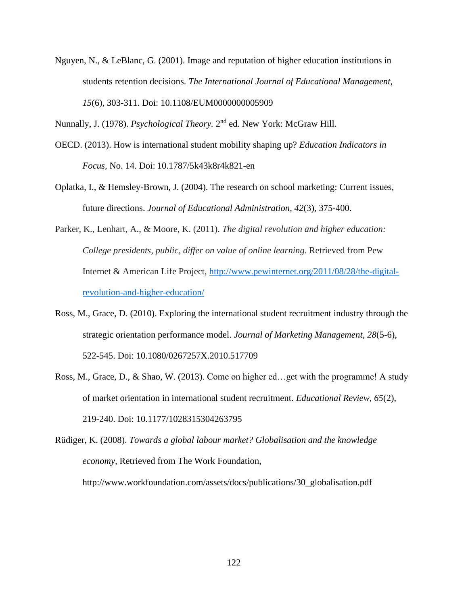Nguyen, N., & LeBlanc, G. (2001). Image and reputation of higher education institutions in students retention decisions. *The International Journal of Educational Management, 15*(6), 303-311. Doi: 10.1108/EUM0000000005909

Nunnally, J. (1978). *Psychological Theory*. 2<sup>nd</sup> ed. New York: McGraw Hill.

- OECD. (2013). How is international student mobility shaping up? *Education Indicators in Focus,* No. 14. Doi: 10.1787/5k43k8r4k821-en
- Oplatka, I., & Hemsley-Brown, J. (2004). The research on school marketing: Current issues, future directions. *Journal of Educational Administration, 42*(3), 375-400.
- Parker, K., Lenhart, A., & Moore, K. (2011). *The digital revolution and higher education: College presidents, public, differ on value of online learning.* Retrieved from Pew Internet & American Life Project, [http://www.pewinternet.org/2011/08/28/the-digital](http://www.pewinternet.org/2011/08/28/the-digital-revolution-and-higher-education/)[revolution-and-higher-education/](http://www.pewinternet.org/2011/08/28/the-digital-revolution-and-higher-education/)
- Ross, M., Grace, D. (2010). Exploring the international student recruitment industry through the strategic orientation performance model. *Journal of Marketing Management, 28*(5-6), 522-545. Doi: 10.1080/0267257X.2010.517709
- Ross, M., Grace, D., & Shao, W. (2013). Come on higher ed…get with the programme! A study of market orientation in international student recruitment. *Educational Review, 65*(2), 219-240. Doi: 10.1177/1028315304263795
- Rüdiger, K. (2008). *Towards a global labour market? Globalisation and the knowledge economy,* Retrieved from The Work Foundation, http://www.workfoundation.com/assets/docs/publications/30\_globalisation.pdf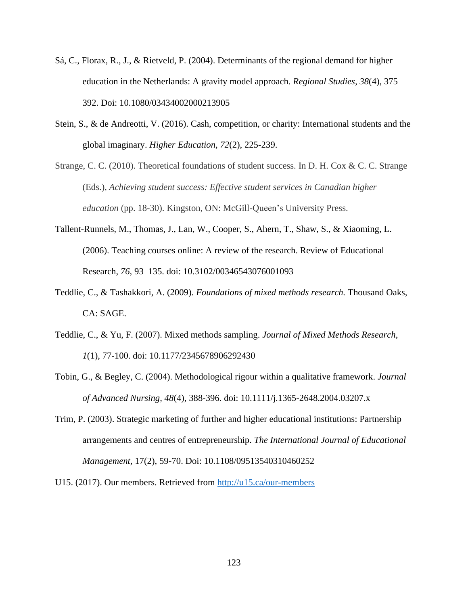- Sá, C., Florax, R., J., & Rietveld, P. (2004). Determinants of the regional demand for higher education in the Netherlands: A gravity model approach. *Regional Studies, 38*(4), 375– 392. Doi: 10.1080/03434002000213905
- Stein, S., & de Andreotti, V. (2016). Cash, competition, or charity: International students and the global imaginary. *Higher Education, 72*(2), 225-239.
- Strange, C. C. (2010). Theoretical foundations of student success. In D. H. Cox & C. C. Strange (Eds.), *Achieving student success: Effective student services in Canadian higher education* (pp. 18-30). Kingston, ON: McGill-Queen's University Press.
- Tallent-Runnels, M., Thomas, J., Lan, W., Cooper, S., Ahern, T., Shaw, S., & Xiaoming, L. (2006). Teaching courses online: A review of the research. Review of Educational Research, *76*, 93–135. doi: 10.3102/00346543076001093
- Teddlie, C., & Tashakkori, A. (2009). *Foundations of mixed methods research.* Thousand Oaks, CA: SAGE.
- Teddlie, C., & Yu, F. (2007). Mixed methods sampling. *Journal of Mixed Methods Research*, *1*(1), 77-100. doi: 10.1177/2345678906292430
- Tobin, G., & Begley, C. (2004). Methodological rigour within a qualitative framework. *Journal of Advanced Nursing, 48*(4), 388-396. doi: 10.1111/j.1365-2648.2004.03207.x
- Trim, P. (2003). Strategic marketing of further and higher educational institutions: Partnership arrangements and centres of entrepreneurship. *The International Journal of Educational Management,* 17(2), 59-70. Doi: 10.1108/09513540310460252

U15. (2017). Our members. Retrieved from<http://u15.ca/our-members>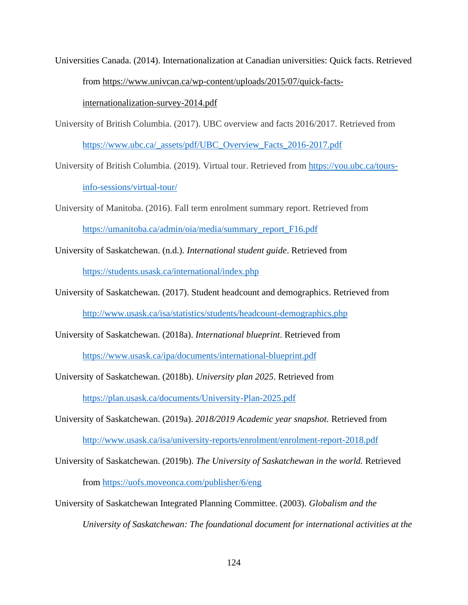Universities Canada. (2014). Internationalization at Canadian universities: Quick facts. Retrieved from [https://www.univcan.ca/wp-content/uploads/2015/07/quick-facts-](https://www.univcan.ca/wp-content/uploads/2015/07/quick-facts-internationalization-survey-2014.pdf)

[internationalization-survey-2014.pdf](https://www.univcan.ca/wp-content/uploads/2015/07/quick-facts-internationalization-survey-2014.pdf)

University of British Columbia. (2017). UBC overview and facts 2016/2017. Retrieved from [https://www.ubc.ca/\\_assets/pdf/UBC\\_Overview\\_Facts\\_2016-2017.pdf](https://www.ubc.ca/_assets/pdf/UBC_Overview_Facts_2016-2017.pdf)

University of British Columbia. (2019). Virtual tour. Retrieved from [https://you.ubc.ca/tours](https://you.ubc.ca/tours-info-sessions/virtual-tour/)[info-sessions/virtual-tour/](https://you.ubc.ca/tours-info-sessions/virtual-tour/)

University of Manitoba. (2016). Fall term enrolment summary report. Retrieved from [https://umanitoba.ca/admin/oia/media/summary\\_report\\_F16.pdf](https://umanitoba.ca/admin/oia/media/summary_report_F16.pdf)

University of Saskatchewan. (n.d.). *International student guide*. Retrieved from <https://students.usask.ca/international/index.php>

University of Saskatchewan. (2017). Student headcount and demographics. Retrieved from <http://www.usask.ca/isa/statistics/students/headcount-demographics.php>

University of Saskatchewan. (2018a). *International blueprint*. Retrieved from <https://www.usask.ca/ipa/documents/international-blueprint.pdf>

University of Saskatchewan. (2018b). *University plan 2025*. Retrieved from <https://plan.usask.ca/documents/University-Plan-2025.pdf>

University of Saskatchewan. (2019a). *2018/2019 Academic year snapshot.* Retrieved from <http://www.usask.ca/isa/university-reports/enrolment/enrolment-report-2018.pdf>

- University of Saskatchewan. (2019b). *The University of Saskatchewan in the world.* Retrieved from<https://uofs.moveonca.com/publisher/6/eng>
- University of Saskatchewan Integrated Planning Committee. (2003). *Globalism and the University of Saskatchewan: The foundational document for international activities at the*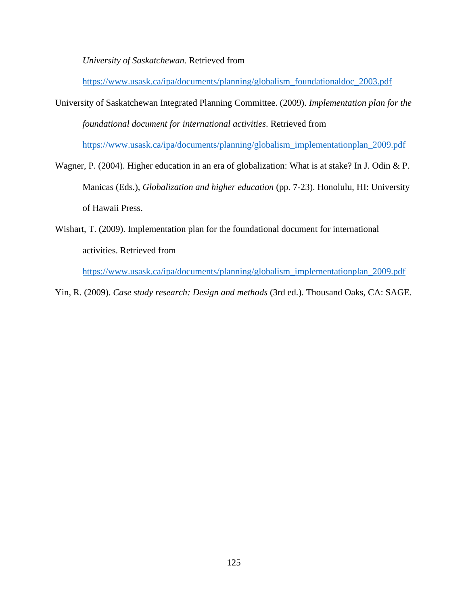*University of Saskatchewan.* Retrieved from

[https://www.usask.ca/ipa/documents/planning/globalism\\_foundationaldoc\\_2003.pdf](https://www.usask.ca/ipa/documents/planning/globalism_foundationaldoc_2003.pdf)

University of Saskatchewan Integrated Planning Committee. (2009). *Implementation plan for the foundational document for international activities*. Retrieved from

[https://www.usask.ca/ipa/documents/planning/globalism\\_implementationplan\\_2009.pdf](https://www.usask.ca/ipa/documents/planning/globalism_implementationplan_2009.pdf)

- Wagner, P. (2004). Higher education in an era of globalization: What is at stake? In J. Odin & P. Manicas (Eds.), *Globalization and higher education* (pp. 7-23). Honolulu, HI: University of Hawaii Press.
- Wishart, T. (2009). Implementation plan for the foundational document for international activities. Retrieved from

[https://www.usask.ca/ipa/documents/planning/globalism\\_implementationplan\\_2009.pdf](https://www.usask.ca/ipa/documents/planning/globalism_implementationplan_2009.pdf)

Yin, R. (2009). *Case study research: Design and methods* (3rd ed.). Thousand Oaks, CA: SAGE.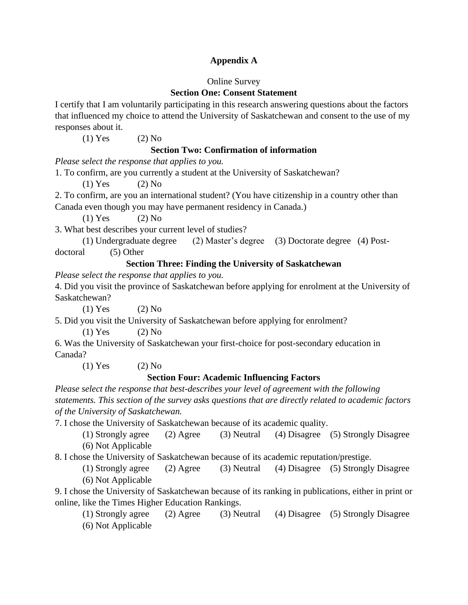## **Appendix A**

### Online Survey

# **Section One: Consent Statement**

I certify that I am voluntarily participating in this research answering questions about the factors that influenced my choice to attend the University of Saskatchewan and consent to the use of my responses about it.

(1) Yes  $(2)$  No

## **Section Two: Confirmation of information**

*Please select the response that applies to you.*

1. To confirm, are you currently a student at the University of Saskatchewan?

 $(1)$  Yes  $(2)$  No

2. To confirm, are you an international student? (You have citizenship in a country other than Canada even though you may have permanent residency in Canada.)

 $(1)$  Yes  $(2)$  No

3. What best describes your current level of studies?

(1) Undergraduate degree (2) Master's degree (3) Doctorate degree (4) Postdoctoral (5) Other

# **Section Three: Finding the University of Saskatchewan**

*Please select the response that applies to you.* 

4. Did you visit the province of Saskatchewan before applying for enrolment at the University of Saskatchewan?

 $(1)$  Yes  $(2)$  No

5. Did you visit the University of Saskatchewan before applying for enrolment?

 $(1)$  Yes  $(2)$  No

6. Was the University of Saskatchewan your first-choice for post-secondary education in Canada?

(1) Yes  $(2)$  No

## **Section Four: Academic Influencing Factors**

*Please select the response that best-describes your level of agreement with the following statements. This section of the survey asks questions that are directly related to academic factors of the University of Saskatchewan.*

7. I chose the University of Saskatchewan because of its academic quality.

(1) Strongly agree (2) Agree (3) Neutral (4) Disagree (5) Strongly Disagree (6) Not Applicable

8. I chose the University of Saskatchewan because of its academic reputation/prestige.

(1) Strongly agree (2) Agree (3) Neutral (4) Disagree (5) Strongly Disagree (6) Not Applicable

9. I chose the University of Saskatchewan because of its ranking in publications, either in print or online, like the Times Higher Education Rankings.

(1) Strongly agree (2) Agree (3) Neutral (4) Disagree (5) Strongly Disagree (6) Not Applicable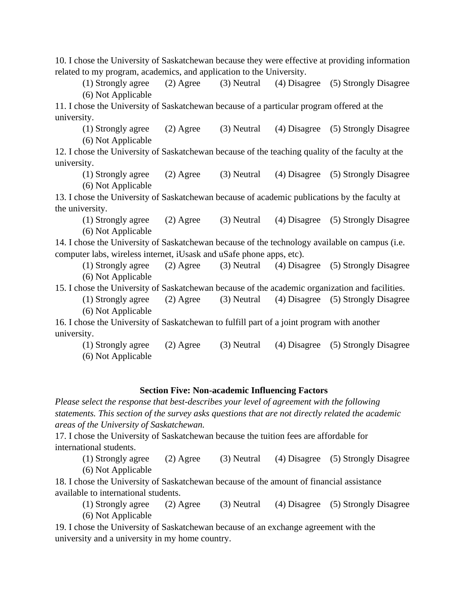10. I chose the University of Saskatchewan because they were effective at providing information related to my program, academics, and application to the University.

(1) Strongly agree (2) Agree (3) Neutral (4) Disagree (5) Strongly Disagree (6) Not Applicable

11. I chose the University of Saskatchewan because of a particular program offered at the university.

(1) Strongly agree (2) Agree (3) Neutral (4) Disagree (5) Strongly Disagree (6) Not Applicable

12. I chose the University of Saskatchewan because of the teaching quality of the faculty at the university.

(1) Strongly agree (2) Agree (3) Neutral (4) Disagree (5) Strongly Disagree (6) Not Applicable

13. I chose the University of Saskatchewan because of academic publications by the faculty at the university.

(1) Strongly agree (2) Agree (3) Neutral (4) Disagree (5) Strongly Disagree (6) Not Applicable

14. I chose the University of Saskatchewan because of the technology available on campus (i.e. computer labs, wireless internet, iUsask and uSafe phone apps, etc).

(1) Strongly agree (2) Agree (3) Neutral (4) Disagree (5) Strongly Disagree (6) Not Applicable

15. I chose the University of Saskatchewan because of the academic organization and facilities.

(1) Strongly agree (2) Agree (3) Neutral (4) Disagree (5) Strongly Disagree (6) Not Applicable

16. I chose the University of Saskatchewan to fulfill part of a joint program with another university.

(1) Strongly agree (2) Agree (3) Neutral (4) Disagree (5) Strongly Disagree (6) Not Applicable

### **Section Five: Non-academic Influencing Factors**

*Please select the response that best-describes your level of agreement with the following statements. This section of the survey asks questions that are not directly related the academic areas of the University of Saskatchewan.*

17. I chose the University of Saskatchewan because the tuition fees are affordable for international students.

(1) Strongly agree (2) Agree (3) Neutral (4) Disagree (5) Strongly Disagree (6) Not Applicable

18. I chose the University of Saskatchewan because of the amount of financial assistance available to international students.

(1) Strongly agree (2) Agree (3) Neutral (4) Disagree (5) Strongly Disagree (6) Not Applicable

19. I chose the University of Saskatchewan because of an exchange agreement with the university and a university in my home country.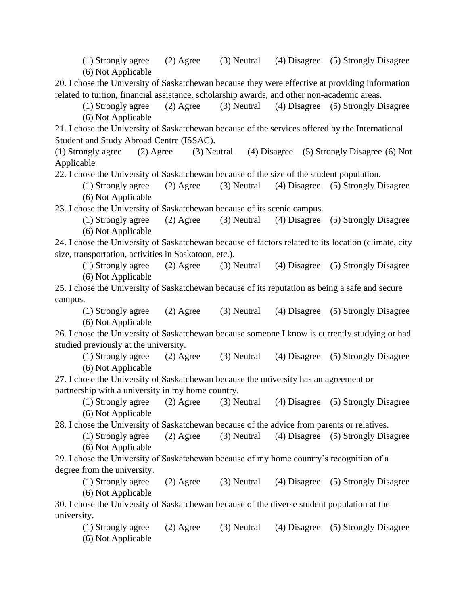(1) Strongly agree (2) Agree (3) Neutral (4) Disagree (5) Strongly Disagree (6) Not Applicable

20. I chose the University of Saskatchewan because they were effective at providing information related to tuition, financial assistance, scholarship awards, and other non-academic areas.

(1) Strongly agree (2) Agree (3) Neutral (4) Disagree (5) Strongly Disagree (6) Not Applicable

21. I chose the University of Saskatchewan because of the services offered by the International Student and Study Abroad Centre (ISSAC).

(1) Strongly agree (2) Agree (3) Neutral (4) Disagree (5) Strongly Disagree (6) Not Applicable

22. I chose the University of Saskatchewan because of the size of the student population.

(1) Strongly agree (2) Agree (3) Neutral (4) Disagree (5) Strongly Disagree (6) Not Applicable

23. I chose the University of Saskatchewan because of its scenic campus.

(1) Strongly agree (2) Agree (3) Neutral (4) Disagree (5) Strongly Disagree (6) Not Applicable

24. I chose the University of Saskatchewan because of factors related to its location (climate, city size, transportation, activities in Saskatoon, etc.).

(1) Strongly agree (2) Agree (3) Neutral (4) Disagree (5) Strongly Disagree (6) Not Applicable

25. I chose the University of Saskatchewan because of its reputation as being a safe and secure campus.

(1) Strongly agree (2) Agree (3) Neutral (4) Disagree (5) Strongly Disagree (6) Not Applicable

26. I chose the University of Saskatchewan because someone I know is currently studying or had studied previously at the university.

(1) Strongly agree (2) Agree (3) Neutral (4) Disagree (5) Strongly Disagree (6) Not Applicable

27. I chose the University of Saskatchewan because the university has an agreement or partnership with a university in my home country.

(1) Strongly agree (2) Agree (3) Neutral (4) Disagree (5) Strongly Disagree (6) Not Applicable

28. I chose the University of Saskatchewan because of the advice from parents or relatives.

(1) Strongly agree (2) Agree (3) Neutral (4) Disagree (5) Strongly Disagree (6) Not Applicable

29. I chose the University of Saskatchewan because of my home country's recognition of a degree from the university.

(1) Strongly agree (2) Agree (3) Neutral (4) Disagree (5) Strongly Disagree (6) Not Applicable

30. I chose the University of Saskatchewan because of the diverse student population at the university.

(1) Strongly agree (2) Agree (3) Neutral (4) Disagree (5) Strongly Disagree (6) Not Applicable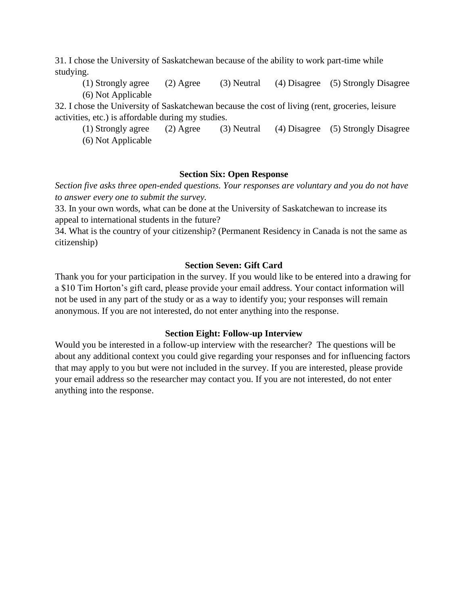31. I chose the University of Saskatchewan because of the ability to work part-time while studying.

(1) Strongly agree (2) Agree (3) Neutral (4) Disagree (5) Strongly Disagree (6) Not Applicable

32. I chose the University of Saskatchewan because the cost of living (rent, groceries, leisure activities, etc.) is affordable during my studies.

(1) Strongly agree (2) Agree (3) Neutral (4) Disagree (5) Strongly Disagree (6) Not Applicable

### **Section Six: Open Response**

*Section five asks three open-ended questions. Your responses are voluntary and you do not have to answer every one to submit the survey.*

33. In your own words, what can be done at the University of Saskatchewan to increase its appeal to international students in the future?

34. What is the country of your citizenship? (Permanent Residency in Canada is not the same as citizenship)

### **Section Seven: Gift Card**

Thank you for your participation in the survey. If you would like to be entered into a drawing for a \$10 Tim Horton's gift card, please provide your email address. Your contact information will not be used in any part of the study or as a way to identify you; your responses will remain anonymous. If you are not interested, do not enter anything into the response.

### **Section Eight: Follow-up Interview**

Would you be interested in a follow-up interview with the researcher? The questions will be about any additional context you could give regarding your responses and for influencing factors that may apply to you but were not included in the survey. If you are interested, please provide your email address so the researcher may contact you. If you are not interested, do not enter anything into the response.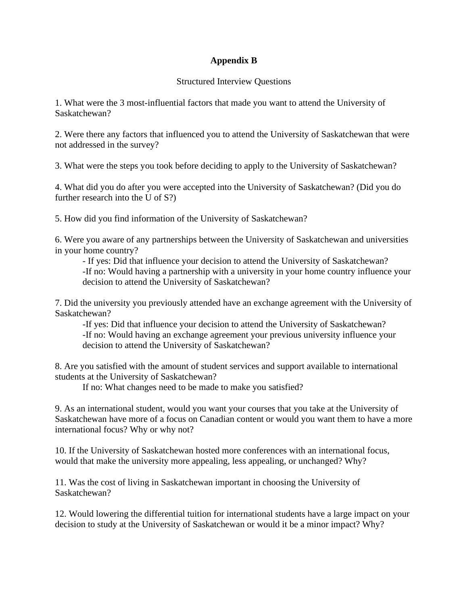## **Appendix B**

### Structured Interview Questions

1. What were the 3 most-influential factors that made you want to attend the University of Saskatchewan?

2. Were there any factors that influenced you to attend the University of Saskatchewan that were not addressed in the survey?

3. What were the steps you took before deciding to apply to the University of Saskatchewan?

4. What did you do after you were accepted into the University of Saskatchewan? (Did you do further research into the U of S?)

5. How did you find information of the University of Saskatchewan?

6. Were you aware of any partnerships between the University of Saskatchewan and universities in your home country?

- If yes: Did that influence your decision to attend the University of Saskatchewan? -If no: Would having a partnership with a university in your home country influence your decision to attend the University of Saskatchewan?

7. Did the university you previously attended have an exchange agreement with the University of Saskatchewan?

-If yes: Did that influence your decision to attend the University of Saskatchewan? -If no: Would having an exchange agreement your previous university influence your decision to attend the University of Saskatchewan?

8. Are you satisfied with the amount of student services and support available to international students at the University of Saskatchewan?

If no: What changes need to be made to make you satisfied?

9. As an international student, would you want your courses that you take at the University of Saskatchewan have more of a focus on Canadian content or would you want them to have a more international focus? Why or why not?

10. If the University of Saskatchewan hosted more conferences with an international focus, would that make the university more appealing, less appealing, or unchanged? Why?

11. Was the cost of living in Saskatchewan important in choosing the University of Saskatchewan?

12. Would lowering the differential tuition for international students have a large impact on your decision to study at the University of Saskatchewan or would it be a minor impact? Why?